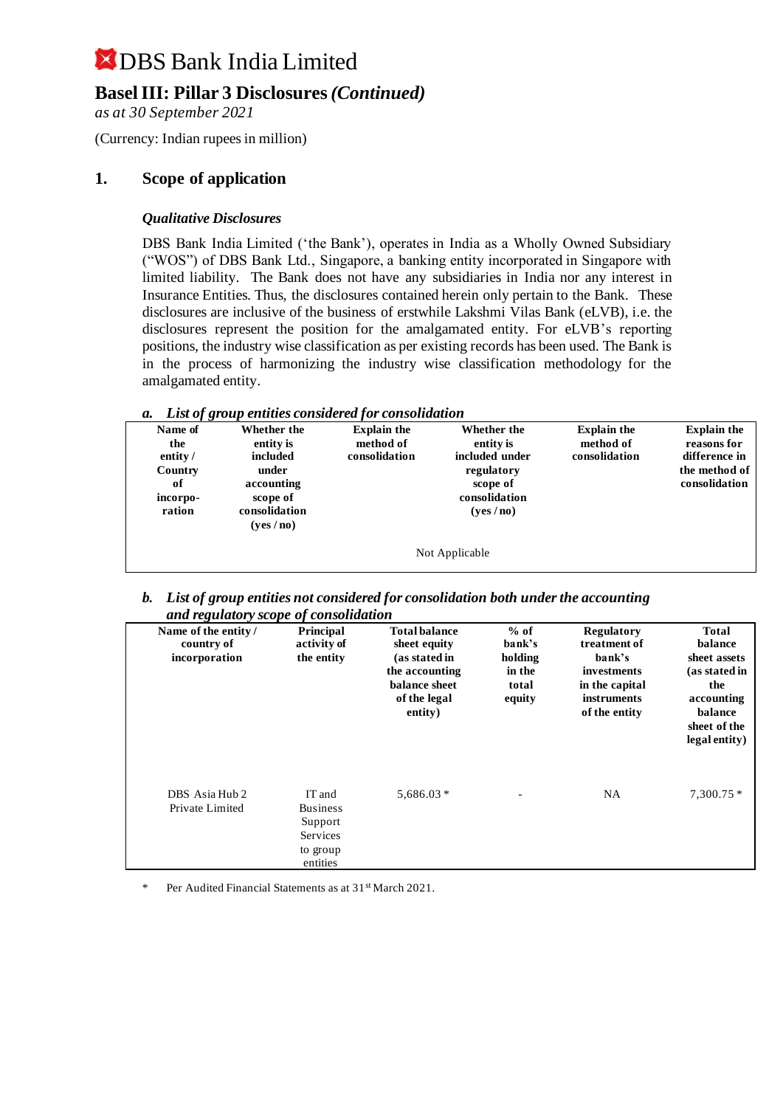### **Basel III: Pillar 3 Disclosures** *(Continued)*

*as at 30 September 2021*

(Currency: Indian rupees in million)

#### **1. Scope of application**

#### *Qualitative Disclosures*

DBS Bank India Limited ('the Bank'), operates in India as a Wholly Owned Subsidiary ("WOS") of DBS Bank Ltd., Singapore, a banking entity incorporated in Singapore with limited liability. The Bank does not have any subsidiaries in India nor any interest in Insurance Entities. Thus, the disclosures contained herein only pertain to the Bank. These disclosures are inclusive of the business of erstwhile Lakshmi Vilas Bank (eLVB), i.e. the disclosures represent the position for the amalgamated entity. For eLVB's reporting positions, the industry wise classification as per existing records has been used. The Bank is in the process of harmonizing the industry wise classification methodology for the amalgamated entity.

| a. List of group entities considered for consolidation |  |  |  |  |
|--------------------------------------------------------|--|--|--|--|
|--------------------------------------------------------|--|--|--|--|

| Name of<br>the<br>entity $\overline{\ }$<br>Country<br>of<br>incorpo-<br>ration | Whether the<br>entity is<br>included<br>under<br>accounting<br>scope of<br>consolidation<br>(yes/no) | <b>Explain the</b><br>method of<br>consolidation | Whether the<br>entity is<br>included under<br>regulatory<br>scope of<br>consolidation<br>(yes/no) | <b>Explain the</b><br>method of<br>consolidation | <b>Explain the</b><br>reasons for<br>difference in<br>the method of<br>consolidation |
|---------------------------------------------------------------------------------|------------------------------------------------------------------------------------------------------|--------------------------------------------------|---------------------------------------------------------------------------------------------------|--------------------------------------------------|--------------------------------------------------------------------------------------|
|                                                                                 |                                                                                                      |                                                  | Not Applicable                                                                                    |                                                  |                                                                                      |

*b. List of group entities not considered for consolidation both under the accounting and regulatory scope of consolidation*

| Name of the entity/<br>country of<br>incorporation | <b>Principal</b><br>activity of<br>the entity                            | <b>Total balance</b><br>sheet equity<br>(as stated in<br>the accounting<br>balance sheet<br>of the legal<br>entity) | $%$ of<br>bank's<br>holding<br>in the<br>total<br>equity | <b>Regulatory</b><br>treatment of<br>bank's<br>investments<br>in the capital<br><i>instruments</i><br>of the entity | <b>Total</b><br>balance<br>sheet assets<br>(as stated in<br>the<br>accounting<br>balance<br>sheet of the<br>legal entity) |
|----------------------------------------------------|--------------------------------------------------------------------------|---------------------------------------------------------------------------------------------------------------------|----------------------------------------------------------|---------------------------------------------------------------------------------------------------------------------|---------------------------------------------------------------------------------------------------------------------------|
| DBS Asia Hub 2<br>Private Limited                  | IT and<br><b>Business</b><br>Support<br>Services<br>to group<br>entities | $5,686.03*$                                                                                                         |                                                          | <b>NA</b>                                                                                                           | $7,300.75*$                                                                                                               |

Per Audited Financial Statements as at 31<sup>st</sup> March 2021.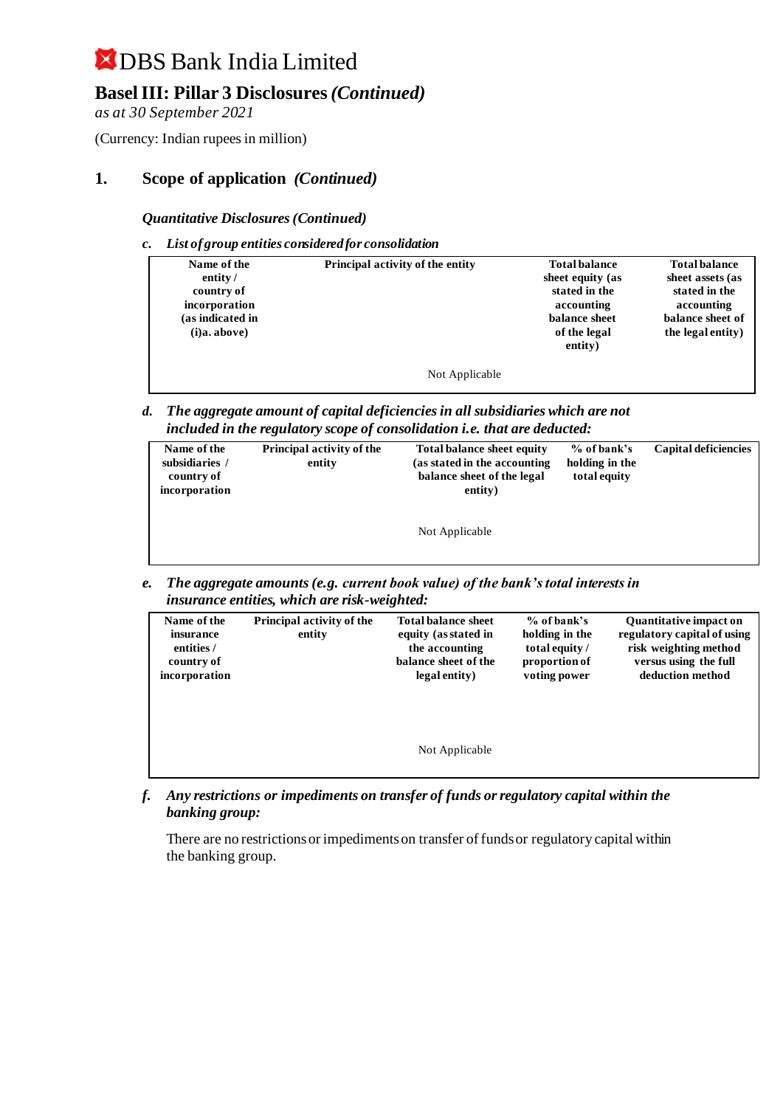### **Basel III: Pillar 3 Disclosures** *(Continued)*

*as at 30 September 2021*

(Currency: Indian rupees in million)

### **1. Scope of application** *(Continued)*

*Quantitative Disclosures (Continued)*

*c. List of group entities considered for consolidation*

| Name of the<br>entity/<br>country of<br>incorporation<br>(as indicated in<br>$(i)a$ . above) | Principal activity of the entity | <b>Total balance</b><br>sheet equity (as<br>stated in the<br>accounting<br>balance sheet<br>of the legal<br>entity) | <b>Total balance</b><br>sheet assets (as<br>stated in the<br>accounting<br>balance sheet of<br>the legal entity) |
|----------------------------------------------------------------------------------------------|----------------------------------|---------------------------------------------------------------------------------------------------------------------|------------------------------------------------------------------------------------------------------------------|
|                                                                                              | Not Applicable                   |                                                                                                                     |                                                                                                                  |

*d. The aggregate amount of capital deficiencies in all subsidiaries which are not included in the regulatory scope of consolidation i.e. that are deducted:*

| Name of the<br>subsidiaries /<br>country of<br>incorporation | Principal activity of the<br>entity | <b>Total balance sheet equity</b><br>(as stated in the accounting<br>balance sheet of the legal<br>entity) | % of bank's<br>holding in the<br>total equity | Capital deficiencies |
|--------------------------------------------------------------|-------------------------------------|------------------------------------------------------------------------------------------------------------|-----------------------------------------------|----------------------|
|                                                              |                                     | Not Applicable                                                                                             |                                               |                      |

*e. The aggregate amounts (e.g. current book value) of the bank's total interests in insurance entities, which are risk-weighted:*

| Name of the<br>insurance<br>entities /<br>country of<br>incorporation | <b>Principal activity of the</b><br>entity | <b>Total balance sheet</b><br>equity (as stated in<br>the accounting<br>balance sheet of the<br>legal entity) | $%$ of bank's<br>holding in the<br>total equity /<br>proportion of<br>voting power | <b>Quantitative impact on</b><br>regulatory capital of using<br>risk weighting method<br>versus using the full<br>deduction method |
|-----------------------------------------------------------------------|--------------------------------------------|---------------------------------------------------------------------------------------------------------------|------------------------------------------------------------------------------------|------------------------------------------------------------------------------------------------------------------------------------|
|                                                                       |                                            | Not Applicable                                                                                                |                                                                                    |                                                                                                                                    |

*f. Any restrictions or impediments on transfer of funds or regulatory capital within the banking group:*

There are no restrictions or impediments on transfer of funds or regulatory capital within the banking group.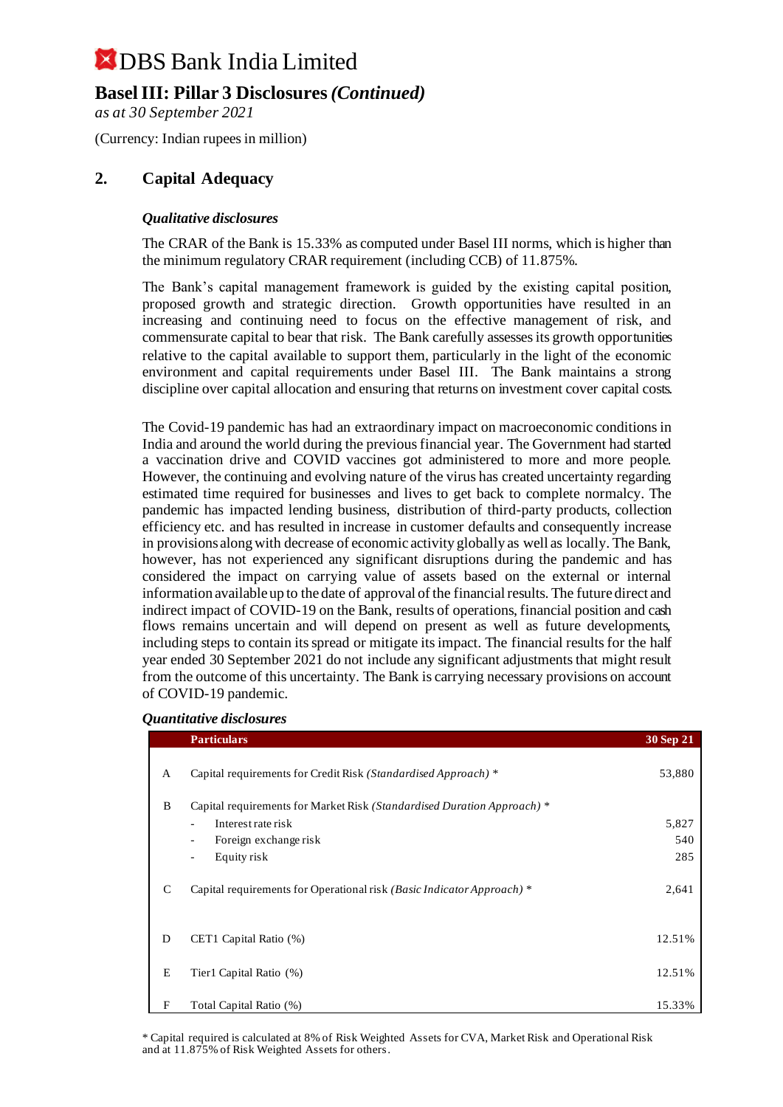### **Basel III: Pillar 3 Disclosures** *(Continued)*

*as at 30 September 2021*

(Currency: Indian rupees in million)

### **2. Capital Adequacy**

#### *Qualitative disclosures*

The CRAR of the Bank is 15.33% as computed under Basel III norms, which is higher than the minimum regulatory CRAR requirement (including CCB) of 11.875%.

The Bank's capital management framework is guided by the existing capital position, proposed growth and strategic direction. Growth opportunities have resulted in an increasing and continuing need to focus on the effective management of risk, and commensurate capital to bear that risk. The Bank carefully assesses its growth opportunities relative to the capital available to support them, particularly in the light of the economic environment and capital requirements under Basel III. The Bank maintains a strong discipline over capital allocation and ensuring that returns on investment cover capital costs.

The Covid-19 pandemic has had an extraordinary impact on macroeconomic conditions in India and around the world during the previous financial year. The Government had started a vaccination drive and COVID vaccines got administered to more and more people. However, the continuing and evolving nature of the virus has created uncertainty regarding estimated time required for businesses and lives to get back to complete normalcy. The pandemic has impacted lending business, distribution of third-party products, collection efficiency etc. and has resulted in increase in customer defaults and consequently increase in provisions along with decrease of economic activity globally as well as locally. The Bank, however, has not experienced any significant disruptions during the pandemic and has considered the impact on carrying value of assets based on the external or internal information available up to the date of approval of the financial results. The future direct and indirect impact of COVID-19 on the Bank, results of operations, financial position and cash flows remains uncertain and will depend on present as well as future developments, including steps to contain its spread or mitigate its impact. The financial results for the half year ended 30 September 2021 do not include any significant adjustments that might result from the outcome of this uncertainty. The Bank is carrying necessary provisions on account of COVID-19 pandemic.

#### *Quantitative disclosures*

|   | <b>Particulars</b>                                                                                          | 30 Sep 21           |
|---|-------------------------------------------------------------------------------------------------------------|---------------------|
| A | Capital requirements for Credit Risk (Standardised Approach) *                                              | 53,880              |
| B | Capital requirements for Market Risk (Standardised Duration Approach) *                                     |                     |
|   | Interest rate risk<br>Foreign exchange risk<br>$\overline{\phantom{a}}$<br>Equity risk<br>$\qquad \qquad -$ | 5,827<br>540<br>285 |
| C | Capital requirements for Operational risk (Basic Indicator Approach) *                                      | 2,641               |
| D | CET1 Capital Ratio (%)                                                                                      | 12.51%              |
| E | Tier1 Capital Ratio (%)                                                                                     | 12.51%              |
| F | Total Capital Ratio (%)                                                                                     | 15.33%              |

\* Capital required is calculated at 8% of Risk Weighted Assets for CVA, Market Risk and Operational Risk and at 11.875% of Risk Weighted Assets for others.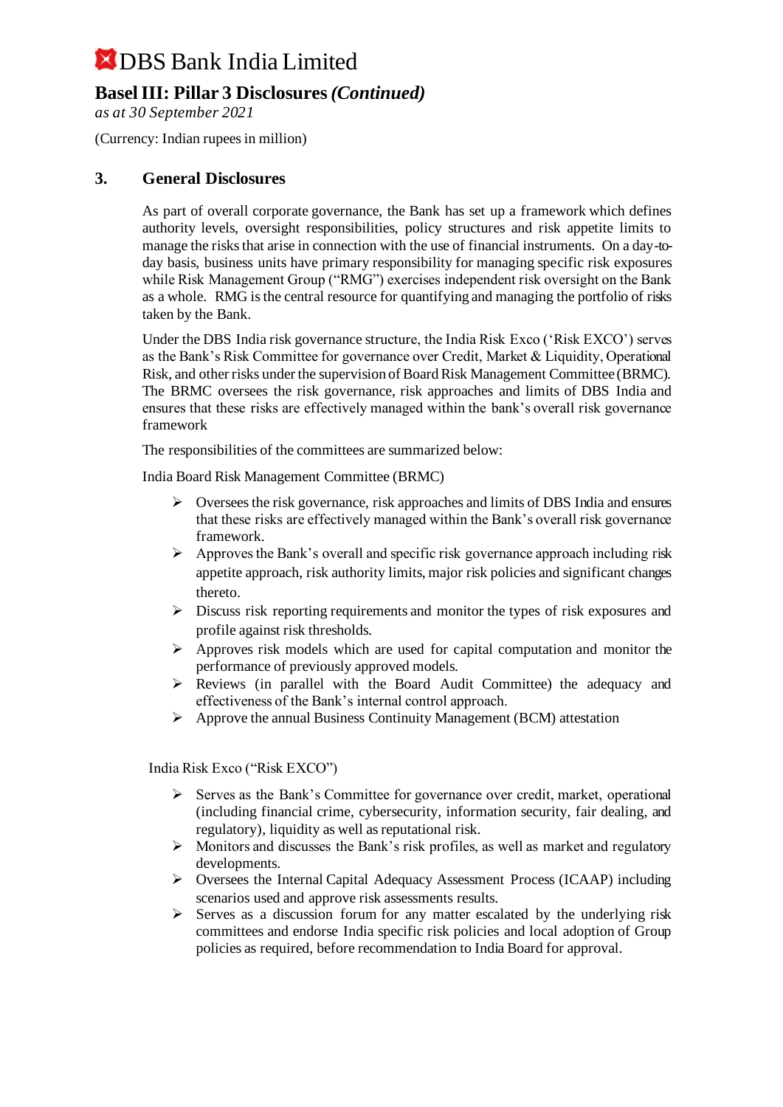### **Basel III: Pillar 3 Disclosures** *(Continued)*

*as at 30 September 2021*

(Currency: Indian rupees in million)

#### **3. General Disclosures**

As part of overall corporate governance, the Bank has set up a framework which defines authority levels, oversight responsibilities, policy structures and risk appetite limits to manage the risks that arise in connection with the use of financial instruments. On a day-today basis, business units have primary responsibility for managing specific risk exposures while Risk Management Group ("RMG") exercises independent risk oversight on the Bank as a whole. RMG is the central resource for quantifying and managing the portfolio of risks taken by the Bank.

Under the DBS India risk governance structure, the India Risk Exco ('Risk EXCO') serves as the Bank's Risk Committee for governance over Credit, Market & Liquidity, Operational Risk, and other risks under the supervision of Board Risk Management Committee (BRMC). The BRMC oversees the risk governance, risk approaches and limits of DBS India and ensures that these risks are effectively managed within the bank's overall risk governance framework

The responsibilities of the committees are summarized below:

India Board Risk Management Committee (BRMC)

- $\triangleright$  Oversees the risk governance, risk approaches and limits of DBS India and ensures that these risks are effectively managed within the Bank's overall risk governance framework.
- ➢ Approves the Bank's overall and specific risk governance approach including risk appetite approach, risk authority limits, major risk policies and significant changes thereto.
- ➢ Discuss risk reporting requirements and monitor the types of risk exposures and profile against risk thresholds.
- ➢ Approves risk models which are used for capital computation and monitor the performance of previously approved models.
- ➢ Reviews (in parallel with the Board Audit Committee) the adequacy and effectiveness of the Bank's internal control approach.
- ➢ Approve the annual Business Continuity Management (BCM) attestation

India Risk Exco ("Risk EXCO")

- $\triangleright$  Serves as the Bank's Committee for governance over credit, market, operational (including financial crime, cybersecurity, information security, fair dealing, and regulatory), liquidity as well as reputational risk.
- ➢ Monitors and discusses the Bank's risk profiles, as well as market and regulatory developments.
- ➢ Oversees the Internal Capital Adequacy Assessment Process (ICAAP) including scenarios used and approve risk assessments results.
- $\triangleright$  Serves as a discussion forum for any matter escalated by the underlying risk committees and endorse India specific risk policies and local adoption of Group policies as required, before recommendation to India Board for approval.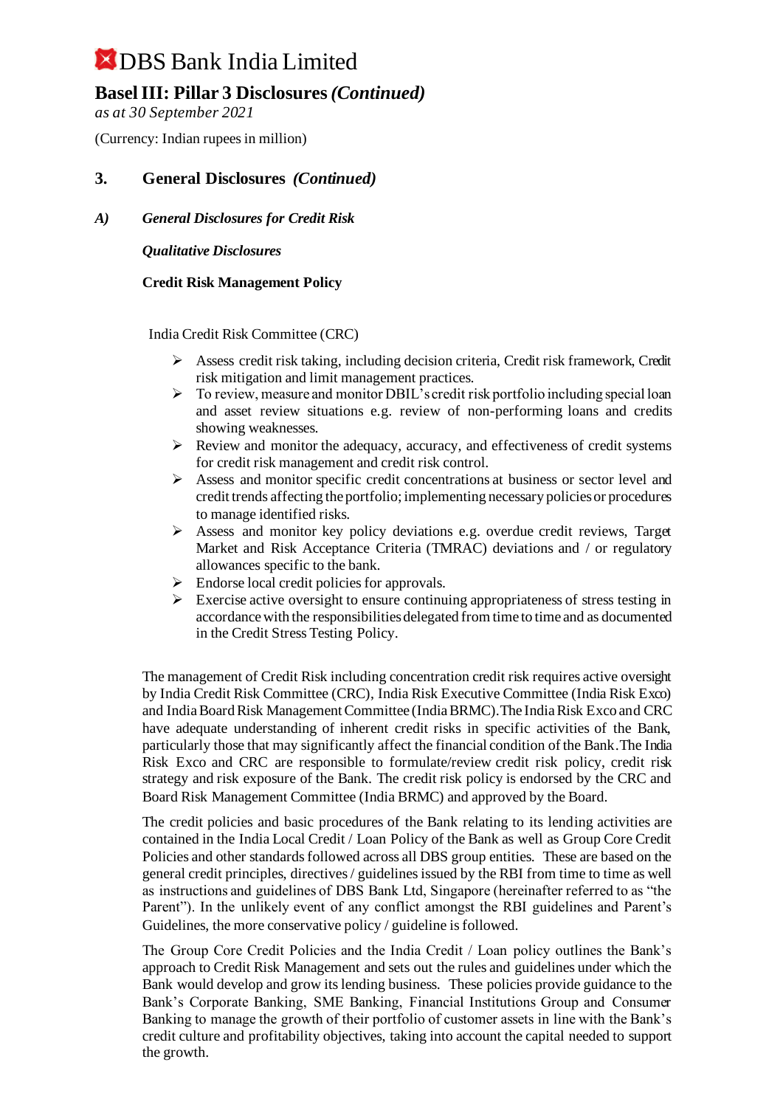### **Basel III: Pillar 3 Disclosures** *(Continued)*

*as at 30 September 2021*

(Currency: Indian rupees in million)

#### **3. General Disclosures** *(Continued)*

#### *A) General Disclosures for Credit Risk*

*Qualitative Disclosures*

#### **Credit Risk Management Policy**

India Credit Risk Committee (CRC)

- $\triangleright$  Assess credit risk taking, including decision criteria, Credit risk framework, Credit risk mitigation and limit management practices.
- ➢ To review, measure and monitor DBIL's credit risk portfolio including special loan and asset review situations e.g. review of non-performing loans and credits showing weaknesses.
- $\triangleright$  Review and monitor the adequacy, accuracy, and effectiveness of credit systems for credit risk management and credit risk control.
- ➢ Assess and monitor specific credit concentrations at business or sector level and credit trends affecting the portfolio; implementing necessary policies or procedures to manage identified risks.
- $\triangleright$  Assess and monitor key policy deviations e.g. overdue credit reviews, Target Market and Risk Acceptance Criteria (TMRAC) deviations and / or regulatory allowances specific to the bank.
- $\triangleright$  Endorse local credit policies for approvals.
- $\triangleright$  Exercise active oversight to ensure continuing appropriateness of stress testing in accordance with the responsibilities delegated from time to time and as documented in the Credit Stress Testing Policy.

The management of Credit Risk including concentration credit risk requires active oversight by India Credit Risk Committee (CRC), India Risk Executive Committee (India Risk Exco) and India Board Risk Management Committee (India BRMC).The India Risk Exco and CRC have adequate understanding of inherent credit risks in specific activities of the Bank, particularly those that may significantly affect the financial condition of the Bank.The India Risk Exco and CRC are responsible to formulate/review credit risk policy, credit risk strategy and risk exposure of the Bank. The credit risk policy is endorsed by the CRC and Board Risk Management Committee (India BRMC) and approved by the Board.

The credit policies and basic procedures of the Bank relating to its lending activities are contained in the India Local Credit / Loan Policy of the Bank as well as Group Core Credit Policies and other standards followed across all DBS group entities. These are based on the general credit principles, directives / guidelines issued by the RBI from time to time as well as instructions and guidelines of DBS Bank Ltd, Singapore (hereinafter referred to as "the Parent"). In the unlikely event of any conflict amongst the RBI guidelines and Parent's Guidelines, the more conservative policy / guideline is followed.

The Group Core Credit Policies and the India Credit / Loan policy outlines the Bank's approach to Credit Risk Management and sets out the rules and guidelines under which the Bank would develop and grow its lending business. These policies provide guidance to the Bank's Corporate Banking, SME Banking, Financial Institutions Group and Consumer Banking to manage the growth of their portfolio of customer assets in line with the Bank's credit culture and profitability objectives, taking into account the capital needed to support the growth.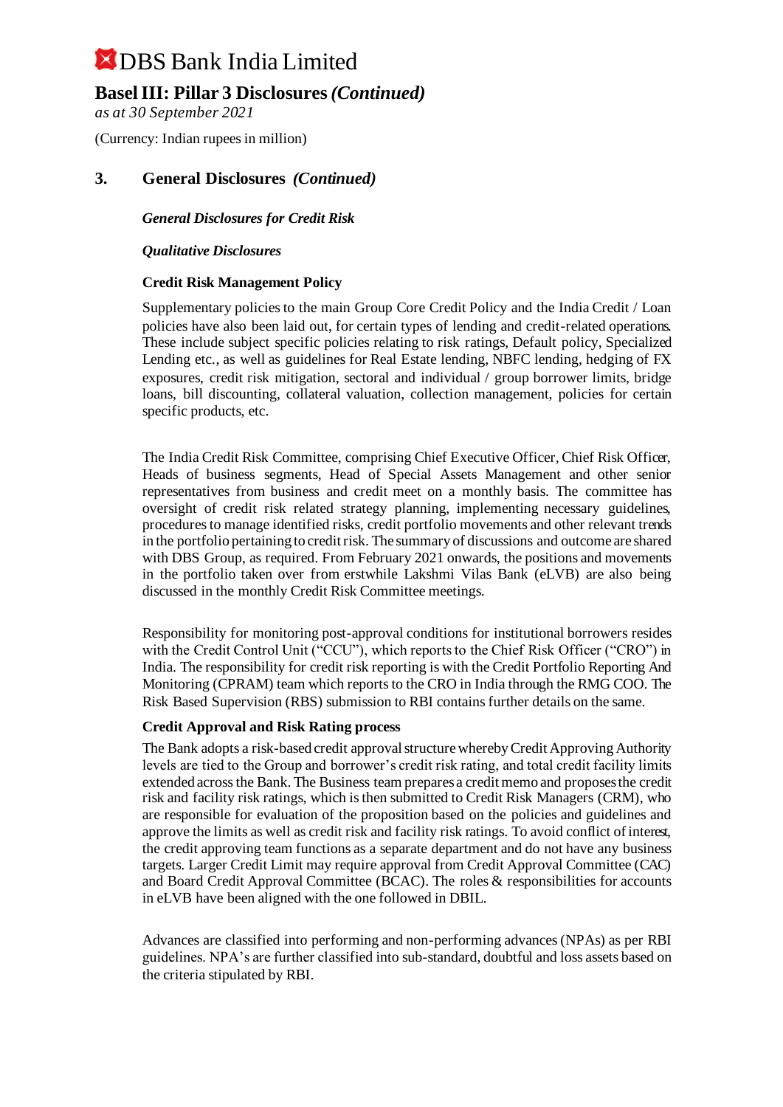### **Basel III: Pillar 3 Disclosures** *(Continued)*

*as at 30 September 2021*

(Currency: Indian rupees in million)

#### **3. General Disclosures** *(Continued)*

*General Disclosures for Credit Risk*

#### *Qualitative Disclosures*

#### **Credit Risk Management Policy**

Supplementary policies to the main Group Core Credit Policy and the India Credit / Loan policies have also been laid out, for certain types of lending and credit-related operations. These include subject specific policies relating to risk ratings, Default policy, Specialized Lending etc., as well as guidelines for Real Estate lending, NBFC lending, hedging of FX exposures, credit risk mitigation, sectoral and individual / group borrower limits, bridge loans, bill discounting, collateral valuation, collection management, policies for certain specific products, etc.

The India Credit Risk Committee, comprising Chief Executive Officer, Chief Risk Officer, Heads of business segments, Head of Special Assets Management and other senior representatives from business and credit meet on a monthly basis. The committee has oversight of credit risk related strategy planning, implementing necessary guidelines, procedures to manage identified risks, credit portfolio movements and other relevant trends in the portfolio pertaining to credit risk. The summary of discussions and outcome are shared with DBS Group, as required. From February 2021 onwards, the positions and movements in the portfolio taken over from erstwhile Lakshmi Vilas Bank (eLVB) are also being discussed in the monthly Credit Risk Committee meetings.

Responsibility for monitoring post-approval conditions for institutional borrowers resides with the Credit Control Unit ("CCU"), which reports to the Chief Risk Officer ("CRO") in India. The responsibility for credit risk reporting is with the Credit Portfolio Reporting And Monitoring (CPRAM) team which reports to the CRO in India through the RMG COO. The Risk Based Supervision (RBS) submission to RBI contains further details on the same.

#### **Credit Approval and Risk Rating process**

The Bank adopts a risk-based credit approval structure whereby Credit Approving Authority levels are tied to the Group and borrower's credit risk rating, and total credit facility limits extended across the Bank. The Business team prepares a credit memo and proposes the credit risk and facility risk ratings, which is then submitted to Credit Risk Managers (CRM), who are responsible for evaluation of the proposition based on the policies and guidelines and approve the limits as well as credit risk and facility risk ratings. To avoid conflict of interest, the credit approving team functions as a separate department and do not have any business targets. Larger Credit Limit may require approval from Credit Approval Committee (CAC) and Board Credit Approval Committee (BCAC). The roles & responsibilities for accounts in eLVB have been aligned with the one followed in DBIL.

Advances are classified into performing and non-performing advances (NPAs) as per RBI guidelines. NPA's are further classified into sub-standard, doubtful and loss assets based on the criteria stipulated by RBI.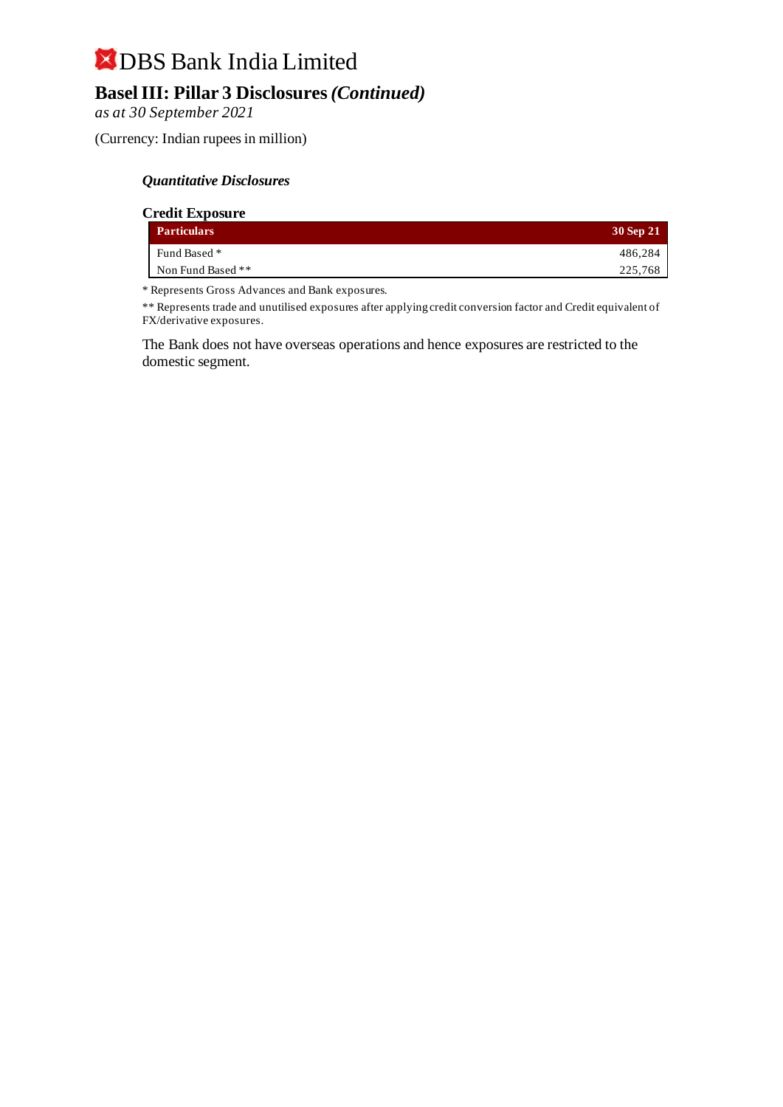## DBS Bank India Limited **Basel III: Pillar 3 Disclosures** *(Continued)*

*as at 30 September 2021*

(Currency: Indian rupees in million)

#### *Quantitative Disclosures*

| <b>Credit Exposure</b> |           |
|------------------------|-----------|
| <b>Particulars</b>     | 30 Sep 21 |
| Fund Based *           | 486.284   |
| Non Fund Based **      | 225,768   |
|                        |           |

\* Represents Gross Advances and Bank exposures.

\*\* Represents trade and unutilised exposures after applying credit conversion factor and Credit equivalent of FX/derivative exposures.

The Bank does not have overseas operations and hence exposures are restricted to the domestic segment.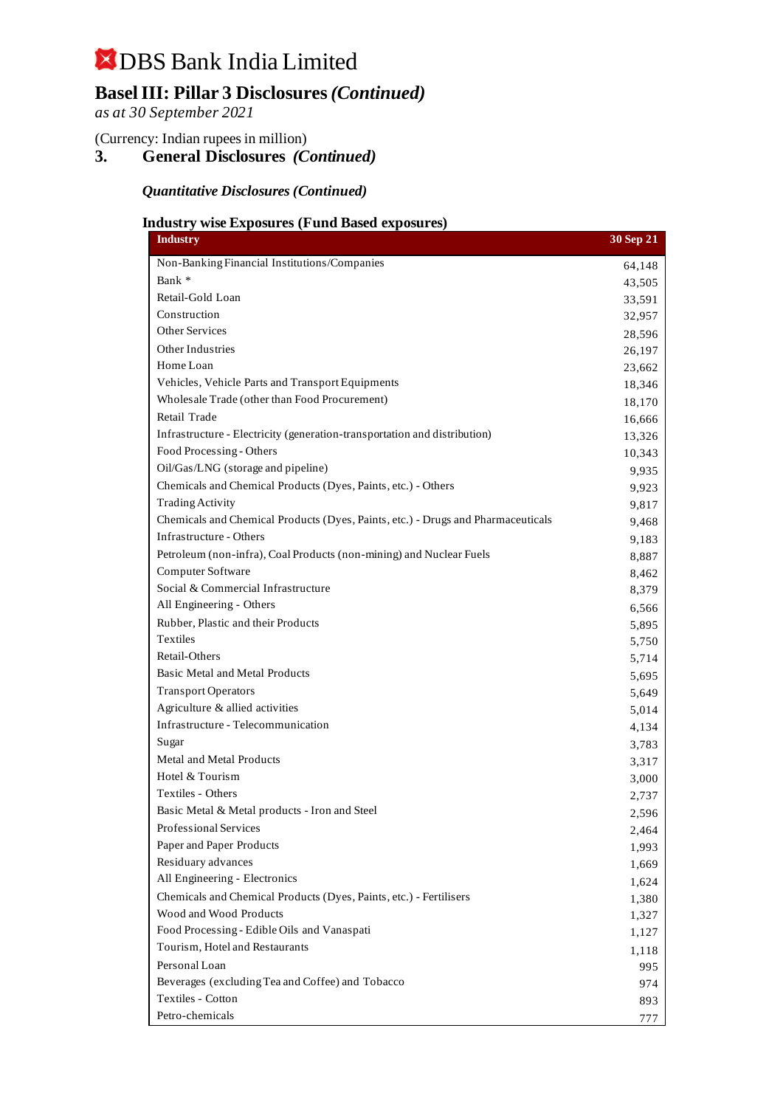### **Basel III: Pillar 3 Disclosures** *(Continued)*

*as at 30 September 2021*

(Currency: Indian rupees in million)

### **3. General Disclosures** *(Continued)*

*Quantitative Disclosures (Continued)*

#### **Industry wise Exposures (Fund Based exposures)**

| <b>Industry</b>                                                                  | 30 Sep 21 |
|----------------------------------------------------------------------------------|-----------|
| Non-Banking Financial Institutions/Companies                                     | 64,148    |
| Bank *                                                                           | 43,505    |
| Retail-Gold Loan                                                                 | 33,591    |
| Construction                                                                     | 32,957    |
| <b>Other Services</b>                                                            | 28,596    |
| Other Industries                                                                 | 26,197    |
| Home Loan                                                                        | 23,662    |
| Vehicles, Vehicle Parts and Transport Equipments                                 | 18,346    |
| Wholesale Trade (other than Food Procurement)                                    | 18,170    |
| Retail Trade                                                                     | 16,666    |
| Infrastructure - Electricity (generation-transportation and distribution)        | 13,326    |
| Food Processing - Others                                                         | 10,343    |
| Oil/Gas/LNG (storage and pipeline)                                               | 9,935     |
| Chemicals and Chemical Products (Dyes, Paints, etc.) - Others                    | 9,923     |
| <b>Trading Activity</b>                                                          | 9,817     |
| Chemicals and Chemical Products (Dyes, Paints, etc.) - Drugs and Pharmaceuticals | 9,468     |
| Infrastructure - Others                                                          | 9,183     |
| Petroleum (non-infra), Coal Products (non-mining) and Nuclear Fuels              | 8,887     |
| Computer Software                                                                | 8,462     |
| Social & Commercial Infrastructure                                               | 8,379     |
| All Engineering - Others                                                         | 6,566     |
| Rubber, Plastic and their Products                                               | 5,895     |
| Textiles                                                                         | 5,750     |
| Retail-Others                                                                    | 5,714     |
| Basic Metal and Metal Products                                                   | 5,695     |
| <b>Transport Operators</b>                                                       | 5,649     |
| Agriculture & allied activities                                                  | 5,014     |
| Infrastructure - Telecommunication                                               | 4,134     |
| Sugar                                                                            | 3,783     |
| Metal and Metal Products                                                         | 3,317     |
| Hotel & Tourism                                                                  | 3,000     |
| Textiles - Others                                                                | 2,737     |
| Basic Metal & Metal products - Iron and Steel                                    | 2,596     |
| Professional Services                                                            | 2,464     |
| Paper and Paper Products                                                         | 1,993     |
| Residuary advances                                                               | 1,669     |
| All Engineering - Electronics                                                    | 1,624     |
| Chemicals and Chemical Products (Dyes, Paints, etc.) - Fertilisers               | 1,380     |
| Wood and Wood Products                                                           | 1,327     |
| Food Processing - Edible Oils and Vanaspati                                      | 1,127     |
| Tourism, Hotel and Restaurants                                                   | 1,118     |
| Personal Loan                                                                    | 995       |
| Beverages (excluding Tea and Coffee) and Tobacco                                 | 974       |
| Textiles - Cotton                                                                | 893       |
| Petro-chemicals                                                                  | 777       |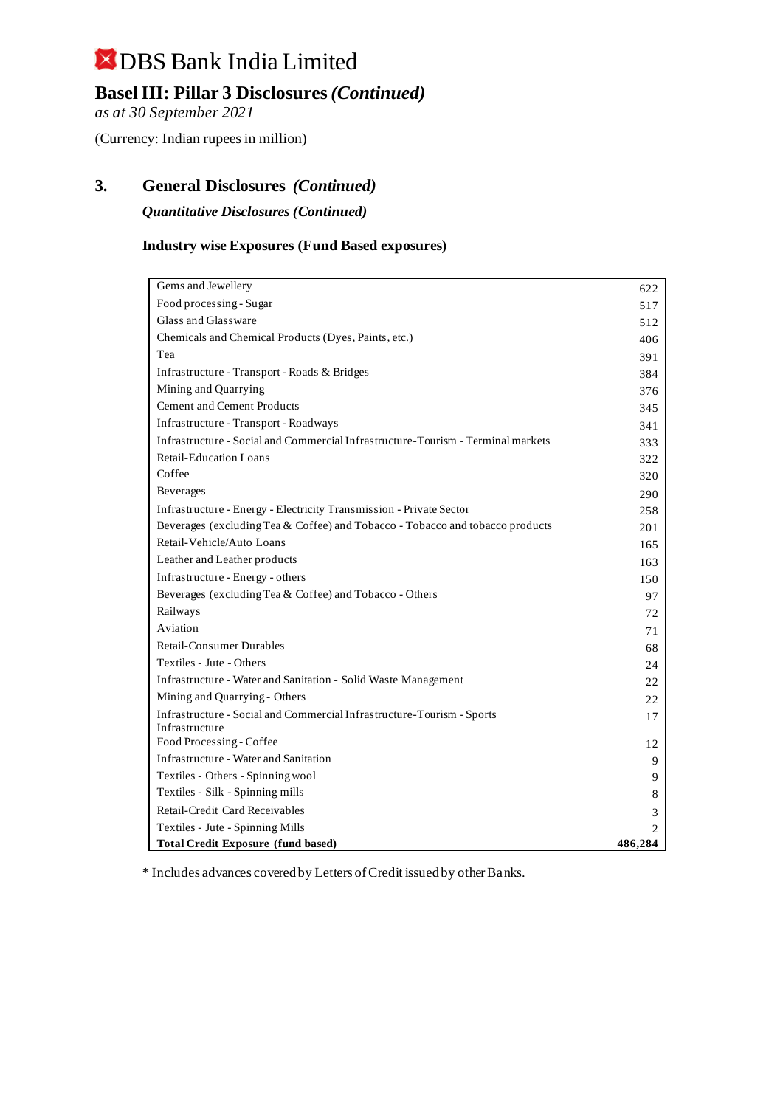### **Basel III: Pillar 3 Disclosures** *(Continued)*

*as at 30 September 2021*

(Currency: Indian rupees in million)

### **3. General Disclosures** *(Continued)*

*Quantitative Disclosures (Continued)*

#### **Industry wise Exposures (Fund Based exposures)**

| Gems and Jewellery                                                               | 622                         |
|----------------------------------------------------------------------------------|-----------------------------|
| Food processing - Sugar                                                          | 517                         |
| Glass and Glassware                                                              | 512                         |
| Chemicals and Chemical Products (Dyes, Paints, etc.)                             | 406                         |
| Tea                                                                              | 391                         |
| Infrastructure - Transport - Roads & Bridges                                     | 384                         |
| Mining and Quarrying                                                             | 376                         |
| <b>Cement and Cement Products</b>                                                | 345                         |
| Infrastructure - Transport - Roadways                                            | 341                         |
| Infrastructure - Social and Commercial Infrastructure-Tourism - Terminal markets | 333                         |
| <b>Retail-Education Loans</b>                                                    | 322                         |
| Coffee                                                                           | 320                         |
| <b>Beverages</b>                                                                 | 290                         |
| Infrastructure - Energy - Electricity Transmission - Private Sector              | 258                         |
| Beverages (excluding Tea & Coffee) and Tobacco - Tobacco and tobacco products    | 201                         |
| Retail-Vehicle/Auto Loans                                                        | 165                         |
| Leather and Leather products                                                     | 163                         |
| Infrastructure - Energy - others                                                 | 150                         |
| Beverages (excluding Tea & Coffee) and Tobacco - Others                          | 97                          |
| Railways                                                                         | 72                          |
| Aviation                                                                         | 71                          |
| Retail-Consumer Durables                                                         | 68                          |
| Textiles - Jute - Others                                                         | 24                          |
| Infrastructure - Water and Sanitation - Solid Waste Management                   | 22                          |
| Mining and Quarrying - Others                                                    | 22                          |
| Infrastructure - Social and Commercial Infrastructure-Tourism - Sports           | 17                          |
| Infrastructure                                                                   |                             |
| Food Processing - Coffee                                                         | 12                          |
| Infrastructure - Water and Sanitation                                            | 9                           |
| Textiles - Others - Spinning wool                                                | 9                           |
| Textiles - Silk - Spinning mills                                                 | 8                           |
| Retail-Credit Card Receivables                                                   | 3                           |
| Textiles - Jute - Spinning Mills                                                 | $\mathcal{D}_{\mathcal{A}}$ |
| <b>Total Credit Exposure (fund based)</b>                                        | 486,284                     |

\* Includes advances covered by Letters of Credit issued by other Banks.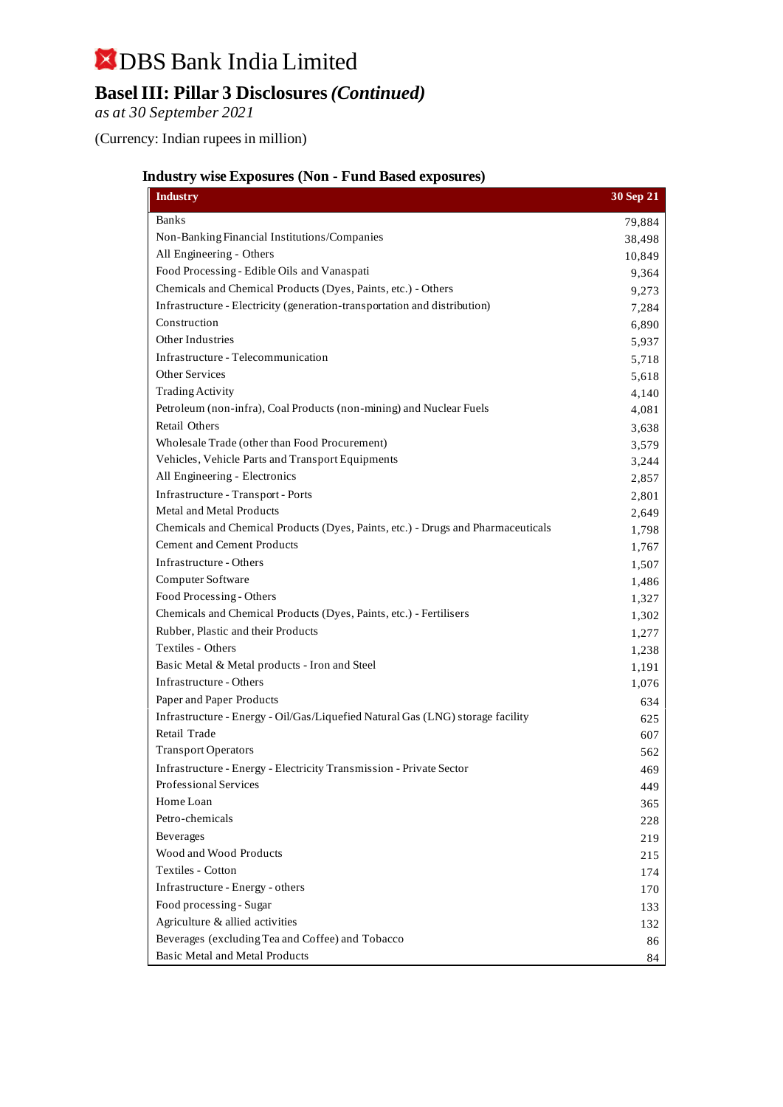## DBS Bank India Limited **Basel III: Pillar 3 Disclosures** *(Continued)*

*as at 30 September 2021*

(Currency: Indian rupees in million)

#### **Industry wise Exposures (Non - Fund Based exposures)**

| <b>Industry</b>                                                                  | 30 Sep 21 |
|----------------------------------------------------------------------------------|-----------|
| <b>Banks</b>                                                                     | 79,884    |
| Non-Banking Financial Institutions/Companies                                     | 38,498    |
| All Engineering - Others                                                         | 10,849    |
| Food Processing - Edible Oils and Vanaspati                                      | 9,364     |
| Chemicals and Chemical Products (Dyes, Paints, etc.) - Others                    | 9,273     |
| Infrastructure - Electricity (generation-transportation and distribution)        | 7,284     |
| Construction                                                                     | 6,890     |
| Other Industries                                                                 | 5,937     |
| Infrastructure - Telecommunication                                               | 5,718     |
| <b>Other Services</b>                                                            | 5,618     |
| <b>Trading Activity</b>                                                          | 4,140     |
| Petroleum (non-infra), Coal Products (non-mining) and Nuclear Fuels              | 4,081     |
| <b>Retail Others</b>                                                             | 3,638     |
| Wholesale Trade (other than Food Procurement)                                    | 3,579     |
| Vehicles, Vehicle Parts and Transport Equipments                                 | 3,244     |
| All Engineering - Electronics                                                    | 2,857     |
| Infrastructure - Transport - Ports                                               | 2,801     |
| Metal and Metal Products                                                         | 2,649     |
| Chemicals and Chemical Products (Dyes, Paints, etc.) - Drugs and Pharmaceuticals | 1,798     |
| <b>Cement and Cement Products</b>                                                | 1,767     |
| Infrastructure - Others                                                          | 1,507     |
| Computer Software                                                                | 1,486     |
| Food Processing - Others                                                         | 1,327     |
| Chemicals and Chemical Products (Dyes, Paints, etc.) - Fertilisers               | 1,302     |
| Rubber, Plastic and their Products                                               | 1,277     |
| Textiles - Others                                                                | 1,238     |
| Basic Metal & Metal products - Iron and Steel                                    | 1,191     |
| Infrastructure - Others                                                          | 1,076     |
| Paper and Paper Products                                                         | 634       |
| Infrastructure - Energy - Oil/Gas/Liquefied Natural Gas (LNG) storage facility   | 625       |
| Retail Trade                                                                     | 607       |
| <b>Transport Operators</b>                                                       | 562       |
| Infrastructure - Energy - Electricity Transmission - Private Sector              | 469       |
| Professional Services                                                            | 449       |
| Home Loan                                                                        | 365       |
| Petro-chemicals                                                                  | 228       |
| Beverages                                                                        | 219       |
| Wood and Wood Products                                                           | 215       |
| Textiles - Cotton                                                                | 174       |
| Infrastructure - Energy - others                                                 | 170       |
| Food processing - Sugar                                                          | 133       |
| Agriculture & allied activities                                                  | 132       |
| Beverages (excluding Tea and Coffee) and Tobacco                                 | 86        |
| Basic Metal and Metal Products                                                   | 84        |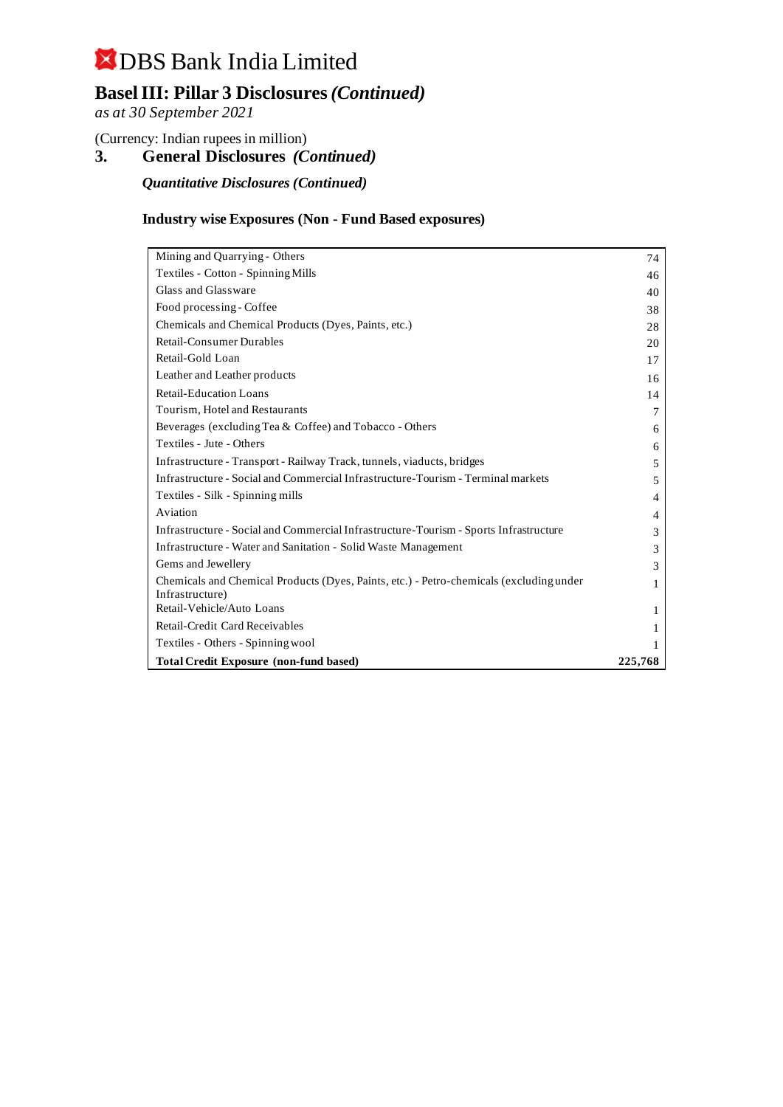### **Basel III: Pillar 3 Disclosures** *(Continued)*

*as at 30 September 2021*

(Currency: Indian rupees in million)

**3. General Disclosures** *(Continued)*

*Quantitative Disclosures (Continued)*

#### **Industry wise Exposures (Non - Fund Based exposures)**

| Mining and Quarrying - Others                                                                              | 74      |
|------------------------------------------------------------------------------------------------------------|---------|
| Textiles - Cotton - Spinning Mills                                                                         | 46      |
| Glass and Glassware                                                                                        | 40      |
| Food processing - Coffee                                                                                   | 38      |
| Chemicals and Chemical Products (Dyes, Paints, etc.)                                                       | 28      |
| <b>Retail-Consumer Durables</b>                                                                            | 20      |
| Retail-Gold Loan                                                                                           | 17      |
| Leather and Leather products                                                                               | 16      |
| <b>Retail-Education Loans</b>                                                                              | 14      |
| Tourism, Hotel and Restaurants                                                                             | 7       |
| Beverages (excluding Tea & Coffee) and Tobacco - Others                                                    | 6       |
| Textiles - Jute - Others                                                                                   | 6       |
| Infrastructure - Transport - Railway Track, tunnels, viaducts, bridges                                     | 5       |
| Infrastructure - Social and Commercial Infrastructure-Tourism - Terminal markets                           | 5       |
| Textiles - Silk - Spinning mills                                                                           | 4       |
| Aviation                                                                                                   | 4       |
| Infrastructure - Social and Commercial Infrastructure-Tourism - Sports Infrastructure                      | 3       |
| <b>Infrastructure - Water and Sanitation - Solid Waste Management</b>                                      | 3       |
| Gems and Jewellery                                                                                         | 3       |
| Chemicals and Chemical Products (Dyes, Paints, etc.) - Petro-chemicals (excluding under<br>Infrastructure) | 1       |
| Retail-Vehicle/Auto Loans                                                                                  | 1       |
| Retail-Credit Card Receivables                                                                             |         |
| Textiles - Others - Spinning wool                                                                          |         |
| <b>Total Credit Exposure (non-fund based)</b>                                                              | 225,768 |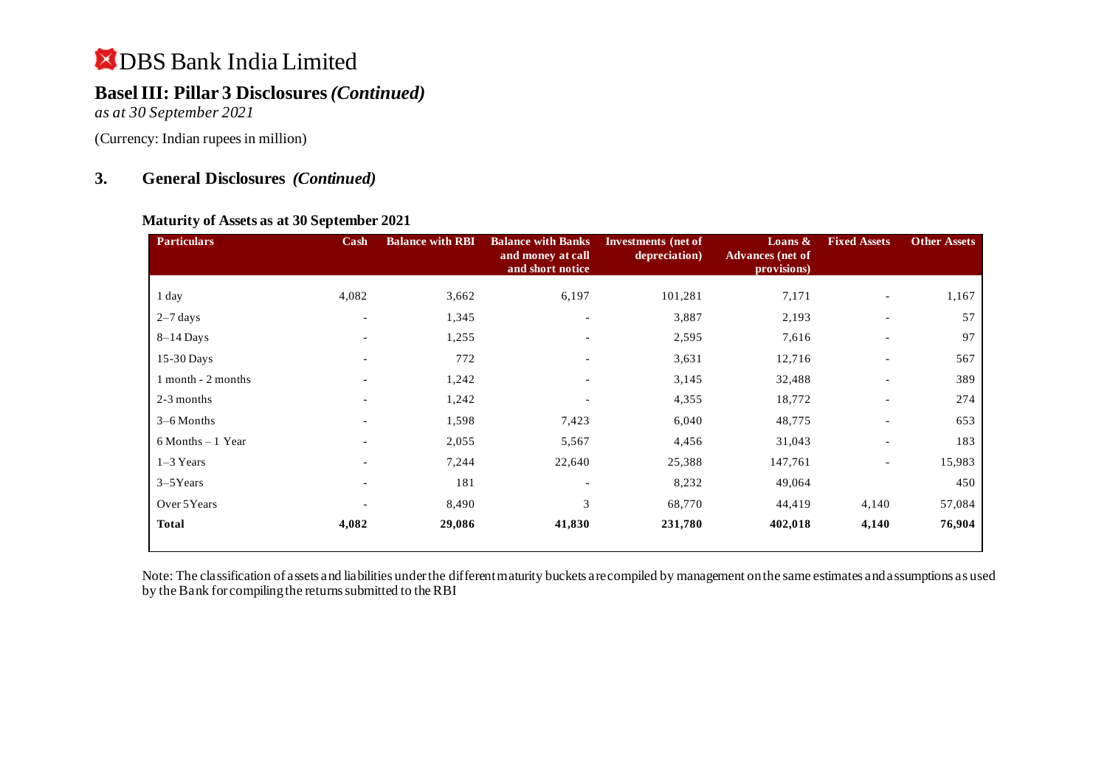### **Basel III: Pillar 3 Disclosures** *(Continued)*

*as at 30 September 2021*

(Currency: Indian rupees in million)

#### **3. General Disclosures** *(Continued)*

#### **Maturity of Assets as at 30 September 2021**

| <b>Particulars</b>   | Cash                     | <b>Balance with RBI</b> | <b>Balance with Banks</b><br>and money at call<br>and short notice | Investments (net of<br>depreciation) | Loans $\&$<br><b>Advances</b> (net of<br>provisions) | <b>Fixed Assets</b>      | <b>Other Assets</b> |
|----------------------|--------------------------|-------------------------|--------------------------------------------------------------------|--------------------------------------|------------------------------------------------------|--------------------------|---------------------|
| 1 day                | 4,082                    | 3,662                   | 6,197                                                              | 101,281                              | 7,171                                                | $\overline{\phantom{a}}$ | 1,167               |
| $2-7$ days           | $\overline{\phantom{a}}$ | 1,345                   | $\overline{\phantom{a}}$                                           | 3,887                                | 2,193                                                |                          | 57                  |
| $8-14$ Days          | $\overline{\phantom{a}}$ | 1,255                   | $\overline{\phantom{a}}$                                           | 2,595                                | 7,616                                                | $\overline{\phantom{a}}$ | 97                  |
| 15-30 Days           | -                        | 772                     | $\overline{\phantom{a}}$                                           | 3,631                                | 12,716                                               | $\overline{\phantom{a}}$ | 567                 |
| 1 month - 2 months   | $\sim$                   | 1,242                   | $\overline{\phantom{0}}$                                           | 3,145                                | 32,488                                               | $\sim$                   | 389                 |
| 2-3 months           | $\overline{\phantom{0}}$ | 1,242                   |                                                                    | 4,355                                | 18,772                                               | $\overline{\phantom{a}}$ | 274                 |
| $3-6$ Months         | $\overline{\phantom{a}}$ | 1,598                   | 7,423                                                              | 6,040                                | 48,775                                               | $\overline{\phantom{a}}$ | 653                 |
| $6$ Months $-1$ Year | $\overline{\phantom{0}}$ | 2,055                   | 5,567                                                              | 4,456                                | 31,043                                               | $\overline{\phantom{a}}$ | 183                 |
| $1-3$ Years          |                          | 7,244                   | 22,640                                                             | 25,388                               | 147,761                                              | $\overline{\phantom{a}}$ | 15,983              |
| $3-5$ Years          | $\overline{\phantom{0}}$ | 181                     |                                                                    | 8,232                                | 49,064                                               |                          | 450                 |
| Over 5Years          |                          | 8,490                   | 3                                                                  | 68,770                               | 44,419                                               | 4,140                    | 57,084              |
| <b>Total</b>         | 4,082                    | 29,086                  | 41,830                                                             | 231,780                              | 402,018                                              | 4,140                    | 76,904              |

Note: The classification of assets and liabilities under the different maturity buckets are compiled by management on the same estimates and assumptions as used by the Bank for compiling the returns submitted to the RBI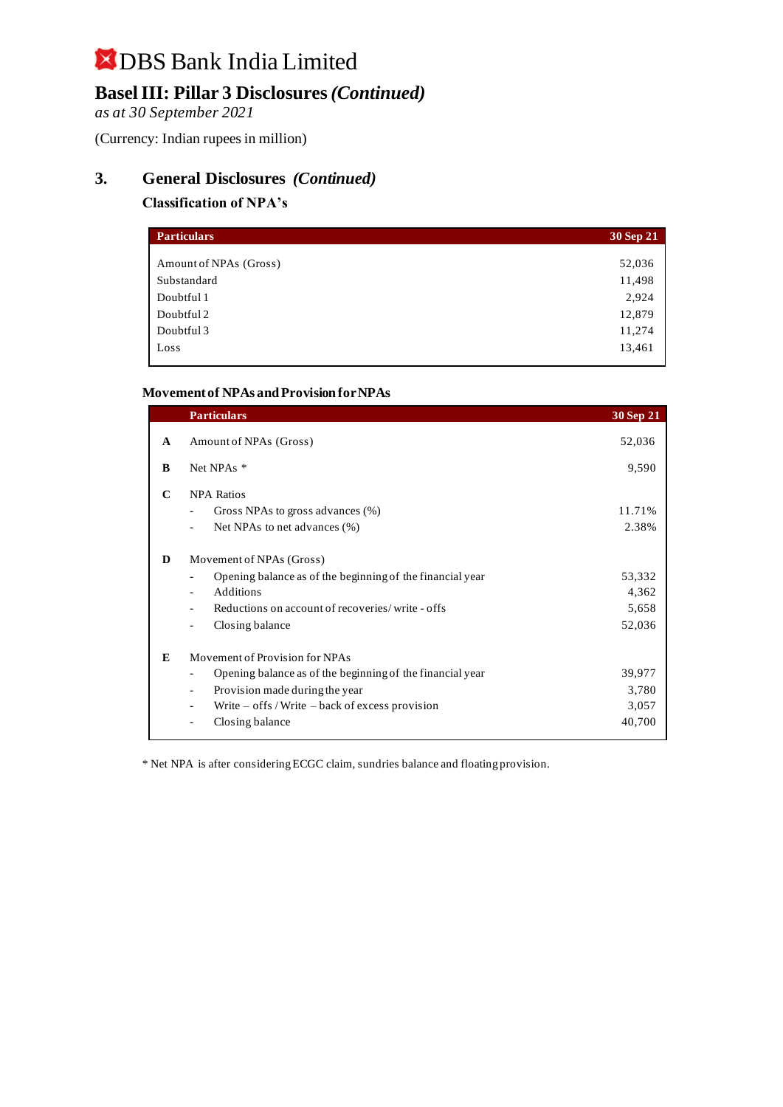### **Basel III: Pillar 3 Disclosures** *(Continued)*

*as at 30 September 2021*

(Currency: Indian rupees in million)

### **3. General Disclosures** *(Continued)*

#### **Classification of NPA's**

| <b>Particulars</b>     | 30 Sep 21 |
|------------------------|-----------|
|                        |           |
| Amount of NPAs (Gross) | 52,036    |
| Substandard            | 11,498    |
| Doubtful 1             | 2,924     |
| Doubtful 2             | 12,879    |
| Doubtful 3             | 11,274    |
| Loss                   | 13,461    |

#### **Movement of NPAs and Provision for NPAs**

|              | <b>Particulars</b>                                         | 30 Sep 21 |
|--------------|------------------------------------------------------------|-----------|
| $\mathbf{A}$ | Amount of NPAs (Gross)                                     | 52,036    |
| B            | Net NPAs *                                                 | 9,590     |
| C            | <b>NPA Ratios</b>                                          |           |
|              | Gross NPAs to gross advances (%)                           | 11.71%    |
|              | Net NPAs to net advances (%)                               | 2.38%     |
| D            | Movement of NPAs (Gross)                                   |           |
|              | Opening balance as of the beginning of the financial year  | 53,332    |
|              | Additions                                                  | 4,362     |
|              | Reductions on account of recoveries/write - offs           | 5,658     |
|              | Closing balance                                            | 52,036    |
| E            | Movement of Provision for NPAs                             |           |
|              | Opening balance as of the beginning of the financial year  | 39,977    |
|              | Provision made during the year<br>$\overline{\phantom{0}}$ | 3,780     |
|              | Write $-$ offs / Write $-$ back of excess provision        | 3,057     |
|              | Closing balance                                            | 40,700    |
|              |                                                            |           |

\* Net NPA is after considering ECGC claim, sundries balance and floating provision.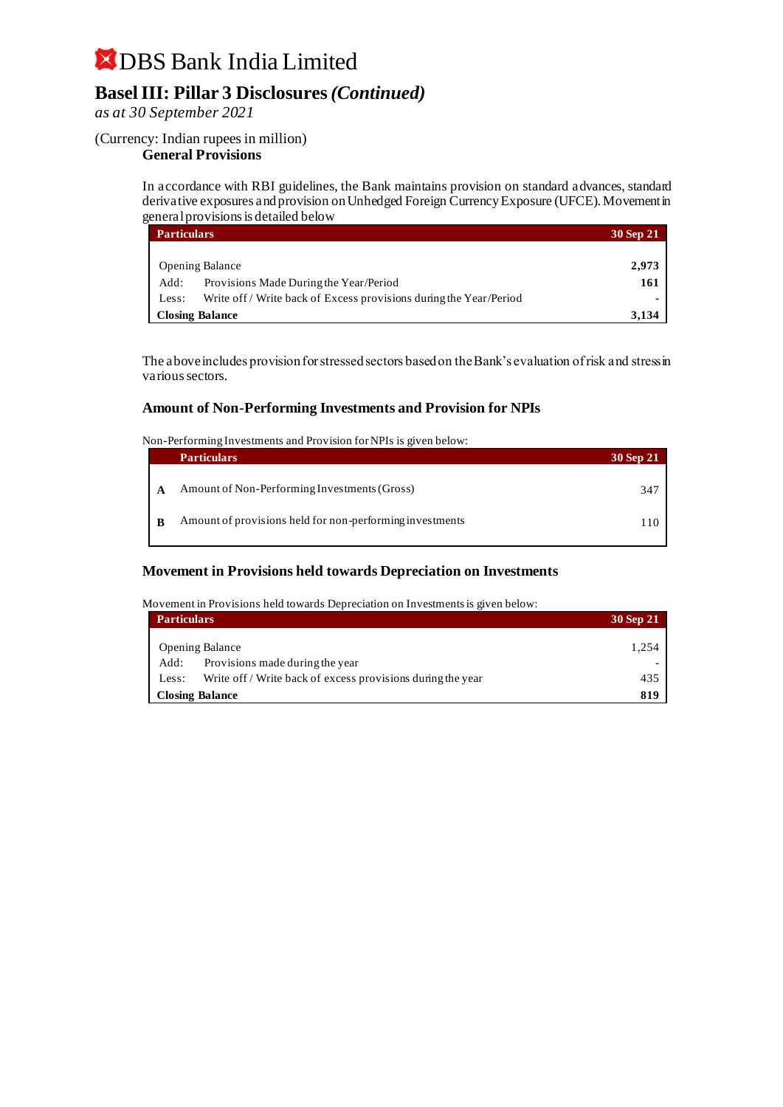### **Basel III: Pillar 3 Disclosures** *(Continued)*

#### *as at 30 September 2021*

#### (Currency: Indian rupees in million)

#### **General Provisions**

In accordance with RBI guidelines, the Bank maintains provision on standard advances, standard derivative exposures and provision on Unhedged Foreign Currency Exposure (UFCE). Movement in general provisions is detailed below

| <b>Particulars</b> |                                                                    | 30 Sep 21 |
|--------------------|--------------------------------------------------------------------|-----------|
|                    |                                                                    |           |
|                    | <b>Opening Balance</b>                                             | 2,973     |
| Add:               | Provisions Made During the Year/Period                             | 161       |
| Less:              | Write off / Write back of Excess provisions during the Year/Period |           |
|                    | <b>Closing Balance</b>                                             | 3.134     |

The above includes provision for stressed sectors based on the Bank's evaluation of risk and stress in various sectors.

#### **Amount of Non-Performing Investments and Provision for NPIs**

Non-Performing Investments and Provision for NPIs is given below:

|   | <b>Particulars</b>                                       | 30 Sep 21 |
|---|----------------------------------------------------------|-----------|
| A | Amount of Non-Performing Investments (Gross)             | 347       |
|   |                                                          |           |
| B | Amount of provisions held for non-performing investments | 110 I     |

#### **Movement in Provisions held towards Depreciation on Investments**

#### Movement in Provisions held towards Depreciation on Investments is given below:

| <b>Particulars</b>                      |                                                             | 30 Sep 21 |
|-----------------------------------------|-------------------------------------------------------------|-----------|
| <b>Opening Balance</b>                  |                                                             | 1.254     |
| Provisions made during the year<br>Add: |                                                             |           |
| Less:                                   | Write off / Write back of excess provisions during the year | 435       |
| <b>Closing Balance</b>                  |                                                             | 819       |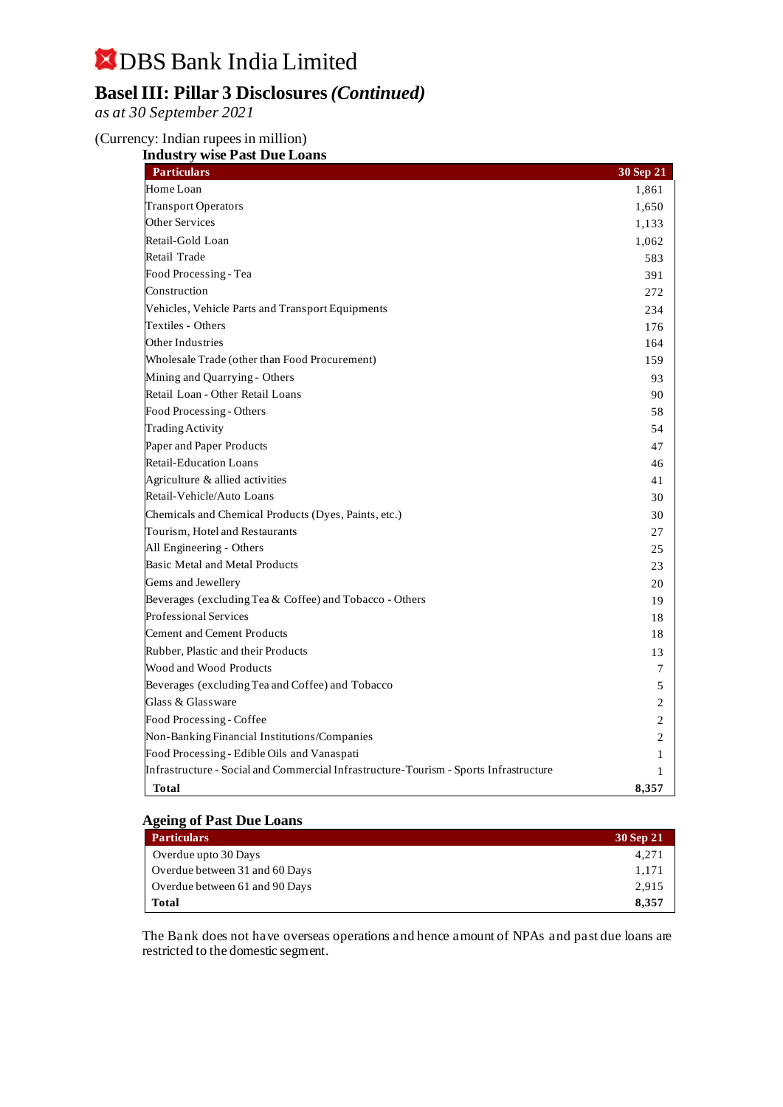### **Basel III: Pillar 3 Disclosures** *(Continued)*

*as at 30 September 2021*

#### (Currency: Indian rupees in million)

|  | <b>Industry wise Past Due Loans</b> |
|--|-------------------------------------|

| <b>Particulars</b>                                                                    | 30 Sep 21      |
|---------------------------------------------------------------------------------------|----------------|
| Home Loan                                                                             | 1,861          |
| <b>Transport Operators</b>                                                            | 1,650          |
| <b>Other Services</b>                                                                 | 1,133          |
| Retail-Gold Loan                                                                      | 1,062          |
| Retail Trade                                                                          | 583            |
| Food Processing - Tea                                                                 | 391            |
| Construction                                                                          | 272            |
| Vehicles, Vehicle Parts and Transport Equipments                                      | 234            |
| Textiles - Others                                                                     | 176            |
| Other Industries                                                                      | 164            |
| Wholesale Trade (other than Food Procurement)                                         | 159            |
| Mining and Quarrying - Others                                                         | 93             |
| Retail Loan - Other Retail Loans                                                      | 90             |
| Food Processing - Others                                                              | 58             |
| <b>Trading Activity</b>                                                               | 54             |
| Paper and Paper Products                                                              | 47             |
| <b>Retail-Education Loans</b>                                                         | 46             |
| Agriculture & allied activities                                                       | 41             |
| Retail-Vehicle/Auto Loans                                                             | 30             |
| Chemicals and Chemical Products (Dyes, Paints, etc.)                                  | 30             |
| Tourism, Hotel and Restaurants                                                        | 27             |
| All Engineering - Others                                                              | 25             |
| Basic Metal and Metal Products                                                        | 23             |
| Gems and Jewellery                                                                    | 20             |
| Beverages (excluding Tea & Coffee) and Tobacco - Others                               | 19             |
| <b>Professional Services</b>                                                          | 18             |
| <b>Cement and Cement Products</b>                                                     | 18             |
| Rubber, Plastic and their Products                                                    | 13             |
| Wood and Wood Products                                                                | 7              |
| Beverages (excluding Tea and Coffee) and Tobacco                                      | 5              |
| Glass & Glassware                                                                     | 2              |
| Food Processing - Coffee                                                              | $\overline{2}$ |
| Non-Banking Financial Institutions/Companies                                          | 2              |
| Food Processing - Edible Oils and Vanaspati                                           | 1              |
| Infrastructure - Social and Commercial Infrastructure-Tourism - Sports Infrastructure | $\mathbf{1}$   |
| Total                                                                                 | 8,357          |

#### **Ageing of Past Due Loans**

| <b>Particulars</b>             | 30 Sep 21 |
|--------------------------------|-----------|
| Overdue upto 30 Days           | 4.271     |
| Overdue between 31 and 60 Days | 1.171     |
| Overdue between 61 and 90 Days | 2.915     |
| <b>Total</b>                   | 8.357     |

The Bank does not have overseas operations and hence amount of NPAs and past due loans are restricted to the domestic segment.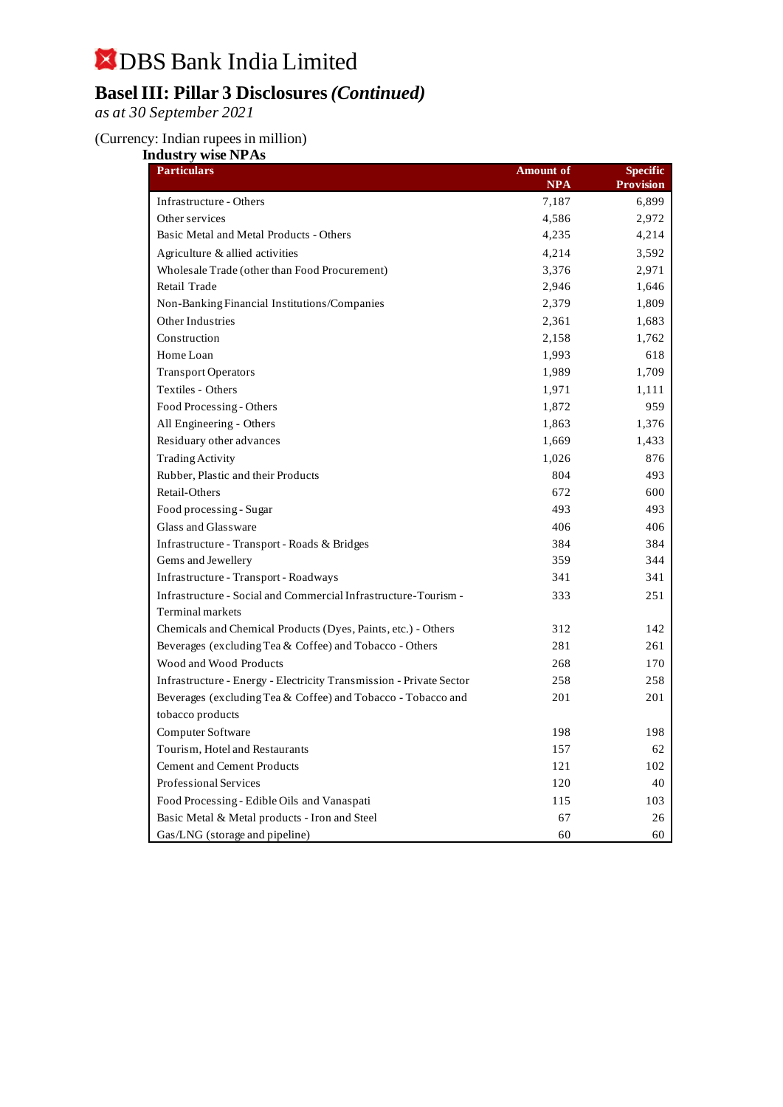## DBS Bank India Limited **Basel III: Pillar 3 Disclosures** *(Continued)*

*as at 30 September 2021*

#### (Currency: Indian rupees in million)

| <b>Industry wise NPAs</b><br><b>Particulars</b>                     | <b>Amount of</b>    | Specific                  |
|---------------------------------------------------------------------|---------------------|---------------------------|
| Infrastructure - Others                                             | <b>NPA</b><br>7,187 | <b>Provision</b><br>6,899 |
| Other services                                                      | 4,586               | 2,972                     |
| Basic Metal and Metal Products - Others                             | 4,235               | 4,214                     |
| Agriculture & allied activities                                     | 4,214               | 3,592                     |
| Wholesale Trade (other than Food Procurement)                       | 3,376               | 2,971                     |
| Retail Trade                                                        | 2,946               | 1,646                     |
| Non-Banking Financial Institutions/Companies                        | 2,379               | 1,809                     |
| Other Industries                                                    | 2,361               | 1,683                     |
| Construction                                                        | 2,158               | 1,762                     |
| Home Loan                                                           | 1,993               | 618                       |
| <b>Transport Operators</b>                                          | 1,989               | 1,709                     |
| Textiles - Others                                                   | 1,971               | 1,111                     |
| Food Processing - Others                                            | 1,872               | 959                       |
| All Engineering - Others                                            | 1,863               | 1,376                     |
| Residuary other advances                                            | 1,669               | 1,433                     |
| <b>Trading Activity</b>                                             | 1,026               | 876                       |
| Rubber, Plastic and their Products                                  | 804                 | 493                       |
| Retail-Others                                                       | 672                 | 600                       |
| Food processing - Sugar                                             | 493                 | 493                       |
| Glass and Glassware                                                 | 406                 | 406                       |
| Infrastructure - Transport - Roads & Bridges                        | 384                 | 384                       |
| Gems and Jewellery                                                  | 359                 | 344                       |
| Infrastructure - Transport - Roadways                               | 341                 | 341                       |
| Infrastructure - Social and Commercial Infrastructure-Tourism -     | 333                 | 251                       |
| <b>Terminal markets</b>                                             |                     |                           |
| Chemicals and Chemical Products (Dyes, Paints, etc.) - Others       | 312                 | 142                       |
| Beverages (excluding Tea & Coffee) and Tobacco - Others             | 281                 | 261                       |
| Wood and Wood Products                                              | 268                 | 170                       |
| Infrastructure - Energy - Electricity Transmission - Private Sector | 258                 | 258                       |
| Beverages (excluding Tea & Coffee) and Tobacco - Tobacco and        | 201                 | 201                       |
| tobacco products                                                    |                     |                           |
| Computer Software                                                   | 198                 | 198                       |
| Tourism, Hotel and Restaurants                                      | 157                 | 62                        |
| <b>Cement and Cement Products</b>                                   | 121                 | 102                       |
| Professional Services                                               | 120                 | 40                        |
| Food Processing - Edible Oils and Vanaspati                         | 115                 | 103                       |
| Basic Metal & Metal products - Iron and Steel                       | 67                  | 26                        |
| Gas/LNG (storage and pipeline)                                      | 60                  | 60                        |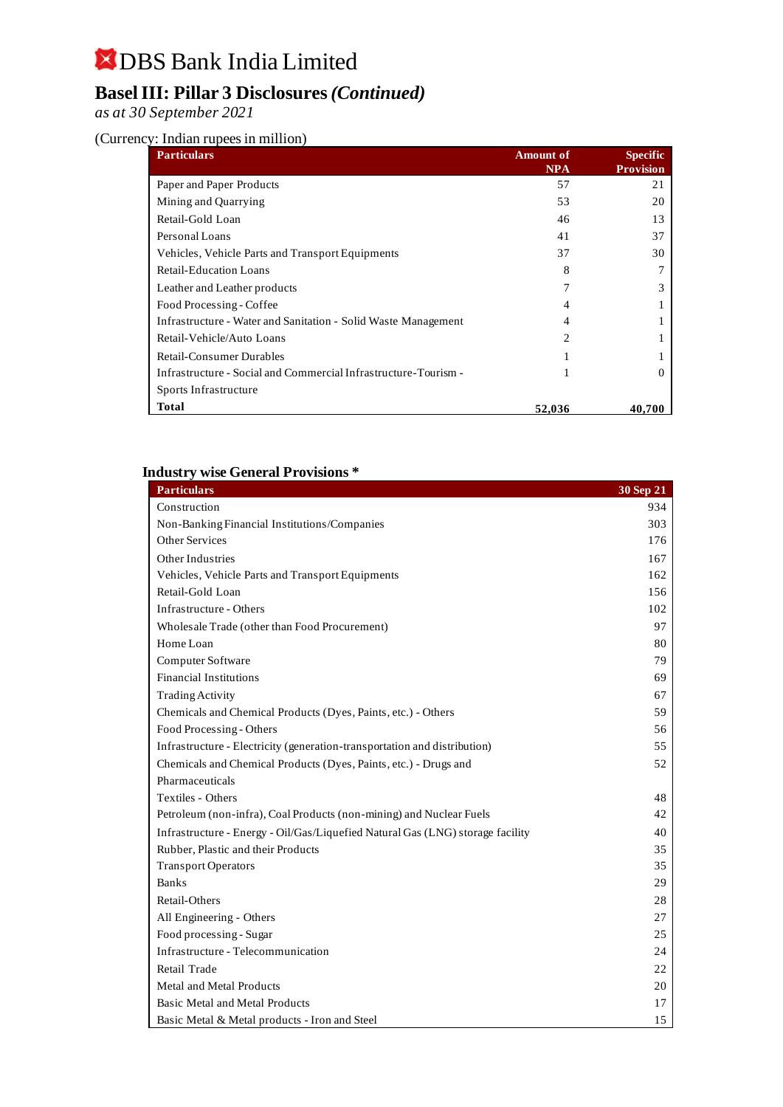### **Basel III: Pillar 3 Disclosures** *(Continued)*

*as at 30 September 2021*

#### (Currency: Indian rupees in million)

| <b>Particulars</b>                                              | <b>Amount of</b><br><b>NPA</b> | <b>Specific</b><br><b>Provision</b> |
|-----------------------------------------------------------------|--------------------------------|-------------------------------------|
| Paper and Paper Products                                        | 57                             | 21                                  |
| Mining and Quarrying                                            | 53                             | 20                                  |
| Retail-Gold Loan                                                | 46                             | 13                                  |
| Personal Loans                                                  | 41                             | 37                                  |
| Vehicles, Vehicle Parts and Transport Equipments                | 37                             | 30                                  |
| Retail-Education Loans                                          | 8                              |                                     |
| Leather and Leather products                                    | 7                              |                                     |
| Food Processing - Coffee                                        | Δ                              |                                     |
| Infrastructure - Water and Sanitation - Solid Waste Management  | 4                              |                                     |
| Retail-Vehicle/Auto Loans                                       | $\mathcal{D}_{\mathcal{L}}$    |                                     |
| <b>Retail-Consumer Durables</b>                                 |                                |                                     |
| Infrastructure - Social and Commercial Infrastructure-Tourism - |                                |                                     |
| Sports Infrastructure                                           |                                |                                     |
| Total                                                           | 52,036                         | 40,700                              |

#### **Industry wise General Provisions \***

| <b>Particulars</b>                                                             | 30 Sep 21 |
|--------------------------------------------------------------------------------|-----------|
| Construction                                                                   | 934       |
| Non-Banking Financial Institutions/Companies                                   | 303       |
| Other Services                                                                 | 176       |
| Other Industries                                                               | 167       |
| Vehicles, Vehicle Parts and Transport Equipments                               | 162       |
| Retail-Gold Loan                                                               | 156       |
| Infrastructure - Others                                                        | 102       |
| Wholesale Trade (other than Food Procurement)                                  | 97        |
| Home Loan                                                                      | 80        |
| Computer Software                                                              | 79        |
| <b>Financial Institutions</b>                                                  | 69        |
| <b>Trading Activity</b>                                                        | 67        |
| Chemicals and Chemical Products (Dyes, Paints, etc.) - Others                  | 59        |
| Food Processing - Others                                                       | 56        |
| Infrastructure - Electricity (generation-transportation and distribution)      | 55        |
| Chemicals and Chemical Products (Dyes, Paints, etc.) - Drugs and               | 52        |
| Pharmaceuticals                                                                |           |
| Textiles - Others                                                              | 48        |
| Petroleum (non-infra), Coal Products (non-mining) and Nuclear Fuels            | 42        |
| Infrastructure - Energy - Oil/Gas/Liquefied Natural Gas (LNG) storage facility | 40        |
| Rubber, Plastic and their Products                                             | 35        |
| <b>Transport Operators</b>                                                     | 35        |
| <b>Banks</b>                                                                   | 29        |
| Retail-Others                                                                  | 28        |
| All Engineering - Others                                                       | 27        |
| Food processing - Sugar                                                        | 25        |
| Infrastructure - Telecommunication                                             | 24        |
| Retail Trade                                                                   | 22        |
| <b>Metal and Metal Products</b>                                                | 20        |
| Basic Metal and Metal Products                                                 | 17        |
| Basic Metal & Metal products - Iron and Steel                                  | 15        |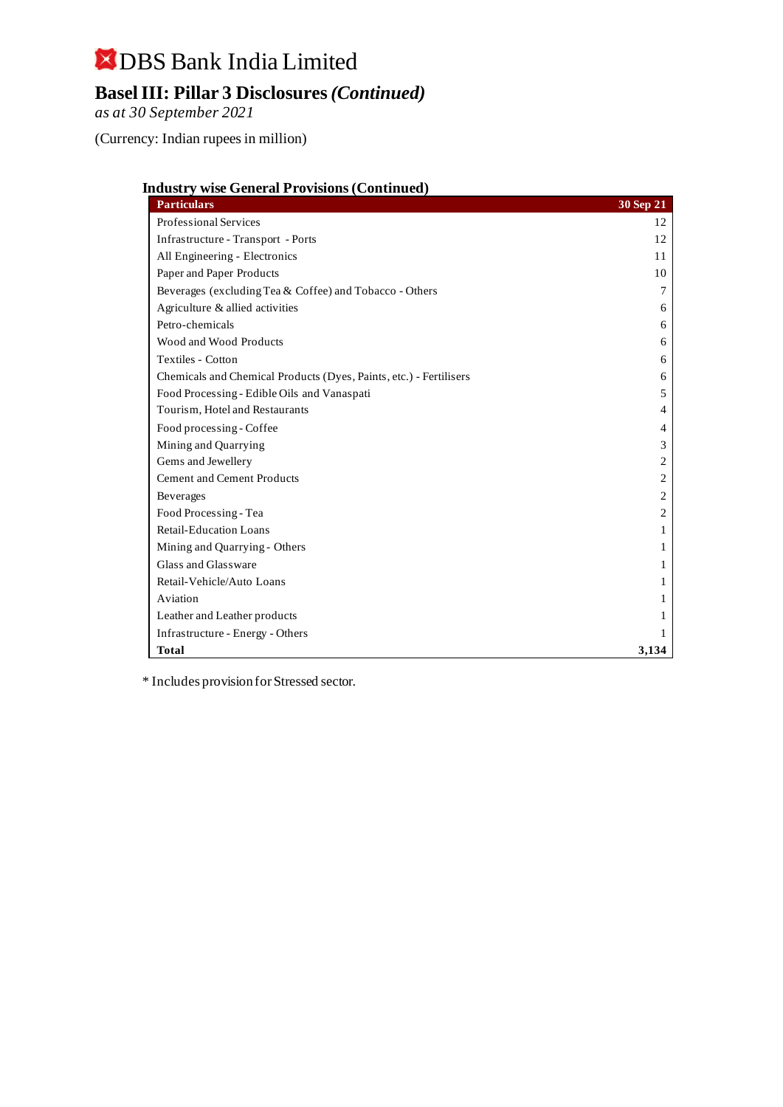## DBS Bank India Limited **Basel III: Pillar 3 Disclosures** *(Continued)*

*as at 30 September 2021*

(Currency: Indian rupees in million)

| <b>Industry wise General Provisions (Continued)</b> |  |
|-----------------------------------------------------|--|
|                                                     |  |

| <b>Particulars</b>                                                 | 30 Sep 21 |
|--------------------------------------------------------------------|-----------|
| Professional Services                                              | 12        |
| Infrastructure - Transport - Ports                                 | 12        |
| All Engineering - Electronics                                      | 11        |
| Paper and Paper Products                                           | 10        |
| Beverages (excluding Tea & Coffee) and Tobacco - Others            | 7         |
| Agriculture & allied activities                                    | 6         |
| Petro-chemicals                                                    | 6         |
| Wood and Wood Products                                             | 6         |
| Textiles - Cotton                                                  | 6         |
| Chemicals and Chemical Products (Dyes, Paints, etc.) - Fertilisers | 6         |
| Food Processing - Edible Oils and Vanaspati                        | 5         |
| Tourism, Hotel and Restaurants                                     | 4         |
| Food processing - Coffee                                           | 4         |
| Mining and Quarrying                                               | 3         |
| Gems and Jewellery                                                 | 2         |
| <b>Cement and Cement Products</b>                                  | 2         |
| Beverages                                                          | 2         |
| Food Processing - Tea                                              | 2         |
| <b>Retail-Education Loans</b>                                      | 1         |
| Mining and Quarrying - Others                                      | 1         |
| Glass and Glassware                                                | 1         |
| Retail-Vehicle/Auto Loans                                          | 1         |
| Aviation                                                           |           |
| Leather and Leather products                                       |           |
| Infrastructure - Energy - Others                                   |           |
| <b>Total</b>                                                       | 3,134     |

\* Includes provision for Stressed sector.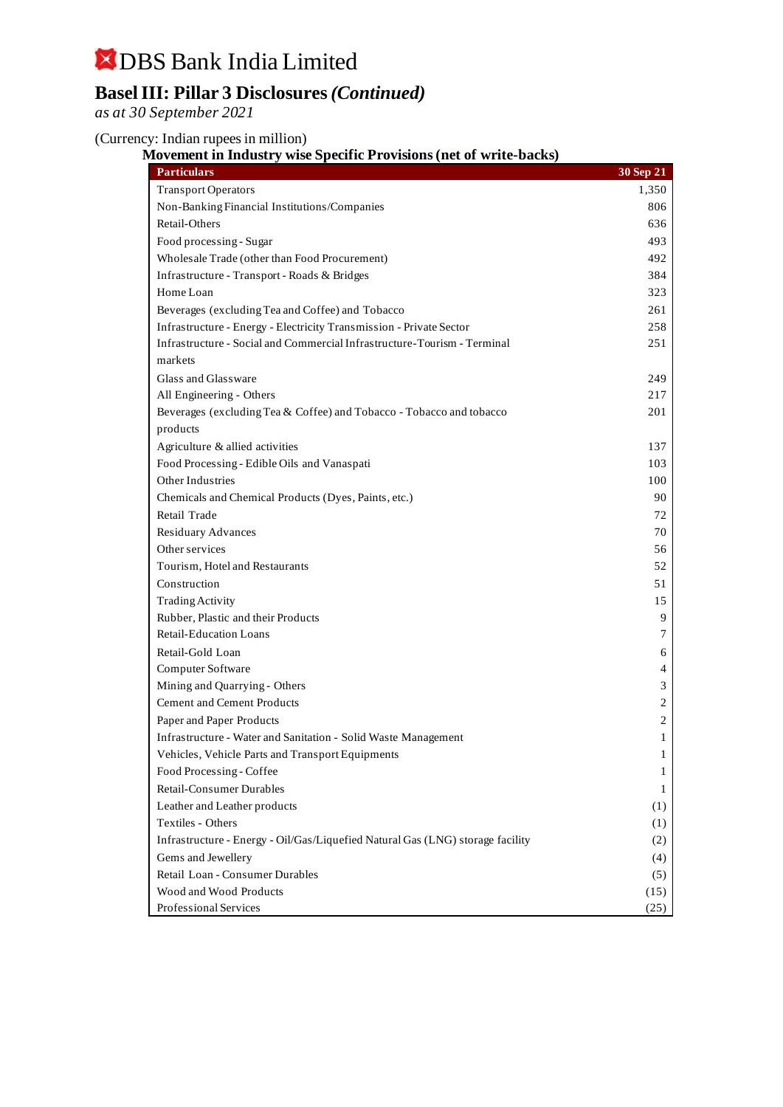### **Basel III: Pillar 3 Disclosures** *(Continued)*

*as at 30 September 2021*

(Currency: Indian rupees in million)

#### **Movement in Industry wise Specific Provisions (net of write-backs)**

| <b>Particulars</b>                                                             | 30 Sep 21 |
|--------------------------------------------------------------------------------|-----------|
| <b>Transport Operators</b>                                                     | 1,350     |
| Non-Banking Financial Institutions/Companies                                   | 806       |
| Retail-Others                                                                  | 636       |
| Food processing - Sugar                                                        | 493       |
| Wholesale Trade (other than Food Procurement)                                  | 492       |
| Infrastructure - Transport - Roads & Bridges                                   | 384       |
| Home Loan                                                                      | 323       |
| Beverages (excluding Tea and Coffee) and Tobacco                               | 261       |
| Infrastructure - Energy - Electricity Transmission - Private Sector            | 258       |
| Infrastructure - Social and Commercial Infrastructure-Tourism - Terminal       | 251       |
| markets                                                                        |           |
| Glass and Glassware                                                            | 249       |
| All Engineering - Others                                                       | 217       |
| Beverages (excluding Tea & Coffee) and Tobacco - Tobacco and tobacco           | 201       |
| products                                                                       |           |
| Agriculture & allied activities                                                | 137       |
| Food Processing - Edible Oils and Vanaspati                                    | 103       |
| Other Industries                                                               | 100       |
| Chemicals and Chemical Products (Dyes, Paints, etc.)                           | 90        |
| Retail Trade                                                                   | 72        |
| Residuary Advances                                                             | 70        |
| Other services                                                                 | 56        |
| Tourism, Hotel and Restaurants                                                 | 52        |
| Construction                                                                   | 51        |
| <b>Trading Activity</b>                                                        | 15        |
| Rubber, Plastic and their Products                                             | 9         |
| <b>Retail-Education Loans</b>                                                  | 7         |
| Retail-Gold Loan                                                               | 6         |
| Computer Software                                                              | 4         |
| Mining and Quarrying - Others                                                  | 3         |
| <b>Cement and Cement Products</b>                                              | 2         |
| Paper and Paper Products                                                       | 2         |
| Infrastructure - Water and Sanitation - Solid Waste Management                 | 1         |
| Vehicles, Vehicle Parts and Transport Equipments                               | 1         |
| Food Processing - Coffee                                                       | 1         |
| <b>Retail-Consumer Durables</b>                                                | 1         |
| Leather and Leather products                                                   | (1)       |
| Textiles - Others                                                              | (1)       |
| Infrastructure - Energy - Oil/Gas/Liquefied Natural Gas (LNG) storage facility | (2)       |
| Gems and Jewellery                                                             | (4)       |
| Retail Loan - Consumer Durables                                                | (5)       |
| Wood and Wood Products                                                         | (15)      |
| Professional Services                                                          | (25)      |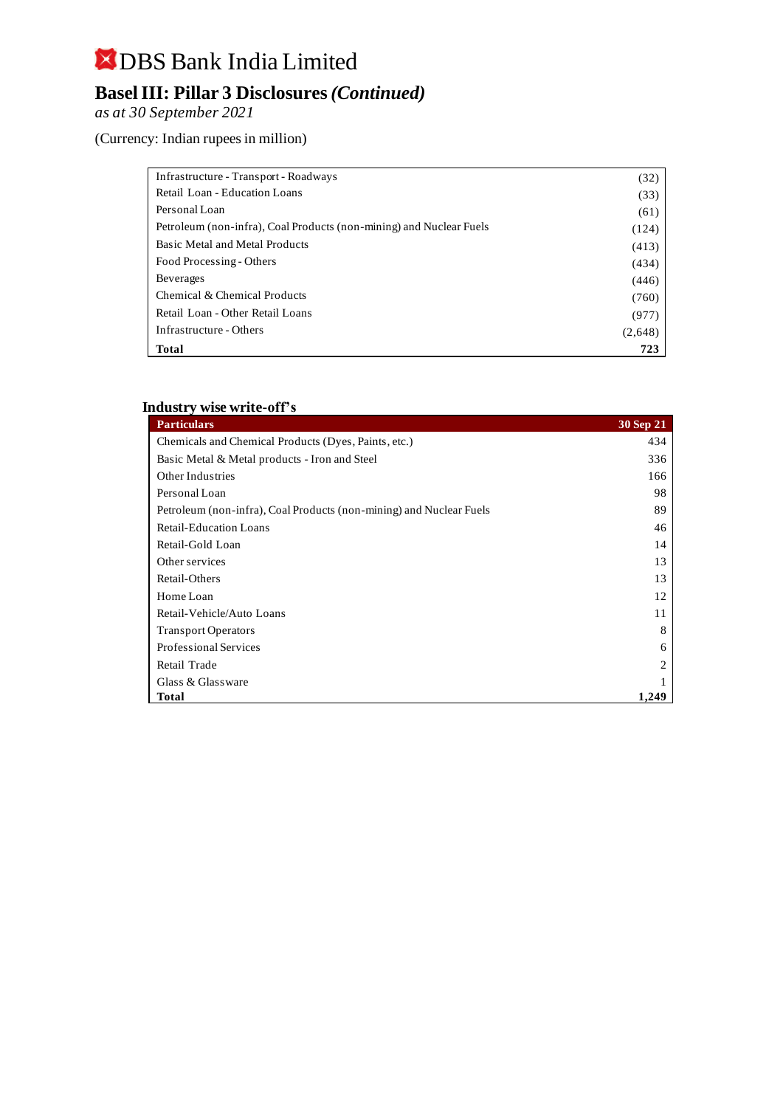## DBS Bank India Limited **Basel III: Pillar 3 Disclosures** *(Continued)*

*as at 30 September 2021*

(Currency: Indian rupees in million)

| Infrastructure - Transport - Roadways                               | (32)    |
|---------------------------------------------------------------------|---------|
| Retail Loan - Education Loans                                       | (33)    |
| Personal Loan                                                       | (61)    |
| Petroleum (non-infra), Coal Products (non-mining) and Nuclear Fuels | (124)   |
| Basic Metal and Metal Products                                      | (413)   |
| Food Processing - Others                                            | (434)   |
| <b>Beverages</b>                                                    | (446)   |
| Chemical & Chemical Products                                        | (760)   |
| Retail Loan - Other Retail Loans                                    | (977)   |
| Infrastructure - Others                                             | (2,648) |
| <b>Total</b>                                                        | 723     |

#### **Industry wise write-off's**

| <b>Particulars</b>                                                  | 30 Sep 21      |
|---------------------------------------------------------------------|----------------|
| Chemicals and Chemical Products (Dyes, Paints, etc.)                | 434            |
| Basic Metal & Metal products - Iron and Steel                       | 336            |
| Other Industries                                                    | 166            |
| Personal Loan                                                       | 98             |
| Petroleum (non-infra), Coal Products (non-mining) and Nuclear Fuels | 89             |
| <b>Retail-Education Loans</b>                                       | 46             |
| Retail-Gold Loan                                                    | 14             |
| Other services                                                      | 13             |
| Retail-Others                                                       | 13             |
| Home Loan                                                           | 12             |
| Retail-Vehicle/Auto Loans                                           | 11             |
| <b>Transport Operators</b>                                          | 8              |
| Professional Services                                               | 6              |
| Retail Trade                                                        | $\overline{c}$ |
| Glass & Glassware                                                   |                |
| <b>Total</b>                                                        | 1,249          |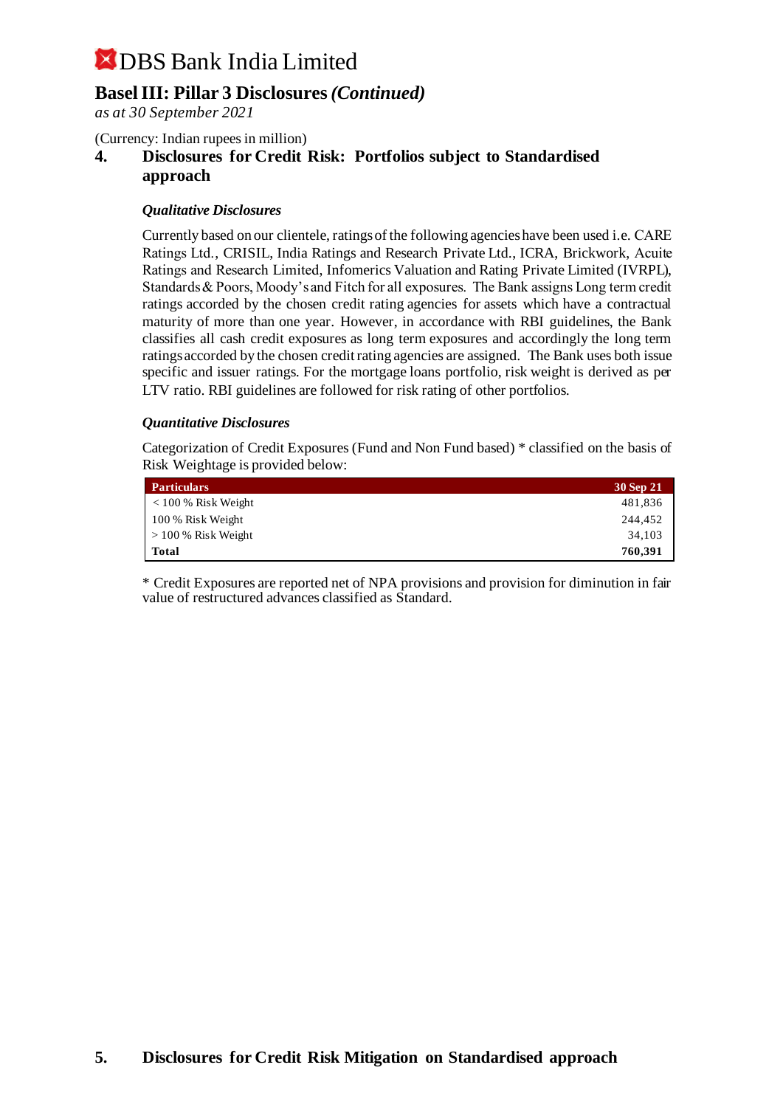### **Basel III: Pillar 3 Disclosures** *(Continued)*

*as at 30 September 2021*

(Currency: Indian rupees in million)

**4. Disclosures for Credit Risk: Portfolios subject to Standardised approach**

#### *Qualitative Disclosures*

Currently based on our clientele, ratings of the following agencies have been used i.e. CARE Ratings Ltd., CRISIL, India Ratings and Research Private Ltd., ICRA, Brickwork, Acuite Ratings and Research Limited, Infomerics Valuation and Rating Private Limited (IVRPL), Standards & Poors, Moody's and Fitch for all exposures. The Bank assigns Long term credit ratings accorded by the chosen credit rating agencies for assets which have a contractual maturity of more than one year. However, in accordance with RBI guidelines, the Bank classifies all cash credit exposures as long term exposures and accordingly the long term ratings accorded by the chosen credit rating agencies are assigned. The Bank uses both issue specific and issuer ratings. For the mortgage loans portfolio, risk weight is derived as per LTV ratio. RBI guidelines are followed for risk rating of other portfolios.

#### *Quantitative Disclosures*

Categorization of Credit Exposures (Fund and Non Fund based) \* classified on the basis of Risk Weightage is provided below:

| <b>Particulars</b>          | 30 Sep 21 |
|-----------------------------|-----------|
| $\approx 100\%$ Risk Weight | 481,836   |
| 100 % Risk Weight           | 244,452   |
| $>100\%$ Risk Weight        | 34.103    |
| Total                       | 760,391   |

\* Credit Exposures are reported net of NPA provisions and provision for diminution in fair value of restructured advances classified as Standard.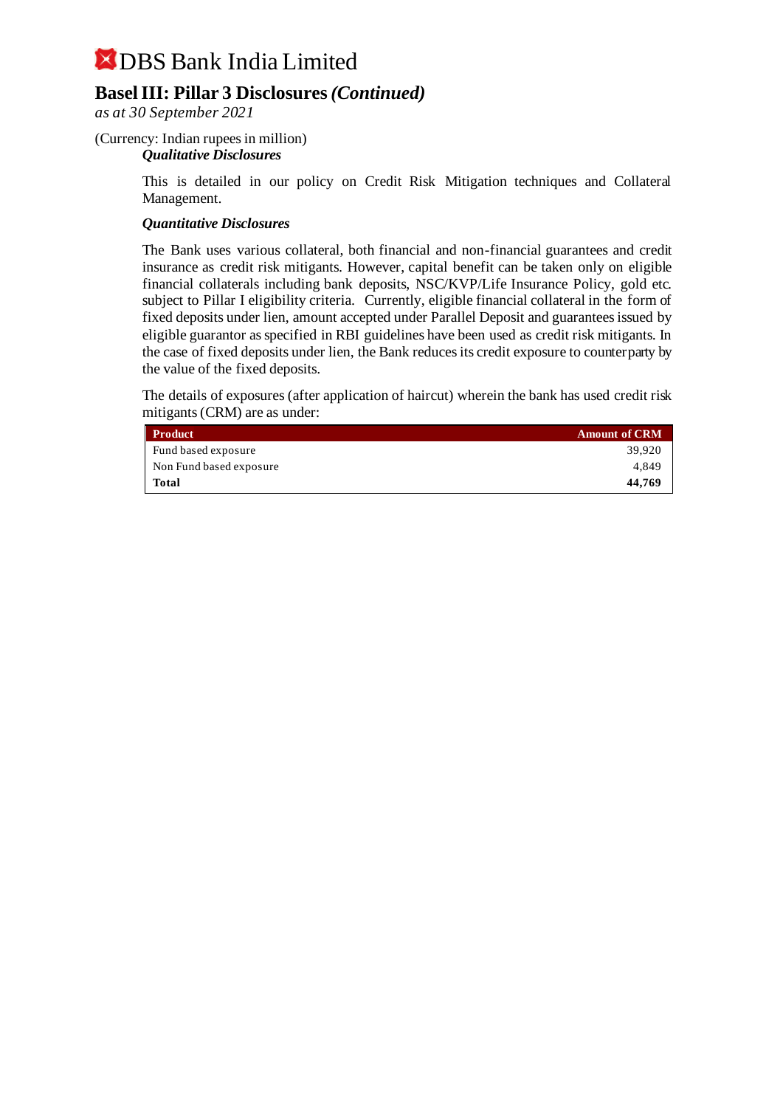### **Basel III: Pillar 3 Disclosures** *(Continued)*

*as at 30 September 2021*

#### (Currency: Indian rupees in million)

#### *Qualitative Disclosures*

This is detailed in our policy on Credit Risk Mitigation techniques and Collateral Management.

#### *Quantitative Disclosures*

The Bank uses various collateral, both financial and non-financial guarantees and credit insurance as credit risk mitigants. However, capital benefit can be taken only on eligible financial collaterals including bank deposits, NSC/KVP/Life Insurance Policy, gold etc. subject to Pillar I eligibility criteria. Currently, eligible financial collateral in the form of fixed deposits under lien, amount accepted under Parallel Deposit and guarantees issued by eligible guarantor as specified in RBI guidelines have been used as credit risk mitigants. In the case of fixed deposits under lien, the Bank reduces its credit exposure to counterparty by the value of the fixed deposits.

The details of exposures (after application of haircut) wherein the bank has used credit risk mitigants (CRM) are as under:

| <b>Product</b>          | <b>Amount of CRM</b> |
|-------------------------|----------------------|
| Fund based exposure     | 39.920               |
| Non Fund based exposure | 4.849                |
| <b>Total</b>            | 44,769               |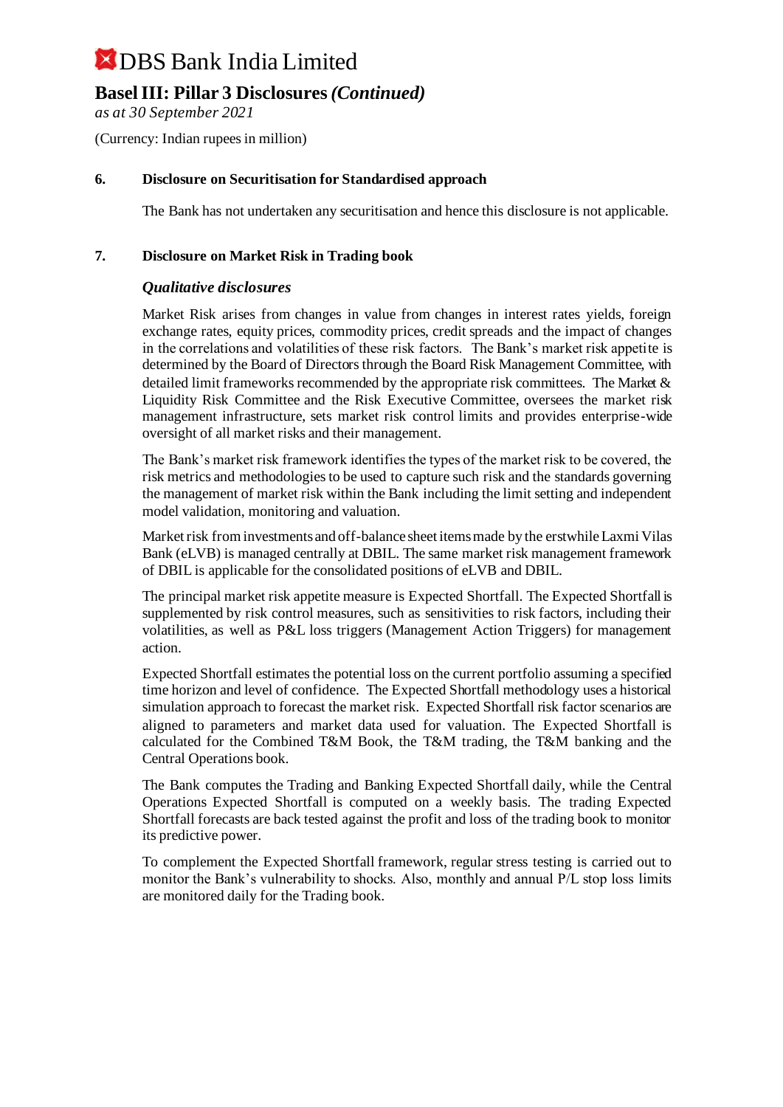### **Basel III: Pillar 3 Disclosures** *(Continued)*

*as at 30 September 2021*

(Currency: Indian rupees in million)

#### **6. Disclosure on Securitisation for Standardised approach**

The Bank has not undertaken any securitisation and hence this disclosure is not applicable.

#### **7. Disclosure on Market Risk in Trading book**

#### *Qualitative disclosures*

Market Risk arises from changes in value from changes in interest rates yields, foreign exchange rates, equity prices, commodity prices, credit spreads and the impact of changes in the correlations and volatilities of these risk factors. The Bank's market risk appetite is determined by the Board of Directors through the Board Risk Management Committee, with detailed limit frameworks recommended by the appropriate risk committees. The Market & Liquidity Risk Committee and the Risk Executive Committee, oversees the market risk management infrastructure, sets market risk control limits and provides enterprise-wide oversight of all market risks and their management.

The Bank's market risk framework identifies the types of the market risk to be covered, the risk metrics and methodologies to be used to capture such risk and the standards governing the management of market risk within the Bank including the limit setting and independent model validation, monitoring and valuation.

Market risk from investments and off-balance sheet items made by the erstwhile Laxmi Vilas Bank (eLVB) is managed centrally at DBIL. The same market risk management framework of DBIL is applicable for the consolidated positions of eLVB and DBIL.

The principal market risk appetite measure is Expected Shortfall. The Expected Shortfall is supplemented by risk control measures, such as sensitivities to risk factors, including their volatilities, as well as P&L loss triggers (Management Action Triggers) for management action.

Expected Shortfall estimates the potential loss on the current portfolio assuming a specified time horizon and level of confidence. The Expected Shortfall methodology uses a historical simulation approach to forecast the market risk. Expected Shortfall risk factor scenarios are aligned to parameters and market data used for valuation. The Expected Shortfall is calculated for the Combined T&M Book, the T&M trading, the T&M banking and the Central Operations book.

The Bank computes the Trading and Banking Expected Shortfall daily, while the Central Operations Expected Shortfall is computed on a weekly basis. The trading Expected Shortfall forecasts are back tested against the profit and loss of the trading book to monitor its predictive power.

To complement the Expected Shortfall framework, regular stress testing is carried out to monitor the Bank's vulnerability to shocks. Also, monthly and annual P/L stop loss limits are monitored daily for the Trading book.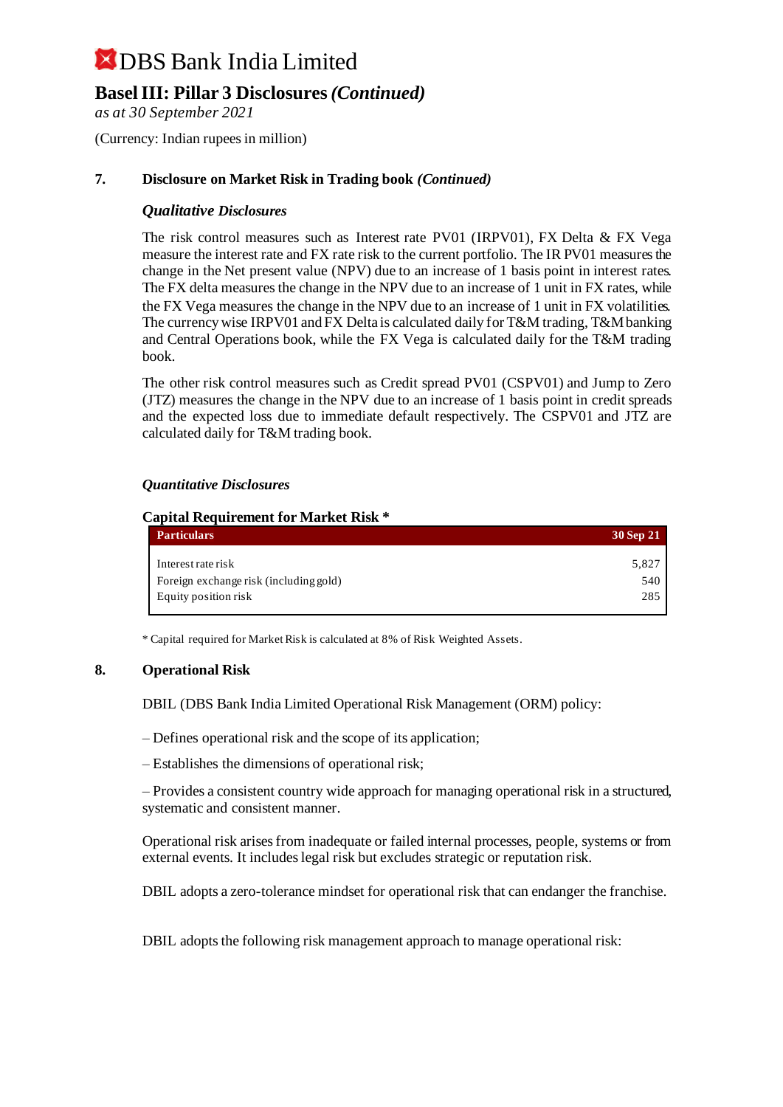### **Basel III: Pillar 3 Disclosures** *(Continued)*

*as at 30 September 2021*

(Currency: Indian rupees in million)

#### **7. Disclosure on Market Risk in Trading book** *(Continued)*

#### *Qualitative Disclosures*

The risk control measures such as Interest rate PV01 (IRPV01), FX Delta & FX Vega measure the interest rate and FX rate risk to the current portfolio. The IR PV01 measures the change in the Net present value (NPV) due to an increase of 1 basis point in interest rates. The FX delta measures the change in the NPV due to an increase of 1 unit in FX rates, while the FX Vega measures the change in the NPV due to an increase of 1 unit in FX volatilities. The currency wise IRPV01 and FX Delta is calculated daily for T&M trading, T&M banking and Central Operations book, while the FX Vega is calculated daily for the T&M trading book.

The other risk control measures such as Credit spread PV01 (CSPV01) and Jump to Zero (JTZ) measures the change in the NPV due to an increase of 1 basis point in credit spreads and the expected loss due to immediate default respectively. The CSPV01 and JTZ are calculated daily for T&M trading book.

#### *Quantitative Disclosures*

#### **Capital Requirement for Market Risk \***

| 30 Sep 21 |
|-----------|
| 5,827     |
| 540 l     |
| 285       |
|           |

\* Capital required for Market Risk is calculated at 8% of Risk Weighted Assets.

#### **8. Operational Risk**

DBIL (DBS Bank India Limited Operational Risk Management (ORM) policy:

– Defines operational risk and the scope of its application;

– Establishes the dimensions of operational risk;

– Provides a consistent country wide approach for managing operational risk in a structured, systematic and consistent manner.

Operational risk arises from inadequate or failed internal processes, people, systems or from external events. It includes legal risk but excludes strategic or reputation risk.

DBIL adopts a zero-tolerance mindset for operational risk that can endanger the franchise.

DBIL adopts the following risk management approach to manage operational risk: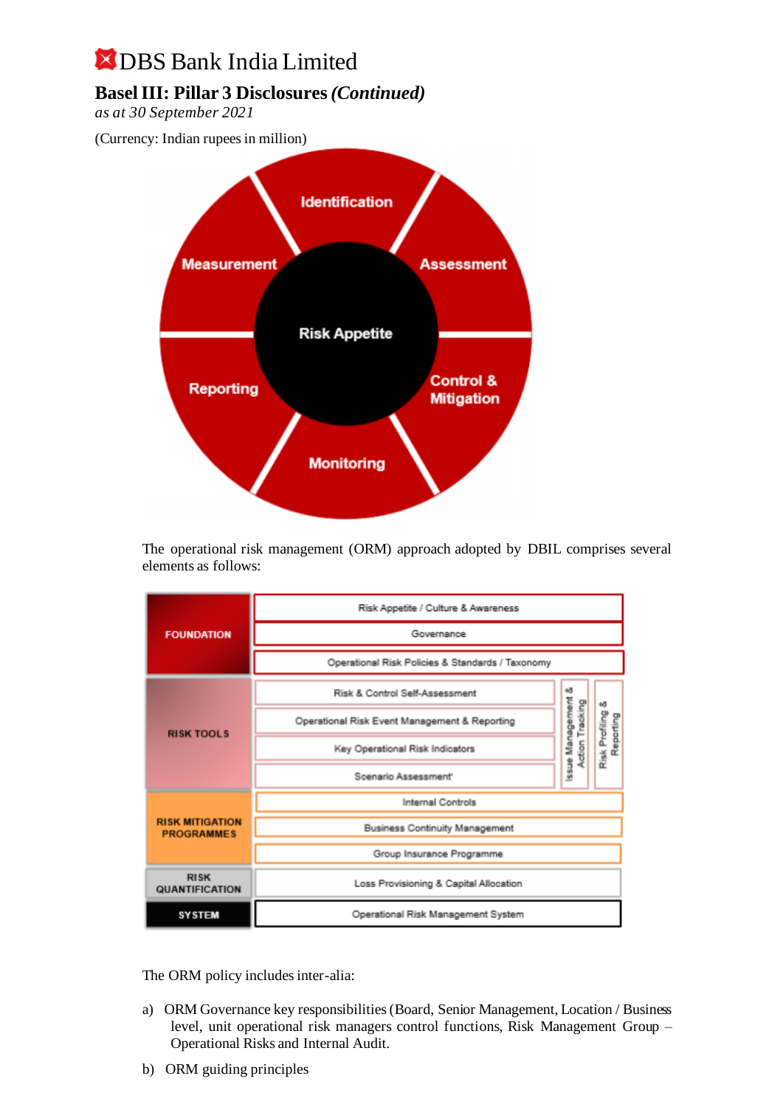#### **Basel III: Pillar 3 Disclosures** *(Continued)*

*as at 30 September 2021*

(Currency: Indian rupees in million)



The operational risk management (ORM) approach adopted by DBIL comprises several elements as follows:

|                                             | Risk Appetite / Culture & Awareness              |                                     |                |
|---------------------------------------------|--------------------------------------------------|-------------------------------------|----------------|
| <b>FOUNDATION</b>                           | Governance                                       |                                     |                |
|                                             | Operational Risk Policies & Standards / Taxonomy |                                     |                |
|                                             | Risk & Control Self-Assessment                   | еð                                  | еð             |
| <b>RISK TOOLS</b>                           | Operational Risk Event Management & Reporting    | Issue Management<br>Action Tracking | Reporting      |
|                                             | Key Operational Risk Indicators                  |                                     | Risk Profiling |
|                                             | Scenario Assessment'                             |                                     |                |
| Internal Controls                           |                                                  |                                     |                |
| <b>RISK MITIGATION</b><br><b>PROGRAMMES</b> | <b>Business Continuity Management</b>            |                                     |                |
|                                             | Group Insurance Programme                        |                                     |                |
| <b>RISK</b><br>QUANTIFICATION               | Loss Provisioning & Capital Allocation           |                                     |                |
| <b>SYSTEM</b>                               | Operational Risk Management System               |                                     |                |

The ORM policy includes inter-alia:

- a) ORM Governance key responsibilities (Board, Senior Management, Location / Business level, unit operational risk managers control functions, Risk Management Group – Operational Risks and Internal Audit.
- b) ORM guiding principles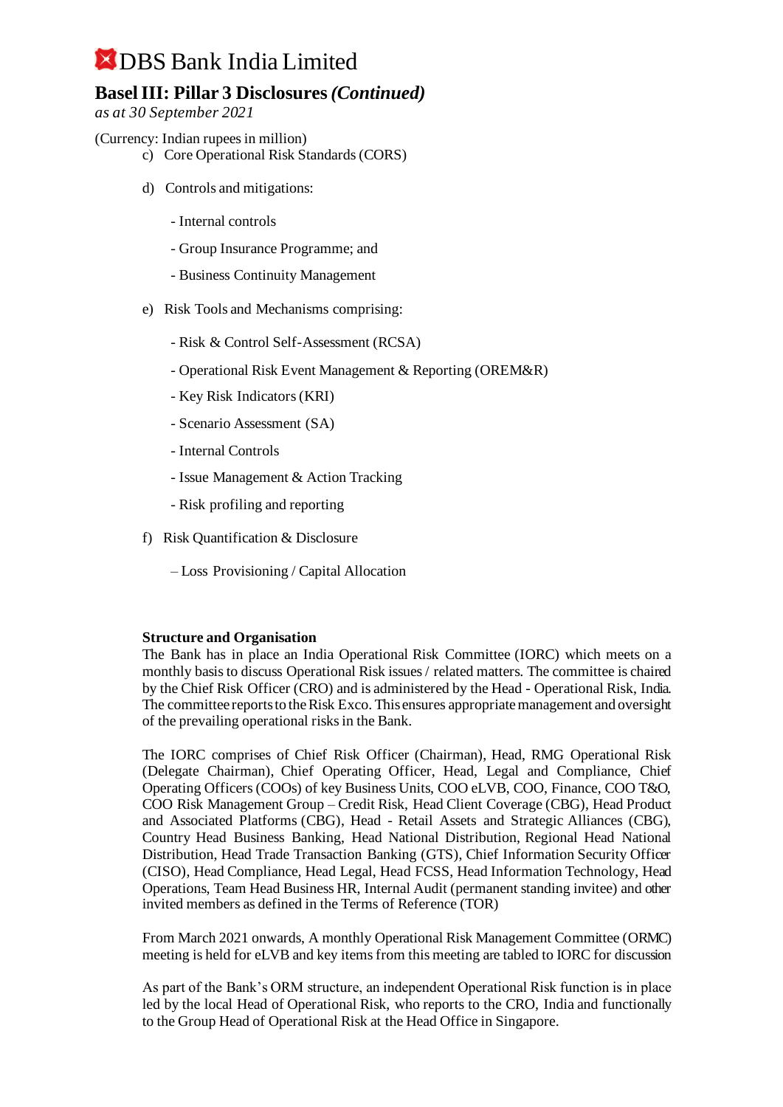### **Basel III: Pillar 3 Disclosures** *(Continued)*

*as at 30 September 2021*

- (Currency: Indian rupees in million)
	- c) Core Operational Risk Standards (CORS)
	- d) Controls and mitigations:
		- Internal controls
		- Group Insurance Programme; and
		- Business Continuity Management
	- e) Risk Tools and Mechanisms comprising:
		- Risk & Control Self-Assessment (RCSA)
		- Operational Risk Event Management & Reporting (OREM&R)
		- Key Risk Indicators (KRI)
		- Scenario Assessment (SA)
		- Internal Controls
		- Issue Management & Action Tracking
		- Risk profiling and reporting
	- f) Risk Quantification & Disclosure
		- Loss Provisioning / Capital Allocation

#### **Structure and Organisation**

The Bank has in place an India Operational Risk Committee (IORC) which meets on a monthly basis to discuss Operational Risk issues / related matters. The committee is chaired by the Chief Risk Officer (CRO) and is administered by the Head - Operational Risk, India. The committee reports to the Risk Exco. This ensures appropriate management and oversight of the prevailing operational risks in the Bank.

The IORC comprises of Chief Risk Officer (Chairman), Head, RMG Operational Risk (Delegate Chairman), Chief Operating Officer, Head, Legal and Compliance, Chief Operating Officers (COOs) of key Business Units, COO eLVB, COO, Finance, COO T&O, COO Risk Management Group – Credit Risk, Head Client Coverage (CBG), Head Product and Associated Platforms (CBG), Head - Retail Assets and Strategic Alliances (CBG), Country Head Business Banking, Head National Distribution, Regional Head National Distribution, Head Trade Transaction Banking (GTS), Chief Information Security Officer (CISO), Head Compliance, Head Legal, Head FCSS, Head Information Technology, Head Operations, Team Head Business HR, Internal Audit (permanent standing invitee) and other invited members as defined in the Terms of Reference (TOR)

From March 2021 onwards, A monthly Operational Risk Management Committee (ORMC) meeting is held for eLVB and key items from this meeting are tabled to IORC for discussion

As part of the Bank's ORM structure, an independent Operational Risk function is in place led by the local Head of Operational Risk, who reports to the CRO, India and functionally to the Group Head of Operational Risk at the Head Office in Singapore.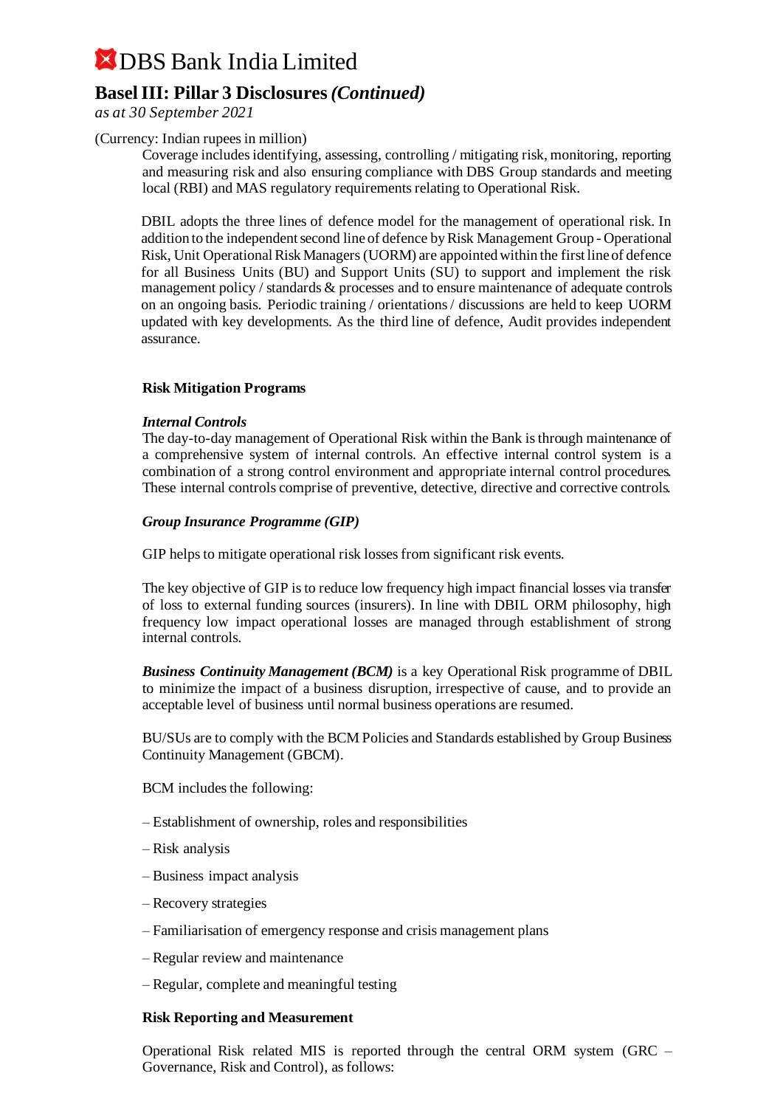### **Basel III: Pillar 3 Disclosures** *(Continued)*

*as at 30 September 2021*

#### (Currency: Indian rupees in million)

Coverage includes identifying, assessing, controlling / mitigating risk, monitoring, reporting and measuring risk and also ensuring compliance with DBS Group standards and meeting local (RBI) and MAS regulatory requirements relating to Operational Risk.

DBIL adopts the three lines of defence model for the management of operational risk. In addition to the independent second line of defence by Risk Management Group - Operational Risk, Unit Operational Risk Managers (UORM) are appointed within the first line of defence for all Business Units (BU) and Support Units (SU) to support and implement the risk management policy / standards & processes and to ensure maintenance of adequate controls on an ongoing basis. Periodic training / orientations / discussions are held to keep UORM updated with key developments. As the third line of defence, Audit provides independent assurance.

#### **Risk Mitigation Programs**

#### *Internal Controls*

The day-to-day management of Operational Risk within the Bank is through maintenance of a comprehensive system of internal controls. An effective internal control system is a combination of a strong control environment and appropriate internal control procedures. These internal controls comprise of preventive, detective, directive and corrective controls.

#### *Group Insurance Programme (GIP)*

GIP helps to mitigate operational risk losses from significant risk events.

The key objective of GIP is to reduce low frequency high impact financial losses via transfer of loss to external funding sources (insurers). In line with DBIL ORM philosophy, high frequency low impact operational losses are managed through establishment of strong internal controls.

*Business Continuity Management (BCM)* is a key Operational Risk programme of DBIL to minimize the impact of a business disruption, irrespective of cause, and to provide an acceptable level of business until normal business operations are resumed.

BU/SUs are to comply with the BCM Policies and Standards established by Group Business Continuity Management (GBCM).

BCM includes the following:

- Establishment of ownership, roles and responsibilities
- Risk analysis
- Business impact analysis
- Recovery strategies
- Familiarisation of emergency response and crisis management plans
- Regular review and maintenance
- Regular, complete and meaningful testing

#### **Risk Reporting and Measurement**

Operational Risk related MIS is reported through the central ORM system (GRC – Governance, Risk and Control), as follows: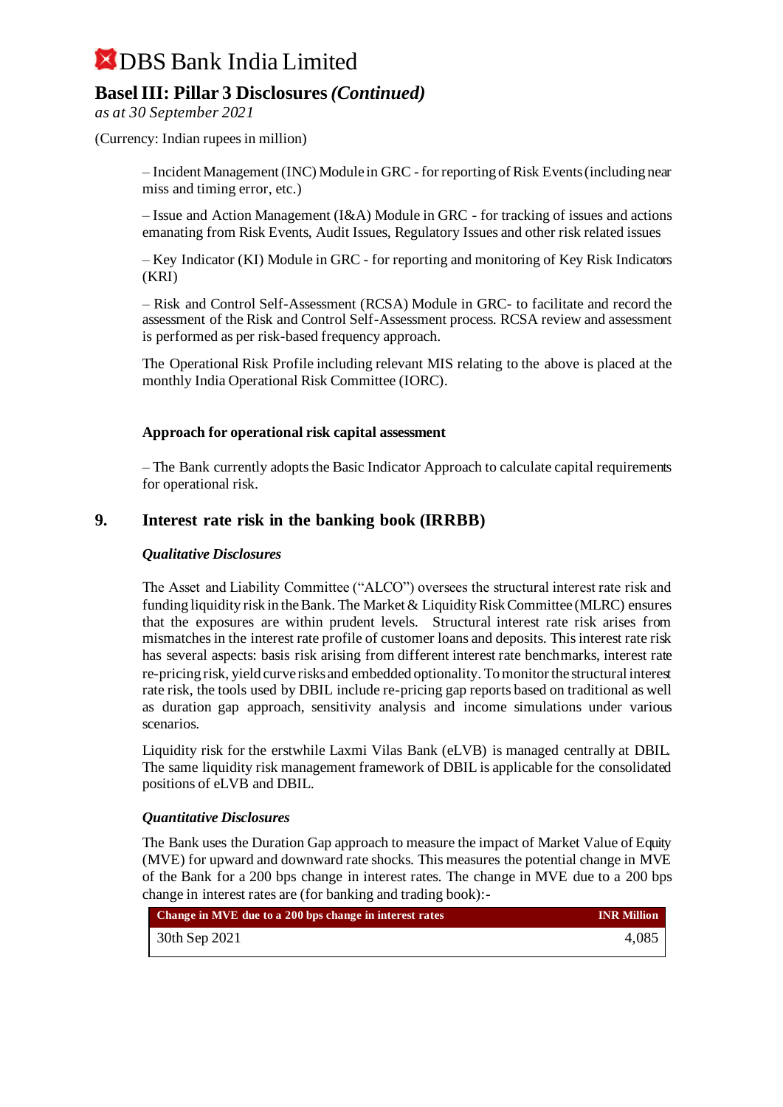### **Basel III: Pillar 3 Disclosures** *(Continued)*

*as at 30 September 2021*

(Currency: Indian rupees in million)

– Incident Management (INC) Module in GRC - for reporting of Risk Events (including near miss and timing error, etc.)

– Issue and Action Management (I&A) Module in GRC - for tracking of issues and actions emanating from Risk Events, Audit Issues, Regulatory Issues and other risk related issues

– Key Indicator (KI) Module in GRC - for reporting and monitoring of Key Risk Indicators (KRI)

– Risk and Control Self-Assessment (RCSA) Module in GRC- to facilitate and record the assessment of the Risk and Control Self-Assessment process. RCSA review and assessment is performed as per risk-based frequency approach.

The Operational Risk Profile including relevant MIS relating to the above is placed at the monthly India Operational Risk Committee (IORC).

#### **Approach for operational risk capital assessment**

– The Bank currently adopts the Basic Indicator Approach to calculate capital requirements for operational risk.

#### **9. Interest rate risk in the banking book (IRRBB)**

#### *Qualitative Disclosures*

The Asset and Liability Committee ("ALCO") oversees the structural interest rate risk and funding liquidity risk in the Bank. The Market & Liquidity Risk Committee (MLRC) ensures that the exposures are within prudent levels. Structural interest rate risk arises from mismatches in the interest rate profile of customer loans and deposits. This interest rate risk has several aspects: basis risk arising from different interest rate benchmarks, interest rate re-pricing risk, yield curve risks and embedded optionality. To monitor the structural interest rate risk, the tools used by DBIL include re-pricing gap reports based on traditional as well as duration gap approach, sensitivity analysis and income simulations under various scenarios.

Liquidity risk for the erstwhile Laxmi Vilas Bank (eLVB) is managed centrally at DBIL. The same liquidity risk management framework of DBIL is applicable for the consolidated positions of eLVB and DBIL.

#### *Quantitative Disclosures*

The Bank uses the Duration Gap approach to measure the impact of Market Value of Equity (MVE) for upward and downward rate shocks. This measures the potential change in MVE of the Bank for a 200 bps change in interest rates. The change in MVE due to a 200 bps change in interest rates are (for banking and trading book):-

| Change in MVE due to a $200$ bps change in interest rates | <b>INR Million</b> |
|-----------------------------------------------------------|--------------------|
| 30th Sep 2021                                             | 4,085              |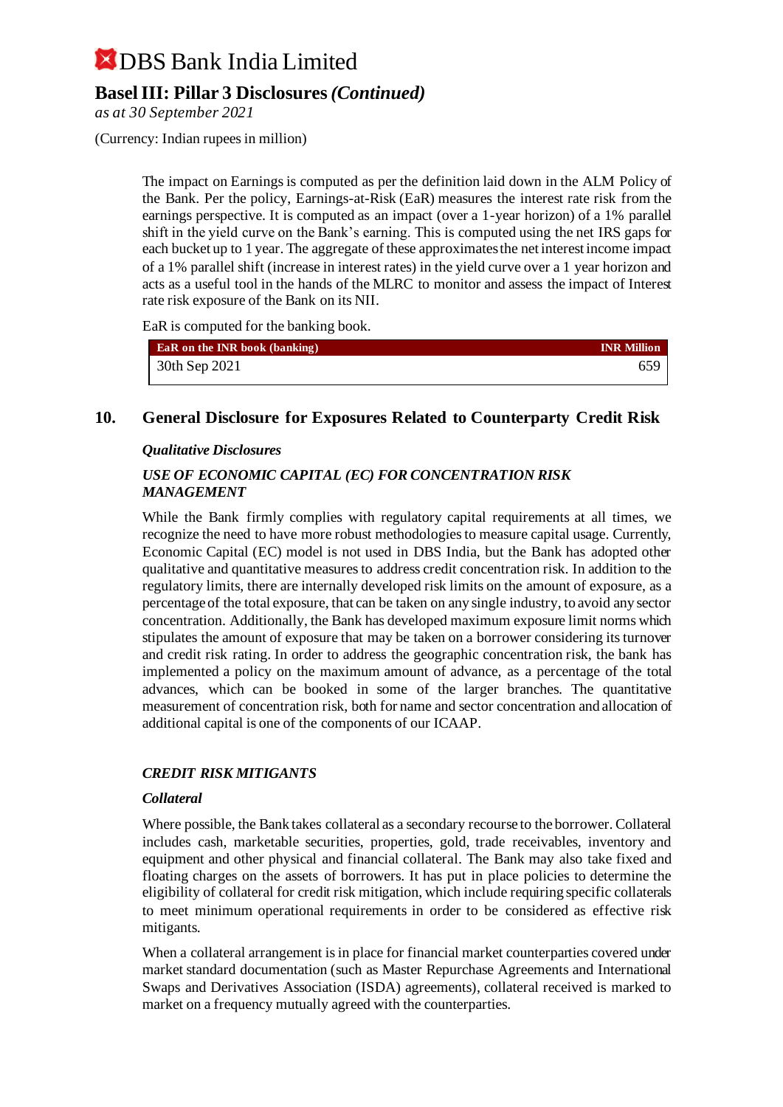### **Basel III: Pillar 3 Disclosures** *(Continued)*

*as at 30 September 2021*

(Currency: Indian rupees in million)

The impact on Earnings is computed as per the definition laid down in the ALM Policy of the Bank. Per the policy, Earnings-at-Risk (EaR) measures the interest rate risk from the earnings perspective. It is computed as an impact (over a 1-year horizon) of a 1% parallel shift in the yield curve on the Bank's earning. This is computed using the net IRS gaps for each bucket up to 1 year. The aggregate of these approximates the net interest income impact of a 1% parallel shift (increase in interest rates) in the yield curve over a 1 year horizon and acts as a useful tool in the hands of the MLRC to monitor and assess the impact of Interest rate risk exposure of the Bank on its NII.

EaR is computed for the banking book.

| <b>EaR</b> on the <b>INR</b> book (banking) | <b>INR Million</b> |
|---------------------------------------------|--------------------|
| 30th Sep 2021                               | 659                |

#### **10. General Disclosure for Exposures Related to Counterparty Credit Risk**

#### *Qualitative Disclosures*

#### *USE OF ECONOMIC CAPITAL (EC) FOR CONCENTRATION RISK MANAGEMENT*

While the Bank firmly complies with regulatory capital requirements at all times, we recognize the need to have more robust methodologies to measure capital usage. Currently, Economic Capital (EC) model is not used in DBS India, but the Bank has adopted other qualitative and quantitative measures to address credit concentration risk. In addition to the regulatory limits, there are internally developed risk limits on the amount of exposure, as a percentage of the total exposure, that can be taken on any single industry, to avoid any sector concentration. Additionally, the Bank has developed maximum exposure limit norms which stipulates the amount of exposure that may be taken on a borrower considering its turnover and credit risk rating. In order to address the geographic concentration risk, the bank has implemented a policy on the maximum amount of advance, as a percentage of the total advances, which can be booked in some of the larger branches. The quantitative measurement of concentration risk, both for name and sector concentration and allocation of additional capital is one of the components of our ICAAP.

#### *CREDIT RISK MITIGANTS*

#### *Collateral*

Where possible, the Bank takes collateral as a secondary recourse to the borrower. Collateral includes cash, marketable securities, properties, gold, trade receivables, inventory and equipment and other physical and financial collateral. The Bank may also take fixed and floating charges on the assets of borrowers. It has put in place policies to determine the eligibility of collateral for credit risk mitigation, which include requiring specific collaterals to meet minimum operational requirements in order to be considered as effective risk mitigants.

When a collateral arrangement is in place for financial market counterparties covered under market standard documentation (such as Master Repurchase Agreements and International Swaps and Derivatives Association (ISDA) agreements), collateral received is marked to market on a frequency mutually agreed with the counterparties.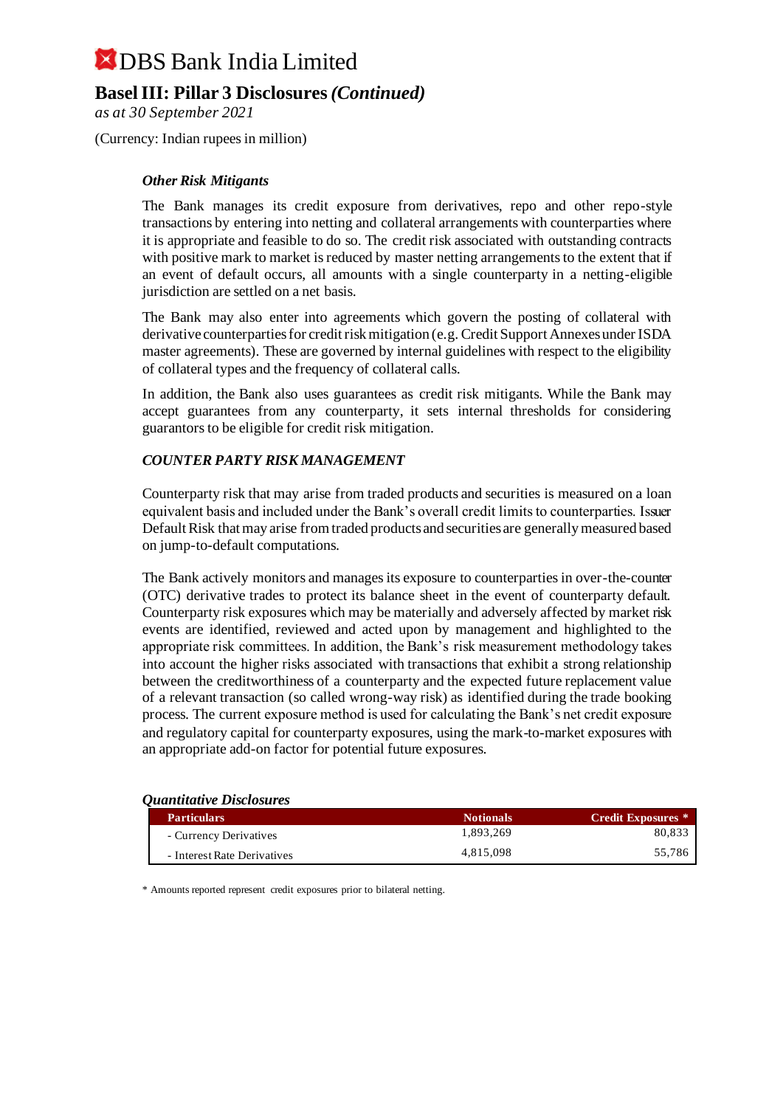### **Basel III: Pillar 3 Disclosures** *(Continued)*

*as at 30 September 2021*

(Currency: Indian rupees in million)

#### *Other Risk Mitigants*

The Bank manages its credit exposure from derivatives, repo and other repo-style transactions by entering into netting and collateral arrangements with counterparties where it is appropriate and feasible to do so. The credit risk associated with outstanding contracts with positive mark to market is reduced by master netting arrangements to the extent that if an event of default occurs, all amounts with a single counterparty in a netting-eligible jurisdiction are settled on a net basis.

The Bank may also enter into agreements which govern the posting of collateral with derivative counterparties for credit risk mitigation (e.g. Credit Support Annexes under ISDA master agreements). These are governed by internal guidelines with respect to the eligibility of collateral types and the frequency of collateral calls.

In addition, the Bank also uses guarantees as credit risk mitigants. While the Bank may accept guarantees from any counterparty, it sets internal thresholds for considering guarantors to be eligible for credit risk mitigation.

#### *COUNTER PARTY RISK MANAGEMENT*

Counterparty risk that may arise from traded products and securities is measured on a loan equivalent basis and included under the Bank's overall credit limits to counterparties. Issuer Default Risk that may arise from traded products and securities are generally measured based on jump-to-default computations.

The Bank actively monitors and manages its exposure to counterparties in over-the-counter (OTC) derivative trades to protect its balance sheet in the event of counterparty default. Counterparty risk exposures which may be materially and adversely affected by market risk events are identified, reviewed and acted upon by management and highlighted to the appropriate risk committees. In addition, the Bank's risk measurement methodology takes into account the higher risks associated with transactions that exhibit a strong relationship between the creditworthiness of a counterparty and the expected future replacement value of a relevant transaction (so called wrong-way risk) as identified during the trade booking process. The current exposure method is used for calculating the Bank's net credit exposure and regulatory capital for counterparty exposures, using the mark-to-market exposures with an appropriate add-on factor for potential future exposures.

#### *Quantitative Disclosures*

| <b>Particulars</b>          | <b>Notionals</b> | <b>Credit Exposures</b> * |
|-----------------------------|------------------|---------------------------|
| - Currency Derivatives      | 1.893.269        | 80.833                    |
| - Interest Rate Derivatives | 4.815.098        | 55.786                    |

\* Amounts reported represent credit exposures prior to bilateral netting.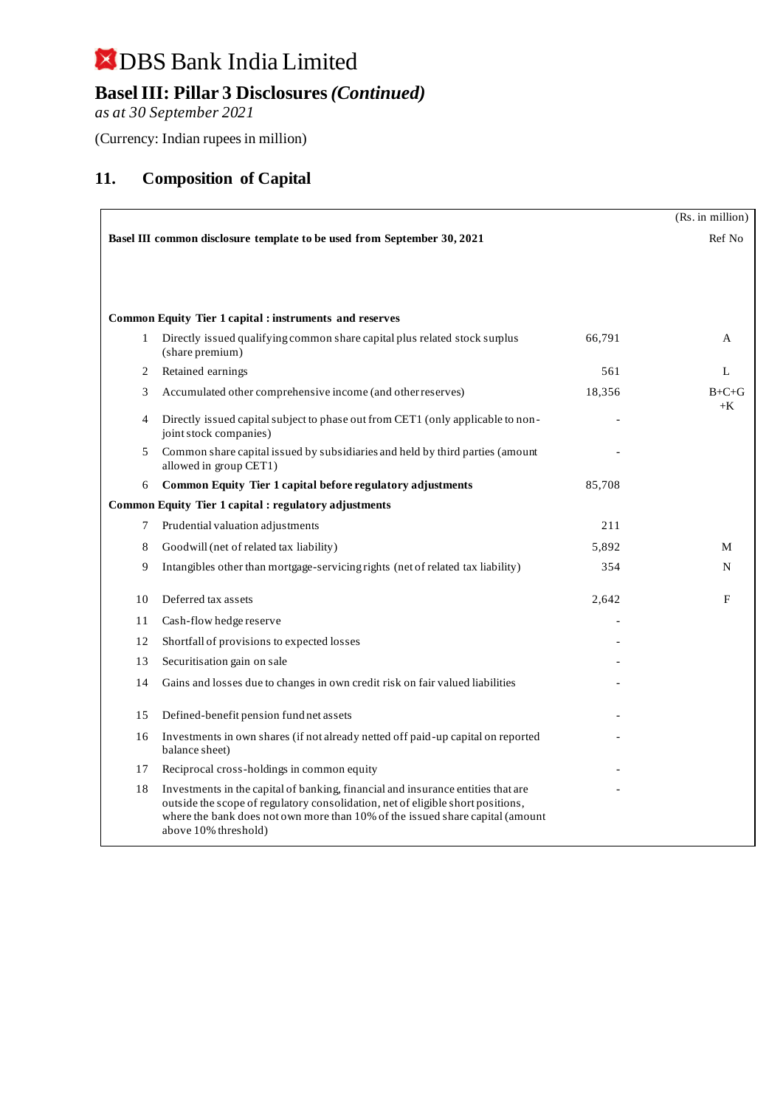## **Basel III: Pillar 3 Disclosures** *(Continued)*

*as at 30 September 2021*

(Currency: Indian rupees in million)

### **11. Composition of Capital**

|    |                                                                                                                                                                                                                                                                              |        | (Rs. in million) |
|----|------------------------------------------------------------------------------------------------------------------------------------------------------------------------------------------------------------------------------------------------------------------------------|--------|------------------|
|    | Basel III common disclosure template to be used from September 30, 2021                                                                                                                                                                                                      |        | Ref No           |
|    |                                                                                                                                                                                                                                                                              |        |                  |
|    |                                                                                                                                                                                                                                                                              |        |                  |
|    |                                                                                                                                                                                                                                                                              |        |                  |
|    | <b>Common Equity Tier 1 capital : instruments and reserves</b>                                                                                                                                                                                                               |        |                  |
| 1  | Directly issued qualifying common share capital plus related stock surplus<br>(share premium)                                                                                                                                                                                | 66,791 | A                |
| 2  | Retained earnings                                                                                                                                                                                                                                                            | 561    | L                |
| 3  | Accumulated other comprehensive income (and other reserves)                                                                                                                                                                                                                  | 18,356 | $B+C+G$<br>$+K$  |
| 4  | Directly issued capital subject to phase out from CET1 (only applicable to non-<br>joint stock companies)                                                                                                                                                                    |        |                  |
| 5  | Common share capital issued by subsidiaries and held by third parties (amount<br>allowed in group CET1)                                                                                                                                                                      |        |                  |
| 6  | Common Equity Tier 1 capital before regulatory adjustments                                                                                                                                                                                                                   | 85,708 |                  |
|    | Common Equity Tier 1 capital : regulatory adjustments                                                                                                                                                                                                                        |        |                  |
| 7  | Prudential valuation adjustments                                                                                                                                                                                                                                             | 211    |                  |
| 8  | Goodwill (net of related tax liability)                                                                                                                                                                                                                                      | 5,892  | M                |
| 9  | Intangibles other than mortgage-servicing rights (net of related tax liability)                                                                                                                                                                                              | 354    | N                |
| 10 | Deferred tax assets                                                                                                                                                                                                                                                          | 2,642  | F                |
| 11 | Cash-flow hedge reserve                                                                                                                                                                                                                                                      |        |                  |
| 12 | Shortfall of provisions to expected losses                                                                                                                                                                                                                                   |        |                  |
| 13 | Securitisation gain on sale                                                                                                                                                                                                                                                  |        |                  |
| 14 | Gains and losses due to changes in own credit risk on fair valued liabilities                                                                                                                                                                                                |        |                  |
| 15 | Defined-benefit pension fund net assets                                                                                                                                                                                                                                      |        |                  |
| 16 | Investments in own shares (if not already netted off paid-up capital on reported<br>balance sheet)                                                                                                                                                                           |        |                  |
| 17 | Reciprocal cross-holdings in common equity                                                                                                                                                                                                                                   |        |                  |
| 18 | Investments in the capital of banking, financial and insurance entities that are<br>outside the scope of regulatory consolidation, net of eligible short positions,<br>where the bank does not own more than 10% of the issued share capital (amount<br>above 10% threshold) |        |                  |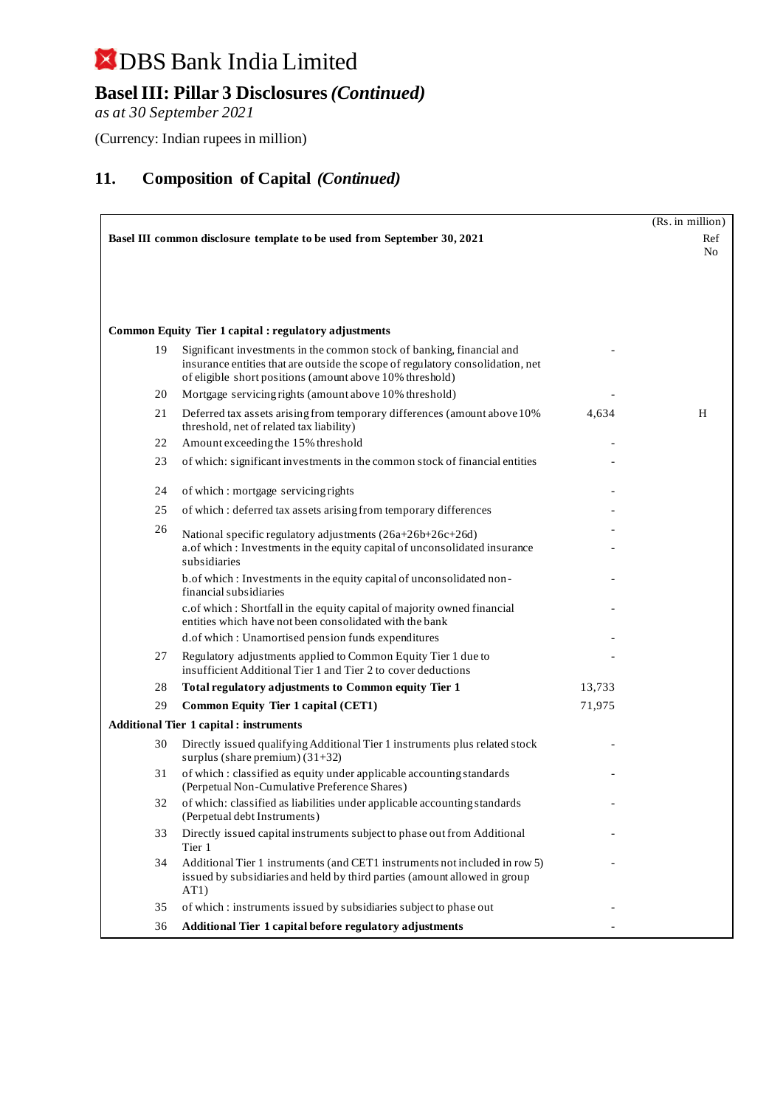## **Basel III: Pillar 3 Disclosures** *(Continued)*

*as at 30 September 2021*

(Currency: Indian rupees in million)

|                                                                         |                                                                                                                                                                                                                     |        | (Rs. in million) |  |
|-------------------------------------------------------------------------|---------------------------------------------------------------------------------------------------------------------------------------------------------------------------------------------------------------------|--------|------------------|--|
| Basel III common disclosure template to be used from September 30, 2021 |                                                                                                                                                                                                                     |        |                  |  |
|                                                                         |                                                                                                                                                                                                                     |        |                  |  |
|                                                                         |                                                                                                                                                                                                                     |        |                  |  |
|                                                                         |                                                                                                                                                                                                                     |        |                  |  |
|                                                                         |                                                                                                                                                                                                                     |        |                  |  |
|                                                                         | <b>Common Equity Tier 1 capital : regulatory adjustments</b>                                                                                                                                                        |        |                  |  |
| 19                                                                      | Significant investments in the common stock of banking, financial and<br>insurance entities that are outside the scope of regulatory consolidation, net<br>of eligible short positions (amount above 10% threshold) |        |                  |  |
| 20                                                                      | Mortgage servicing rights (amount above 10% threshold)                                                                                                                                                              |        |                  |  |
| 21                                                                      | Deferred tax assets arising from temporary differences (amount above 10%)<br>threshold, net of related tax liability)                                                                                               | 4,634  | H                |  |
| 22                                                                      | Amount exceeding the 15% threshold                                                                                                                                                                                  |        |                  |  |
| 23                                                                      | of which: significant investments in the common stock of financial entities                                                                                                                                         |        |                  |  |
| 24                                                                      | of which: mortgage servicing rights                                                                                                                                                                                 |        |                  |  |
| 25                                                                      | of which: deferred tax assets arising from temporary differences                                                                                                                                                    |        |                  |  |
| 26                                                                      | National specific regulatory adjustments (26a+26b+26c+26d)                                                                                                                                                          |        |                  |  |
|                                                                         | a.of which: Investments in the equity capital of unconsolidated insurance<br>subsidiaries                                                                                                                           |        |                  |  |
|                                                                         | b.of which: Investments in the equity capital of unconsolidated non-<br>financial subsidiaries                                                                                                                      |        |                  |  |
|                                                                         | c.of which: Shortfall in the equity capital of majority owned financial<br>entities which have not been consolidated with the bank                                                                                  |        |                  |  |
|                                                                         | d.of which: Unamortised pension funds expenditures                                                                                                                                                                  |        |                  |  |
| 27                                                                      | Regulatory adjustments applied to Common Equity Tier 1 due to<br>insufficient Additional Tier 1 and Tier 2 to cover deductions                                                                                      |        |                  |  |
| 28                                                                      | Total regulatory adjustments to Common equity Tier 1                                                                                                                                                                | 13,733 |                  |  |
| 29                                                                      | Common Equity Tier 1 capital (CET1)                                                                                                                                                                                 | 71,975 |                  |  |
|                                                                         | <b>Additional Tier 1 capital : instruments</b>                                                                                                                                                                      |        |                  |  |
| 30                                                                      | Directly issued qualifying Additional Tier 1 instruments plus related stock<br>surplus (share premium) $(31+32)$                                                                                                    |        |                  |  |
| 31                                                                      | of which: classified as equity under applicable accounting standards<br>(Perpetual Non-Cumulative Preference Shares)                                                                                                |        |                  |  |
| 32                                                                      | of which: classified as liabilities under applicable accounting standards<br>(Perpetual debt Instruments)                                                                                                           |        |                  |  |
| 33                                                                      | Directly issued capital instruments subject to phase out from Additional<br>Tier 1                                                                                                                                  |        |                  |  |
| 34                                                                      | Additional Tier 1 instruments (and CET1 instruments not included in row 5)<br>issued by subsidiaries and held by third parties (amount allowed in group<br>AT1)                                                     |        |                  |  |
| 35                                                                      | of which: instruments issued by subsidiaries subject to phase out                                                                                                                                                   |        |                  |  |
| 36                                                                      | Additional Tier 1 capital before regulatory adjustments                                                                                                                                                             |        |                  |  |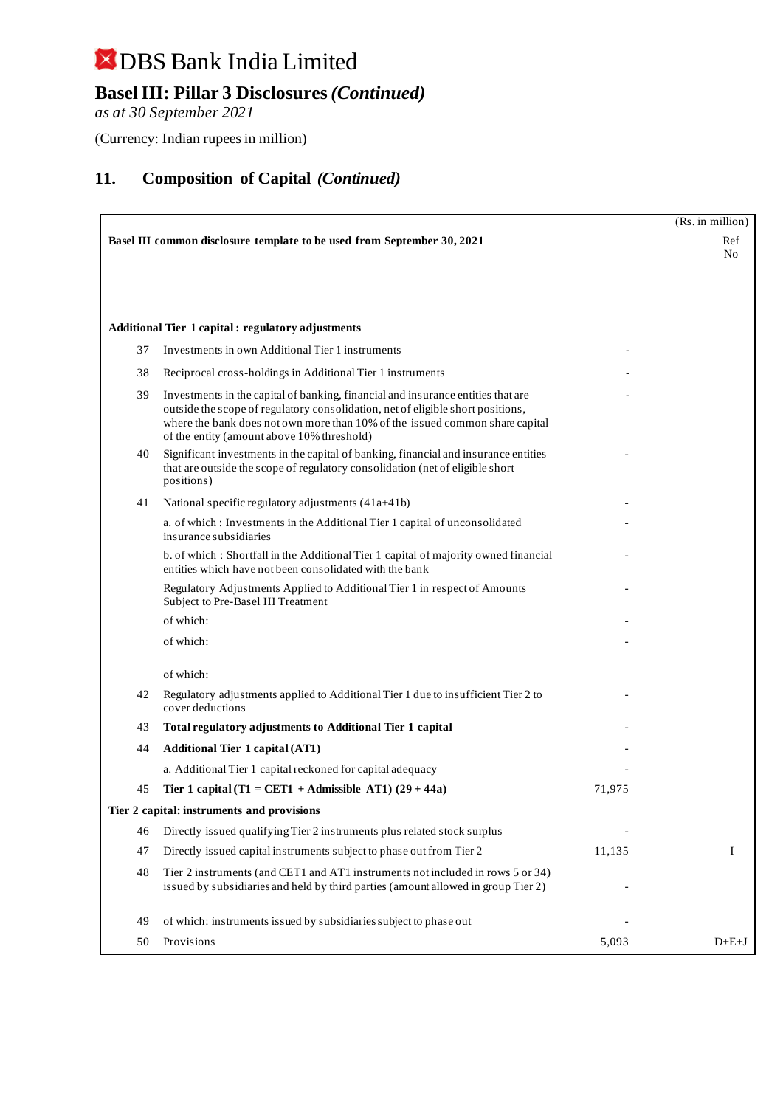## **Basel III: Pillar 3 Disclosures** *(Continued)*

*as at 30 September 2021*

(Currency: Indian rupees in million)

|    |                                                                                                                                                                                                                                                                                                   |        | (Rs. in million)      |
|----|---------------------------------------------------------------------------------------------------------------------------------------------------------------------------------------------------------------------------------------------------------------------------------------------------|--------|-----------------------|
|    | Basel III common disclosure template to be used from September 30, 2021                                                                                                                                                                                                                           |        | Ref<br>N <sub>0</sub> |
|    |                                                                                                                                                                                                                                                                                                   |        |                       |
|    | <b>Additional Tier 1 capital : regulatory adjustments</b>                                                                                                                                                                                                                                         |        |                       |
| 37 | Investments in own Additional Tier 1 instruments                                                                                                                                                                                                                                                  |        |                       |
| 38 | Reciprocal cross-holdings in Additional Tier 1 instruments                                                                                                                                                                                                                                        |        |                       |
| 39 | Investments in the capital of banking, financial and insurance entities that are<br>outside the scope of regulatory consolidation, net of eligible short positions,<br>where the bank does not own more than 10% of the issued common share capital<br>of the entity (amount above 10% threshold) |        |                       |
| 40 | Significant investments in the capital of banking, financial and insurance entities<br>that are outside the scope of regulatory consolidation (net of eligible short<br>positions)                                                                                                                |        |                       |
| 41 | National specific regulatory adjustments (41a+41b)                                                                                                                                                                                                                                                |        |                       |
|    | a. of which: Investments in the Additional Tier 1 capital of unconsolidated<br>insurance subsidiaries                                                                                                                                                                                             |        |                       |
|    | b. of which: Shortfall in the Additional Tier 1 capital of majority owned financial<br>entities which have not been consolidated with the bank                                                                                                                                                    |        |                       |
|    | Regulatory Adjustments Applied to Additional Tier 1 in respect of Amounts<br>Subject to Pre-Basel III Treatment                                                                                                                                                                                   |        |                       |
|    | of which:                                                                                                                                                                                                                                                                                         |        |                       |
|    | of which:                                                                                                                                                                                                                                                                                         |        |                       |
|    | of which:                                                                                                                                                                                                                                                                                         |        |                       |
| 42 | Regulatory adjustments applied to Additional Tier 1 due to insufficient Tier 2 to<br>cover deductions                                                                                                                                                                                             |        |                       |
| 43 | Total regulatory adjustments to Additional Tier 1 capital                                                                                                                                                                                                                                         |        |                       |
| 44 | <b>Additional Tier 1 capital (AT1)</b>                                                                                                                                                                                                                                                            |        |                       |
|    | a. Additional Tier 1 capital reckoned for capital adequacy                                                                                                                                                                                                                                        |        |                       |
| 45 | Tier 1 capital (T1 = CET1 + Admissible AT1) $(29 + 44a)$                                                                                                                                                                                                                                          | 71,975 |                       |
|    | Tier 2 capital: instruments and provisions                                                                                                                                                                                                                                                        |        |                       |
| 46 | Directly issued qualifying Tier 2 instruments plus related stock surplus                                                                                                                                                                                                                          |        |                       |
| 47 | Directly issued capital instruments subject to phase out from Tier 2                                                                                                                                                                                                                              | 11,135 | I                     |
| 48 | Tier 2 instruments (and CET1 and AT1 instruments not included in rows 5 or 34)<br>issued by subsidiaries and held by third parties (amount allowed in group Tier 2)                                                                                                                               |        |                       |
| 49 | of which: instruments issued by subsidiaries subject to phase out                                                                                                                                                                                                                                 |        |                       |
| 50 | Provisions                                                                                                                                                                                                                                                                                        | 5,093  | $D+E+J$               |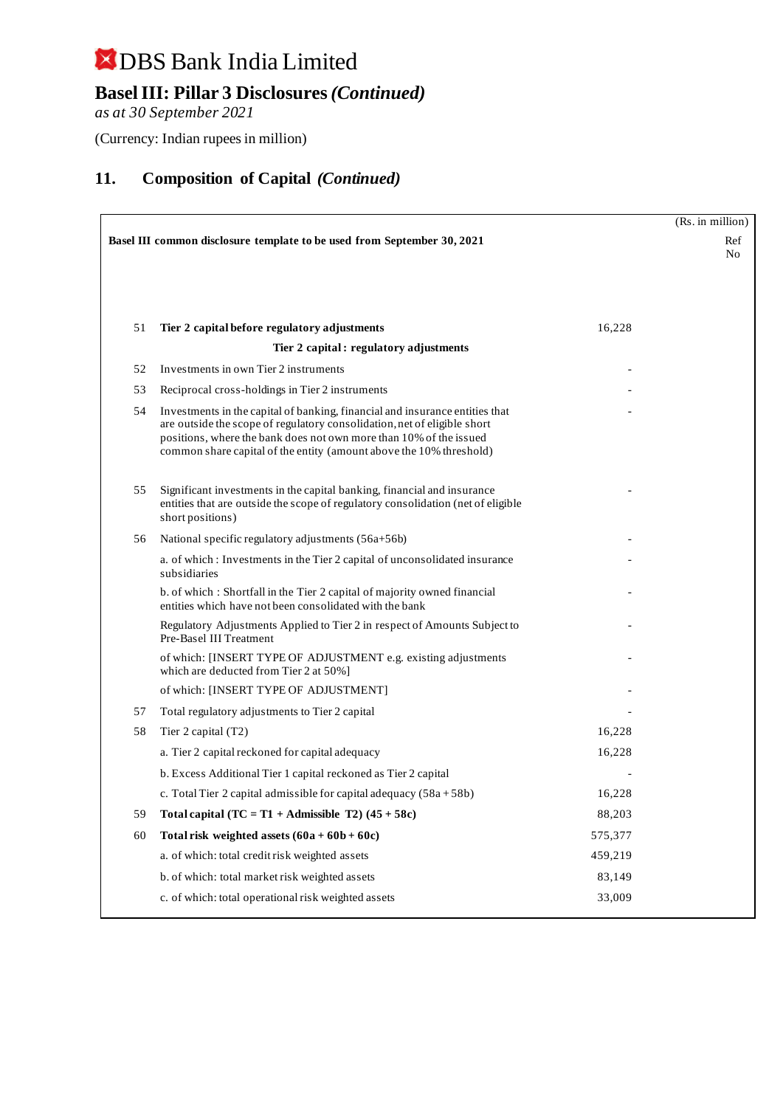## **Basel III: Pillar 3 Disclosures** *(Continued)*

*as at 30 September 2021*

(Currency: Indian rupees in million)

|    |                                                                                                                                                                                                                                                                                                       |         | (Rs. in million) |  |
|----|-------------------------------------------------------------------------------------------------------------------------------------------------------------------------------------------------------------------------------------------------------------------------------------------------------|---------|------------------|--|
|    | Basel III common disclosure template to be used from September 30, 2021                                                                                                                                                                                                                               |         |                  |  |
|    |                                                                                                                                                                                                                                                                                                       |         |                  |  |
| 51 | Tier 2 capital before regulatory adjustments                                                                                                                                                                                                                                                          | 16,228  |                  |  |
|    | Tier 2 capital: regulatory adjustments                                                                                                                                                                                                                                                                |         |                  |  |
| 52 | Investments in own Tier 2 instruments                                                                                                                                                                                                                                                                 |         |                  |  |
| 53 | Reciprocal cross-holdings in Tier 2 instruments                                                                                                                                                                                                                                                       |         |                  |  |
| 54 | Investments in the capital of banking, financial and insurance entities that<br>are outside the scope of regulatory consolidation, net of eligible short<br>positions, where the bank does not own more than 10% of the issued<br>common share capital of the entity (amount above the 10% threshold) |         |                  |  |
| 55 | Significant investments in the capital banking, financial and insurance<br>entities that are outside the scope of regulatory consolidation (net of eligible<br>short positions)                                                                                                                       |         |                  |  |
| 56 | National specific regulatory adjustments (56a+56b)                                                                                                                                                                                                                                                    |         |                  |  |
|    | a. of which: Investments in the Tier 2 capital of unconsolidated insurance<br>subsidiaries                                                                                                                                                                                                            |         |                  |  |
|    | b. of which: Shortfall in the Tier 2 capital of majority owned financial<br>entities which have not been consolidated with the bank                                                                                                                                                                   |         |                  |  |
|    | Regulatory Adjustments Applied to Tier 2 in respect of Amounts Subject to<br>Pre-Basel III Treatment                                                                                                                                                                                                  |         |                  |  |
|    | of which: [INSERT TYPE OF ADJUSTMENT e.g. existing adjustments<br>which are deducted from Tier 2 at 50%]                                                                                                                                                                                              |         |                  |  |
|    | of which: [INSERT TYPE OF ADJUSTMENT]                                                                                                                                                                                                                                                                 |         |                  |  |
| 57 | Total regulatory adjustments to Tier 2 capital                                                                                                                                                                                                                                                        |         |                  |  |
| 58 | Tier 2 capital (T2)                                                                                                                                                                                                                                                                                   | 16,228  |                  |  |
|    | a. Tier 2 capital reckoned for capital adequacy                                                                                                                                                                                                                                                       | 16,228  |                  |  |
|    | b. Excess Additional Tier 1 capital reckoned as Tier 2 capital                                                                                                                                                                                                                                        |         |                  |  |
|    | c. Total Tier 2 capital admissible for capital adequacy $(58a + 58b)$                                                                                                                                                                                                                                 | 16,228  |                  |  |
| 59 | Total capital $(TC = T1 + \text{Admissible } T2)$ (45 + 58c)                                                                                                                                                                                                                                          | 88,203  |                  |  |
| 60 | Total risk weighted assets $(60a + 60b + 60c)$                                                                                                                                                                                                                                                        | 575,377 |                  |  |
|    | a. of which: total credit risk weighted assets                                                                                                                                                                                                                                                        | 459,219 |                  |  |
|    | b. of which: total market risk weighted assets                                                                                                                                                                                                                                                        | 83,149  |                  |  |
|    | c. of which: total operational risk weighted assets                                                                                                                                                                                                                                                   | 33,009  |                  |  |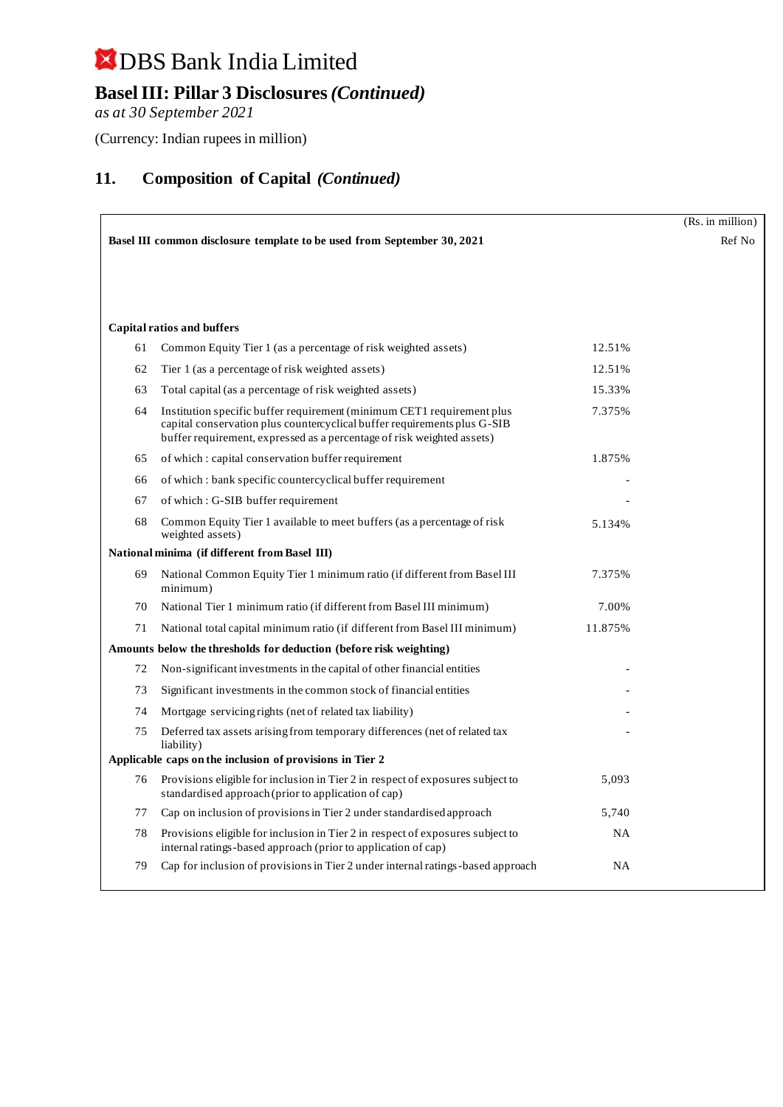## **Basel III: Pillar 3 Disclosures** *(Continued)*

*as at 30 September 2021*

(Currency: Indian rupees in million)

|    |                                                                                                                                                                                                                              |           | (Rs. in million) |
|----|------------------------------------------------------------------------------------------------------------------------------------------------------------------------------------------------------------------------------|-----------|------------------|
|    | Basel III common disclosure template to be used from September 30, 2021                                                                                                                                                      |           | Ref No           |
|    |                                                                                                                                                                                                                              |           |                  |
|    |                                                                                                                                                                                                                              |           |                  |
|    |                                                                                                                                                                                                                              |           |                  |
|    | <b>Capital ratios and buffers</b>                                                                                                                                                                                            |           |                  |
| 61 | Common Equity Tier 1 (as a percentage of risk weighted assets)                                                                                                                                                               | 12.51%    |                  |
| 62 | Tier 1 (as a percentage of risk weighted assets)                                                                                                                                                                             | 12.51%    |                  |
| 63 | Total capital (as a percentage of risk weighted assets)                                                                                                                                                                      | 15.33%    |                  |
| 64 | Institution specific buffer requirement (minimum CET1 requirement plus<br>capital conservation plus countercyclical buffer requirements plus G-SIB<br>buffer requirement, expressed as a percentage of risk weighted assets) | 7.375%    |                  |
| 65 | of which: capital conservation buffer requirement                                                                                                                                                                            | 1.875%    |                  |
| 66 | of which: bank specific countercyclical buffer requirement                                                                                                                                                                   |           |                  |
| 67 | of which: G-SIB buffer requirement                                                                                                                                                                                           |           |                  |
| 68 | Common Equity Tier 1 available to meet buffers (as a percentage of risk<br>weighted assets)                                                                                                                                  | 5.134%    |                  |
|    | National minima (if different from Basel III)                                                                                                                                                                                |           |                  |
| 69 | National Common Equity Tier 1 minimum ratio (if different from Basel III<br>minimum)                                                                                                                                         | 7.375%    |                  |
| 70 | National Tier 1 minimum ratio (if different from Basel III minimum)                                                                                                                                                          | 7.00%     |                  |
| 71 | National total capital minimum ratio (if different from Basel III minimum)                                                                                                                                                   | 11.875%   |                  |
|    | Amounts below the thresholds for deduction (before risk weighting)                                                                                                                                                           |           |                  |
| 72 | Non-significant investments in the capital of other financial entities                                                                                                                                                       |           |                  |
| 73 | Significant investments in the common stock of financial entities                                                                                                                                                            |           |                  |
| 74 | Mortgage servicing rights (net of related tax liability)                                                                                                                                                                     |           |                  |
| 75 | Deferred tax assets arising from temporary differences (net of related tax<br>liability)                                                                                                                                     |           |                  |
|    | Applicable caps on the inclusion of provisions in Tier 2                                                                                                                                                                     |           |                  |
| 76 | Provisions eligible for inclusion in Tier 2 in respect of exposures subject to<br>standardised approach (prior to application of cap)                                                                                        | 5,093     |                  |
| 77 | Cap on inclusion of provisions in Tier 2 under standardised approach                                                                                                                                                         | 5,740     |                  |
| 78 | Provisions eligible for inclusion in Tier 2 in respect of exposures subject to<br>internal ratings-based approach (prior to application of cap)                                                                              | <b>NA</b> |                  |
| 79 | Cap for inclusion of provisions in Tier 2 under internal ratings-based approach                                                                                                                                              | <b>NA</b> |                  |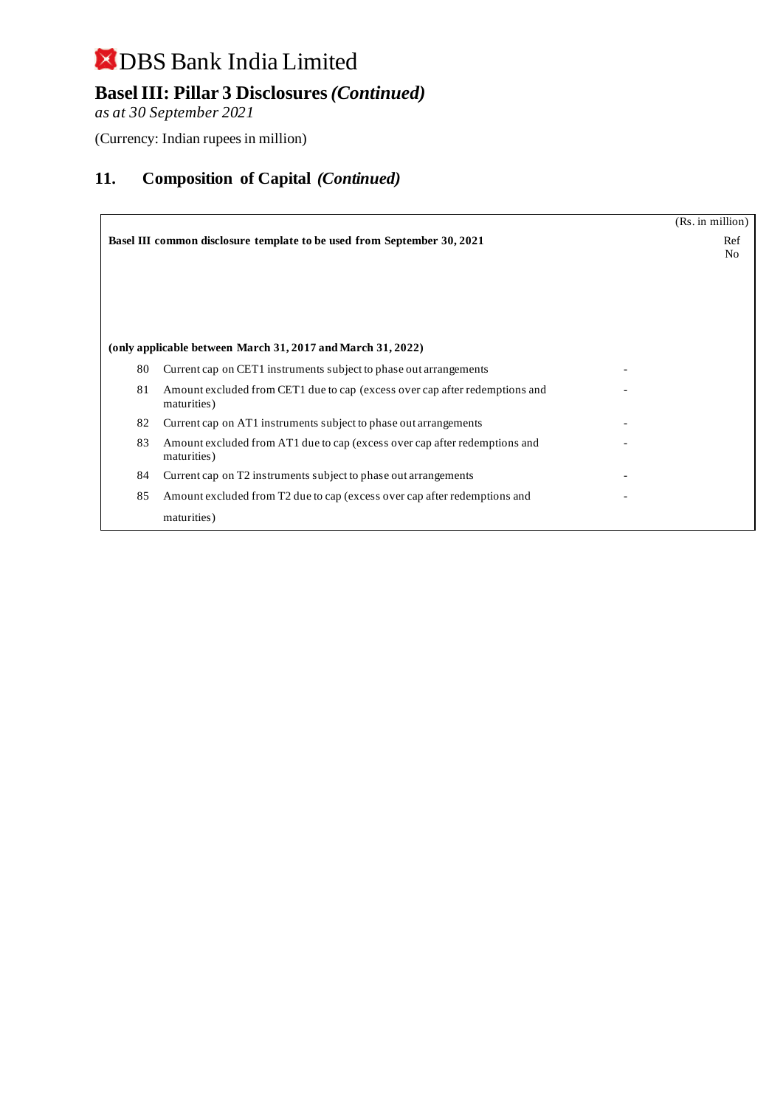## **Basel III: Pillar 3 Disclosures** *(Continued)*

*as at 30 September 2021*

(Currency: Indian rupees in million)

|    |                                                                                            | (Rs. in million) |
|----|--------------------------------------------------------------------------------------------|------------------|
|    | Basel III common disclosure template to be used from September 30, 2021                    | Ref              |
|    |                                                                                            | No               |
|    |                                                                                            |                  |
|    |                                                                                            |                  |
|    |                                                                                            |                  |
|    |                                                                                            |                  |
|    | (only applicable between March 31, 2017 and March 31, 2022)                                |                  |
| 80 | Current cap on CET1 instruments subject to phase out arrangements                          |                  |
| 81 | Amount excluded from CET1 due to cap (excess over cap after redemptions and<br>maturities) |                  |
| 82 | Current cap on AT1 instruments subject to phase out arrangements                           |                  |
| 83 | Amount excluded from AT1 due to cap (excess over cap after redemptions and<br>maturities)  |                  |
| 84 | Current cap on T2 instruments subject to phase out arrangements                            |                  |
| 85 | Amount excluded from T2 due to cap (excess over cap after redemptions and                  |                  |
|    | maturities)                                                                                |                  |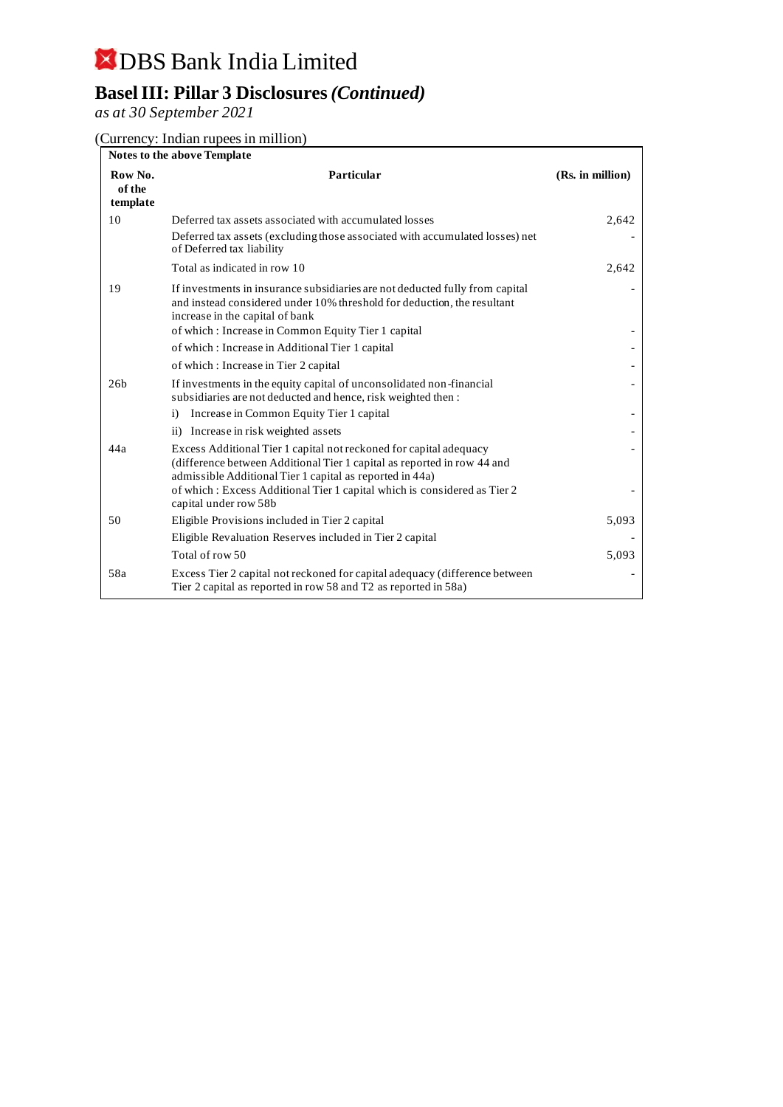## **Basel III: Pillar 3 Disclosures** *(Continued)*

*as at 30 September 2021*

(Currency: Indian rupees in million)

| <b>Notes to the above Template</b> |                                                                                                                                                                                                           |                  |  |
|------------------------------------|-----------------------------------------------------------------------------------------------------------------------------------------------------------------------------------------------------------|------------------|--|
| Row No.<br>of the<br>template      | Particular                                                                                                                                                                                                | (Rs. in million) |  |
| 10                                 | Deferred tax assets associated with accumulated losses                                                                                                                                                    | 2,642            |  |
|                                    | Deferred tax assets (excluding those associated with accumulated losses) net<br>of Deferred tax liability                                                                                                 |                  |  |
|                                    | Total as indicated in row 10                                                                                                                                                                              | 2,642            |  |
| 19                                 | If investments in insurance subsidiaries are not deducted fully from capital<br>and instead considered under 10% threshold for deduction, the resultant<br>increase in the capital of bank                |                  |  |
|                                    | of which: Increase in Common Equity Tier 1 capital                                                                                                                                                        |                  |  |
|                                    | of which: Increase in Additional Tier 1 capital                                                                                                                                                           |                  |  |
|                                    | of which: Increase in Tier 2 capital                                                                                                                                                                      |                  |  |
| 26 <sub>b</sub>                    | If investments in the equity capital of unconsolidated non-financial<br>subsidiaries are not deducted and hence, risk weighted then:                                                                      |                  |  |
|                                    | Increase in Common Equity Tier 1 capital<br>$\ddot{1}$                                                                                                                                                    |                  |  |
|                                    | ii) Increase in risk weighted assets                                                                                                                                                                      |                  |  |
| 44a                                | Excess Additional Tier 1 capital not reckoned for capital adequacy<br>(difference between Additional Tier 1 capital as reported in row 44 and<br>admissible Additional Tier 1 capital as reported in 44a) |                  |  |
|                                    | of which: Excess Additional Tier 1 capital which is considered as Tier 2<br>capital under row 58b                                                                                                         |                  |  |
| 50                                 | Eligible Provisions included in Tier 2 capital                                                                                                                                                            | 5,093            |  |
|                                    | Eligible Revaluation Reserves included in Tier 2 capital                                                                                                                                                  |                  |  |
|                                    | Total of row 50                                                                                                                                                                                           | 5,093            |  |
| 58a                                | Excess Tier 2 capital not reckoned for capital adequacy (difference between)<br>Tier 2 capital as reported in row 58 and T2 as reported in 58a)                                                           |                  |  |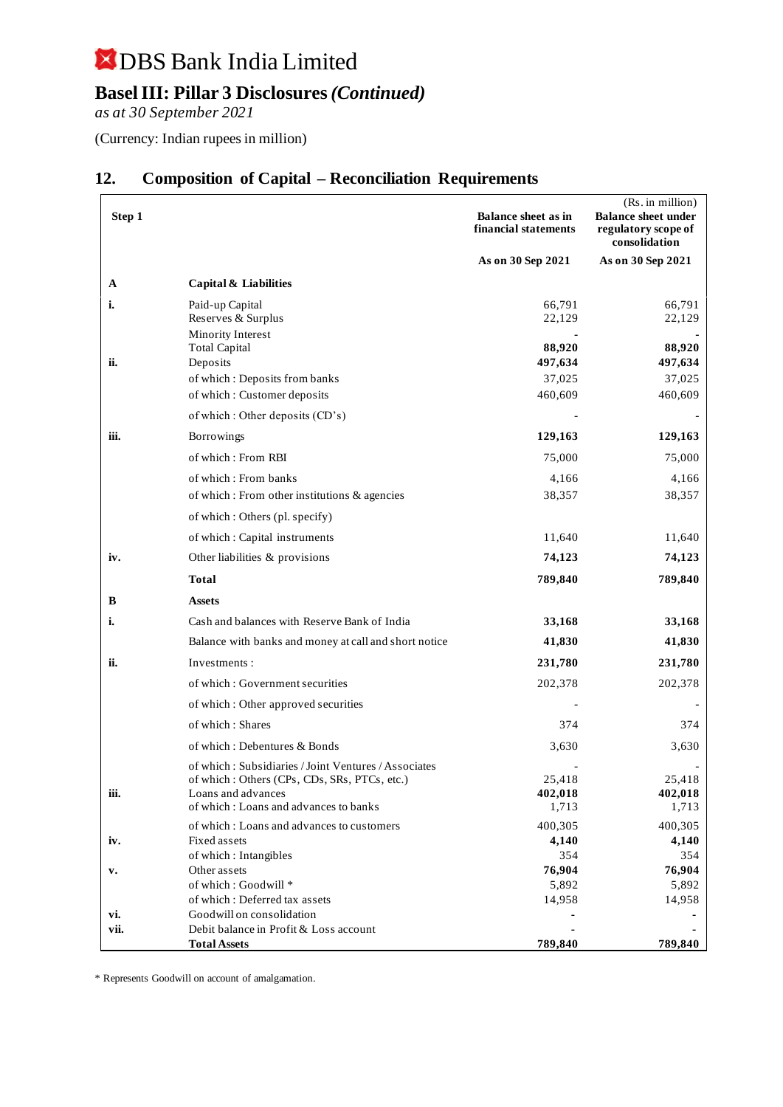## **Basel III: Pillar 3 Disclosures** *(Continued)*

*as at 30 September 2021*

(Currency: Indian rupees in million)

| Step 1 |                                                                                                                                                                     | <b>Balance sheet as in</b><br>financial statements | (Rs. in million)<br><b>Balance sheet under</b><br>regulatory scope of<br>consolidation |
|--------|---------------------------------------------------------------------------------------------------------------------------------------------------------------------|----------------------------------------------------|----------------------------------------------------------------------------------------|
|        |                                                                                                                                                                     | As on 30 Sep 2021                                  | As on 30 Sep 2021                                                                      |
| A      | Capital & Liabilities                                                                                                                                               |                                                    |                                                                                        |
| i.     | Paid-up Capital<br>Reserves & Surplus<br>Minority Interest                                                                                                          | 66,791<br>22,129                                   | 66,791<br>22,129                                                                       |
|        | <b>Total Capital</b>                                                                                                                                                | 88,920                                             | 88,920                                                                                 |
| ii.    | Deposits                                                                                                                                                            | 497,634                                            | 497,634                                                                                |
|        | of which: Deposits from banks                                                                                                                                       | 37,025                                             | 37,025                                                                                 |
|        | of which: Customer deposits                                                                                                                                         | 460,609                                            | 460,609                                                                                |
|        | of which : Other deposits (CD's)                                                                                                                                    |                                                    |                                                                                        |
| iii.   | Borrowings                                                                                                                                                          | 129,163                                            | 129,163                                                                                |
|        | of which: From RBI                                                                                                                                                  | 75,000                                             | 75,000                                                                                 |
|        | of which: From banks                                                                                                                                                | 4,166                                              | 4,166                                                                                  |
|        | of which: From other institutions & agencies                                                                                                                        | 38,357                                             | 38,357                                                                                 |
|        | of which: Others (pl. specify)                                                                                                                                      |                                                    |                                                                                        |
|        | of which: Capital instruments                                                                                                                                       | 11,640                                             | 11,640                                                                                 |
| iv.    | Other liabilities & provisions                                                                                                                                      | 74,123                                             | 74,123                                                                                 |
|        | Total                                                                                                                                                               | 789,840                                            | 789,840                                                                                |
| B      | <b>Assets</b>                                                                                                                                                       |                                                    |                                                                                        |
| i.     | Cash and balances with Reserve Bank of India                                                                                                                        | 33,168                                             | 33,168                                                                                 |
|        | Balance with banks and money at call and short notice                                                                                                               | 41,830                                             | 41,830                                                                                 |
| ii.    | Investments:                                                                                                                                                        | 231,780                                            | 231,780                                                                                |
|        | of which: Government securities                                                                                                                                     | 202,378                                            | 202,378                                                                                |
|        | of which: Other approved securities                                                                                                                                 |                                                    |                                                                                        |
|        | of which: Shares                                                                                                                                                    | 374                                                | 374                                                                                    |
|        | of which: Debentures & Bonds                                                                                                                                        | 3,630                                              | 3,630                                                                                  |
| iii.   | of which: Subsidiaries / Joint Ventures / Associates<br>of which: Others (CPs, CDs, SRs, PTCs, etc.)<br>Loans and advances<br>of which: Loans and advances to banks | 25,418<br>402,018<br>1,713                         | 25,418<br>402,018<br>1,713                                                             |
|        | of which: Loans and advances to customers                                                                                                                           | 400,305                                            | 400,305                                                                                |
| iv.    | Fixed assets                                                                                                                                                        | 4,140                                              | 4,140                                                                                  |
|        | of which: Intangibles                                                                                                                                               | 354                                                | 354                                                                                    |
| v.     | Other assets                                                                                                                                                        | 76,904                                             | 76,904                                                                                 |
|        | of which: Goodwill *<br>of which: Deferred tax assets                                                                                                               | 5,892                                              | 5,892                                                                                  |
| vi.    | Goodwill on consolidation                                                                                                                                           | 14,958                                             | 14,958                                                                                 |
| vii.   | Debit balance in Profit & Loss account                                                                                                                              |                                                    |                                                                                        |
|        | <b>Total Assets</b>                                                                                                                                                 | 789,840                                            | 789,840                                                                                |

### **12. Composition of Capital – Reconciliation Requirements**

\* Represents Goodwill on account of amalgamation.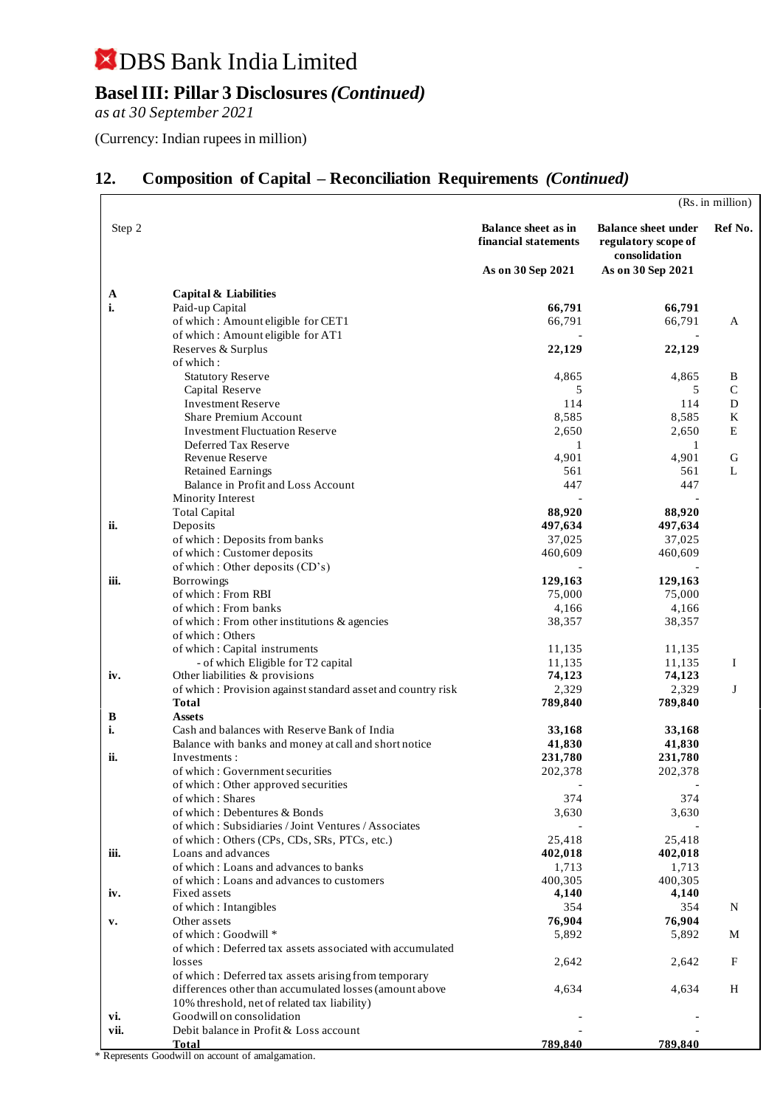### **Basel III: Pillar 3 Disclosures** *(Continued)*

*as at 30 September 2021*

(Currency: Indian rupees in million)

### **12. Composition of Capital – Reconciliation Requirements** *(Continued)*

|             |                                                                                    |                                                                         |                                                                                         | (Rs. in million) |
|-------------|------------------------------------------------------------------------------------|-------------------------------------------------------------------------|-----------------------------------------------------------------------------------------|------------------|
| Step 2      |                                                                                    | <b>Balance sheet as in</b><br>financial statements<br>As on 30 Sep 2021 | <b>Balance sheet under</b><br>regulatory scope of<br>consolidation<br>As on 30 Sep 2021 | Ref No.          |
|             |                                                                                    |                                                                         |                                                                                         |                  |
| A           | Capital & Liabilities                                                              |                                                                         |                                                                                         |                  |
| i.          | Paid-up Capital                                                                    | 66,791                                                                  | 66,791                                                                                  |                  |
|             | of which: Amount eligible for CET1                                                 | 66,791                                                                  | 66,791                                                                                  | A                |
|             | of which: Amount eligible for AT1<br>Reserves & Surplus                            | 22,129                                                                  | 22,129                                                                                  |                  |
|             | of which:                                                                          |                                                                         |                                                                                         |                  |
|             | <b>Statutory Reserve</b>                                                           | 4,865                                                                   | 4,865                                                                                   | B                |
|             | Capital Reserve                                                                    | 5                                                                       | 5                                                                                       | $\mathsf{C}$     |
|             | <b>Investment Reserve</b>                                                          | 114                                                                     | 114                                                                                     | D                |
|             | Share Premium Account                                                              | 8,585                                                                   | 8,585                                                                                   | K                |
|             | <b>Investment Fluctuation Reserve</b>                                              | 2,650                                                                   | 2,650                                                                                   | E                |
|             | Deferred Tax Reserve                                                               | 1                                                                       | 1                                                                                       |                  |
|             | Revenue Reserve<br><b>Retained Earnings</b>                                        | 4,901<br>561                                                            | 4,901<br>561                                                                            | G<br>L           |
|             | Balance in Profit and Loss Account                                                 | 447                                                                     | 447                                                                                     |                  |
|             | Minority Interest                                                                  |                                                                         |                                                                                         |                  |
|             | <b>Total Capital</b>                                                               | 88,920                                                                  | 88,920                                                                                  |                  |
| ii.         | Deposits                                                                           | 497,634                                                                 | 497,634                                                                                 |                  |
|             | of which: Deposits from banks                                                      | 37,025                                                                  | 37,025                                                                                  |                  |
|             | of which: Customer deposits                                                        | 460,609                                                                 | 460,609                                                                                 |                  |
|             | of which: Other deposits (CD's)                                                    |                                                                         |                                                                                         |                  |
| iii.        | Borrowings                                                                         | 129,163                                                                 | 129,163                                                                                 |                  |
|             | of which: From RBI                                                                 | 75,000                                                                  | 75,000                                                                                  |                  |
|             | of which: From banks                                                               | 4,166<br>38,357                                                         | 4,166<br>38,357                                                                         |                  |
|             | of which: From other institutions & agencies<br>of which : Others                  |                                                                         |                                                                                         |                  |
|             | of which: Capital instruments                                                      | 11,135                                                                  | 11,135                                                                                  |                  |
|             | - of which Eligible for T2 capital                                                 | 11,135                                                                  | 11,135                                                                                  | I                |
| iv.         | Other liabilities & provisions                                                     | 74,123                                                                  | 74,123                                                                                  |                  |
|             | of which: Provision against standard asset and country risk                        | 2,329                                                                   | 2,329                                                                                   | J                |
|             | <b>Total</b>                                                                       | 789,840                                                                 | 789,840                                                                                 |                  |
| B           | <b>Assets</b>                                                                      |                                                                         |                                                                                         |                  |
| i.          | Cash and balances with Reserve Bank of India                                       | 33,168                                                                  | 33,168                                                                                  |                  |
| ii.         | Balance with banks and money at call and short notice<br>Investments:              | 41,830<br>231,780                                                       | 41,830<br>231,780                                                                       |                  |
|             | of which: Government securities                                                    | 202,378                                                                 | 202,378                                                                                 |                  |
|             | of which: Other approved securities                                                |                                                                         |                                                                                         |                  |
|             | of which: Shares                                                                   | 374                                                                     | 374                                                                                     |                  |
|             | of which: Debentures & Bonds                                                       | 3,630                                                                   | 3,630                                                                                   |                  |
|             | of which: Subsidiaries / Joint Ventures / Associates                               |                                                                         |                                                                                         |                  |
|             | of which: Others (CPs, CDs, SRs, PTCs, etc.)                                       | 25,418                                                                  | 25,418                                                                                  |                  |
| iii.        | Loans and advances                                                                 | 402,018                                                                 | 402,018                                                                                 |                  |
|             | of which: Loans and advances to banks<br>of which: Loans and advances to customers | 1,713<br>400,305                                                        | 1,713<br>400,305                                                                        |                  |
| iv.         | Fixed assets                                                                       | 4,140                                                                   | 4,140                                                                                   |                  |
|             | of which: Intangibles                                                              | 354                                                                     | 354                                                                                     | N                |
| v.          | Other assets                                                                       | 76,904                                                                  | 76,904                                                                                  |                  |
|             | of which: Goodwill *                                                               | 5,892                                                                   | 5,892                                                                                   | M                |
|             | of which: Deferred tax assets associated with accumulated                          |                                                                         |                                                                                         |                  |
|             | losses                                                                             | 2,642                                                                   | 2,642                                                                                   | F                |
|             | of which: Deferred tax assets arising from temporary                               |                                                                         |                                                                                         |                  |
|             | differences other than accumulated losses (amount above                            | 4,634                                                                   | 4,634                                                                                   | $H_{\rm}$        |
|             | 10% threshold, net of related tax liability)<br>Goodwill on consolidation          |                                                                         |                                                                                         |                  |
| vi.<br>vii. | Debit balance in Profit & Loss account                                             |                                                                         |                                                                                         |                  |
|             | <b>Total</b>                                                                       | 789,840                                                                 | 789,840                                                                                 |                  |

\* Represents Goodwill on account of amalgamation.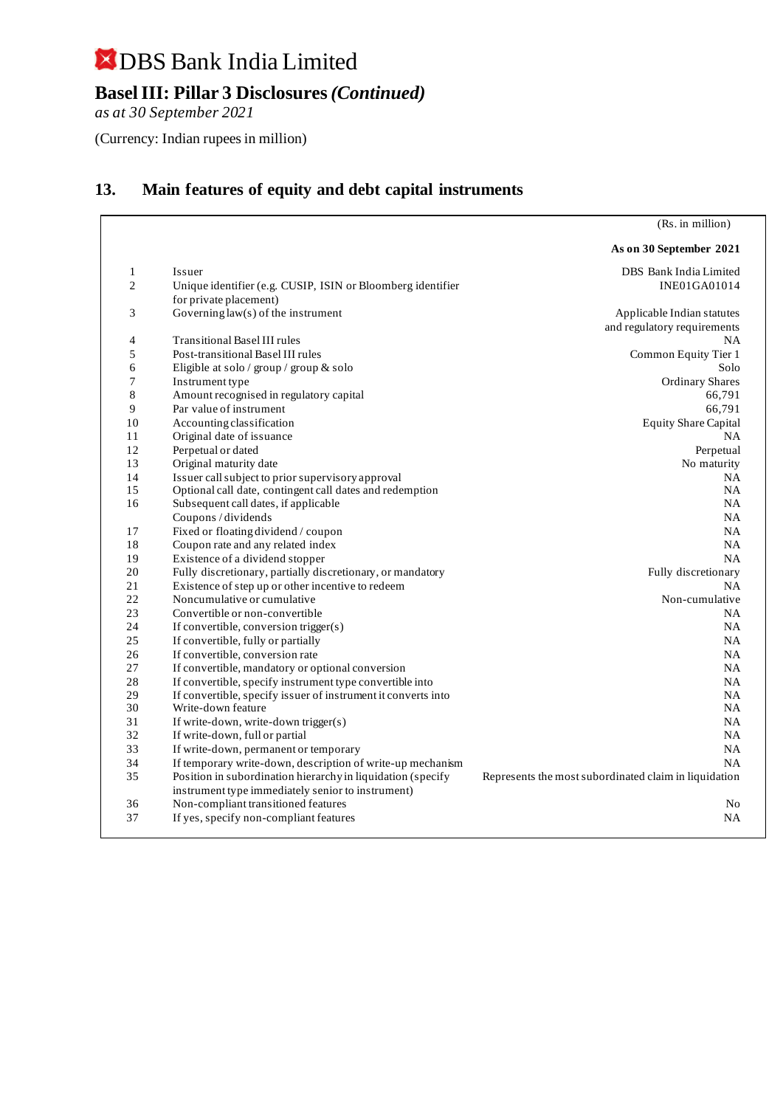**Basel III: Pillar 3 Disclosures** *(Continued)*

*as at 30 September 2021*

(Currency: Indian rupees in million)

### **13. Main features of equity and debt capital instruments**

(Rs. in million)

|                |                                                                                                                  | As on 30 September 2021                               |
|----------------|------------------------------------------------------------------------------------------------------------------|-------------------------------------------------------|
| 1              | Issuer                                                                                                           | DBS Bank India Limited                                |
| $\overline{2}$ | Unique identifier (e.g. CUSIP, ISIN or Bloomberg identifier                                                      | INE01GA01014                                          |
|                | for private placement)                                                                                           |                                                       |
| 3              | Governing $law(s)$ of the instrument                                                                             | Applicable Indian statutes                            |
|                |                                                                                                                  | and regulatory requirements                           |
| 4              | <b>Transitional Basel III rules</b>                                                                              | NA                                                    |
| 5              | Post-transitional Basel III rules                                                                                | Common Equity Tier 1                                  |
| 6              | Eligible at solo / group / group & solo                                                                          | Solo                                                  |
| 7              | Instrument type                                                                                                  | <b>Ordinary Shares</b>                                |
| 8              | Amount recognised in regulatory capital                                                                          | 66,791                                                |
| 9              | Par value of instrument                                                                                          | 66,791                                                |
| 10             | Accounting classification                                                                                        | <b>Equity Share Capital</b>                           |
| 11             | Original date of issuance                                                                                        | <b>NA</b>                                             |
| 12             | Perpetual or dated                                                                                               | Perpetual                                             |
| 13             | Original maturity date                                                                                           | No maturity                                           |
| 14             | Issuer call subject to prior supervisory approval                                                                | NA.                                                   |
| 15             | Optional call date, contingent call dates and redemption                                                         | NA                                                    |
| 16             | Subsequent call dates, if applicable                                                                             | NA.                                                   |
|                | Coupons / dividends                                                                                              | <b>NA</b>                                             |
| 17             | Fixed or floating dividend / coupon                                                                              | <b>NA</b>                                             |
| 18             | Coupon rate and any related index                                                                                | <b>NA</b>                                             |
| 19             | Existence of a dividend stopper                                                                                  | <b>NA</b>                                             |
| 20             | Fully discretionary, partially discretionary, or mandatory                                                       | Fully discretionary                                   |
| 21             | Existence of step up or other incentive to redeem                                                                | <b>NA</b>                                             |
| 22             | Noncumulative or cumulative                                                                                      | Non-cumulative                                        |
| 23             | Convertible or non-convertible                                                                                   | <b>NA</b>                                             |
| 24             | If convertible, conversion trigger(s)                                                                            | NA                                                    |
| 25             | If convertible, fully or partially                                                                               | NA                                                    |
| 26             | If convertible, conversion rate                                                                                  | NA.                                                   |
| 27             | If convertible, mandatory or optional conversion                                                                 | NA.                                                   |
| 28             | If convertible, specify instrument type convertible into                                                         | <b>NA</b>                                             |
| 29             | If convertible, specify issuer of instrument it converts into                                                    | NA.                                                   |
| 30             | Write-down feature                                                                                               | NA                                                    |
| 31             | If write-down, write-down trigger(s)                                                                             | NA                                                    |
| 32             | If write-down, full or partial                                                                                   | <b>NA</b>                                             |
| 33             | If write-down, permanent or temporary                                                                            | NA                                                    |
| 34             | If temporary write-down, description of write-up mechanism                                                       | <b>NA</b>                                             |
| 35             | Position in subordination hierarchy in liquidation (specify<br>instrument type immediately senior to instrument) | Represents the most subordinated claim in liquidation |
| 36             | Non-compliant transitioned features                                                                              | N <sub>0</sub>                                        |
| 37             | If yes, specify non-compliant features                                                                           | <b>NA</b>                                             |
|                |                                                                                                                  |                                                       |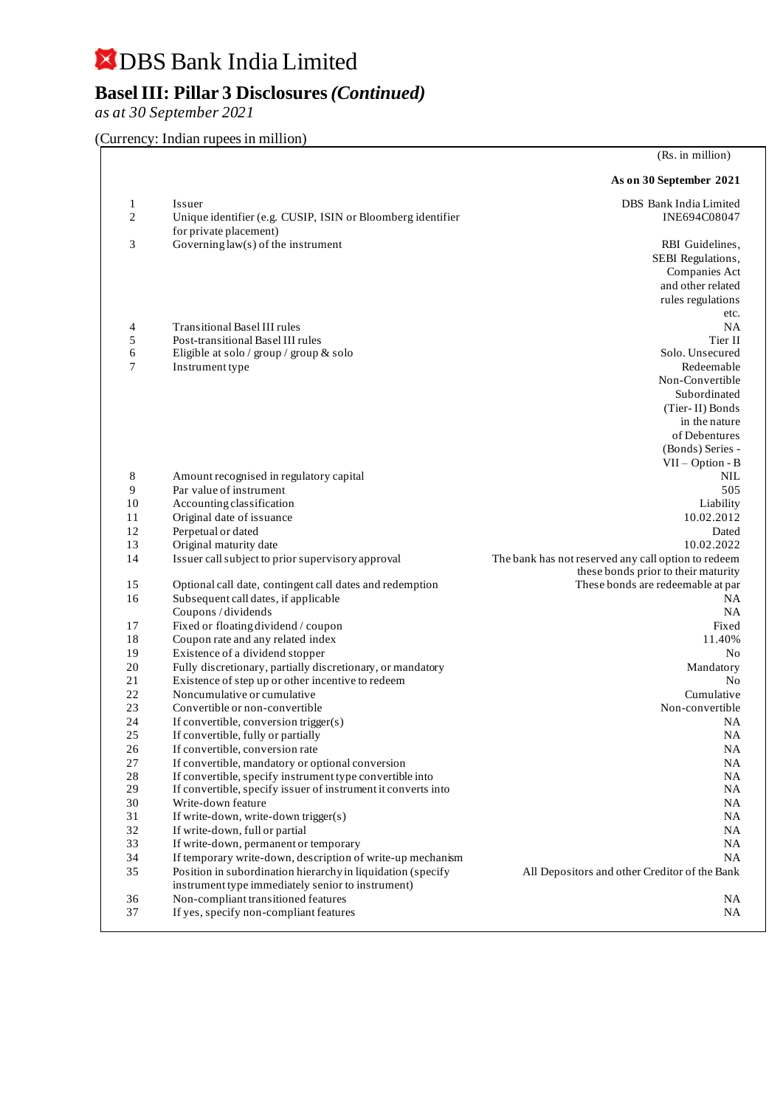## **Basel III: Pillar 3 Disclosures** *(Continued)*

*as at 30 September 2021*

#### (Currency: Indian rupees in million)

|          |                                                                                     | (Rs. in million)                                                                           |
|----------|-------------------------------------------------------------------------------------|--------------------------------------------------------------------------------------------|
|          |                                                                                     | As on 30 September 2021                                                                    |
| 1<br>2   | Issuer<br>Unique identifier (e.g. CUSIP, ISIN or Bloomberg identifier               | DBS Bank India Limited<br>INE694C08047                                                     |
| 3        | for private placement)<br>Governing $law(s)$ of the instrument                      | RBI Guidelines,                                                                            |
|          |                                                                                     | SEBI Regulations,                                                                          |
|          |                                                                                     | Companies Act                                                                              |
|          |                                                                                     | and other related                                                                          |
|          |                                                                                     | rules regulations                                                                          |
|          |                                                                                     | etc.                                                                                       |
| 4        | Transitional Basel III rules                                                        | NA                                                                                         |
| 5        | Post-transitional Basel III rules                                                   | Tier II                                                                                    |
| 6        | Eligible at solo / group / group & solo                                             | Solo. Unsecured                                                                            |
| 7        | Instrument type                                                                     | Redeemable                                                                                 |
|          |                                                                                     | Non-Convertible                                                                            |
|          |                                                                                     | Subordinated                                                                               |
|          |                                                                                     | (Tier-II) Bonds                                                                            |
|          |                                                                                     | in the nature                                                                              |
|          |                                                                                     | of Debentures                                                                              |
|          |                                                                                     | (Bonds) Series -                                                                           |
|          |                                                                                     | $VII - Option - B$                                                                         |
| 8        | Amount recognised in regulatory capital                                             | NIL                                                                                        |
| 9        | Par value of instrument                                                             | 505                                                                                        |
| 10       | Accounting classification                                                           | Liability                                                                                  |
| 11       | Original date of issuance                                                           | 10.02.2012                                                                                 |
| 12       | Perpetual or dated                                                                  | Dated                                                                                      |
| 13<br>14 | Original maturity date                                                              | 10.02.2022                                                                                 |
|          | Issuer call subject to prior supervisory approval                                   | The bank has not reserved any call option to redeem<br>these bonds prior to their maturity |
| 15       | Optional call date, contingent call dates and redemption                            | These bonds are redeemable at par                                                          |
| 16       | Subsequent call dates, if applicable                                                | NA.                                                                                        |
|          | Coupons / dividends                                                                 | NA.                                                                                        |
| 17       | Fixed or floating dividend / coupon                                                 | Fixed                                                                                      |
| 18       | Coupon rate and any related index                                                   | 11.40%                                                                                     |
| 19       | Existence of a dividend stopper                                                     | No                                                                                         |
| 20       | Fully discretionary, partially discretionary, or mandatory                          | Mandatory                                                                                  |
| 21       | Existence of step up or other incentive to redeem                                   | N <sub>0</sub>                                                                             |
| 22       | Noncumulative or cumulative                                                         | Cumulative                                                                                 |
| 23       | Convertible or non-convertible                                                      | Non-convertible                                                                            |
| 24       | If convertible, conversion trigger(s)                                               | NA                                                                                         |
| 25       | If convertible, fully or partially                                                  | <b>NA</b>                                                                                  |
| 26       | If convertible, conversion rate                                                     | NA                                                                                         |
| 27       | If convertible, mandatory or optional conversion                                    | NA                                                                                         |
| 28<br>29 | If convertible, specify instrument type convertible into                            | NA<br>NA                                                                                   |
| 30       | If convertible, specify issuer of instrument it converts into<br>Write-down feature | NA                                                                                         |
| 31       | If write-down, write-down trigger(s)                                                | NA                                                                                         |
| 32       | If write-down, full or partial                                                      | <b>NA</b>                                                                                  |
| 33       | If write-down, permanent or temporary                                               | NA.                                                                                        |
| 34       | If temporary write-down, description of write-up mechanism                          | NA.                                                                                        |
| 35       | Position in subordination hierarchy in liquidation (specify                         | All Depositors and other Creditor of the Bank                                              |
|          | instrument type immediately senior to instrument)                                   |                                                                                            |
| 36       | Non-compliant transitioned features                                                 | NA.                                                                                        |
| 37       | If yes, specify non-compliant features                                              | NA.                                                                                        |
|          |                                                                                     |                                                                                            |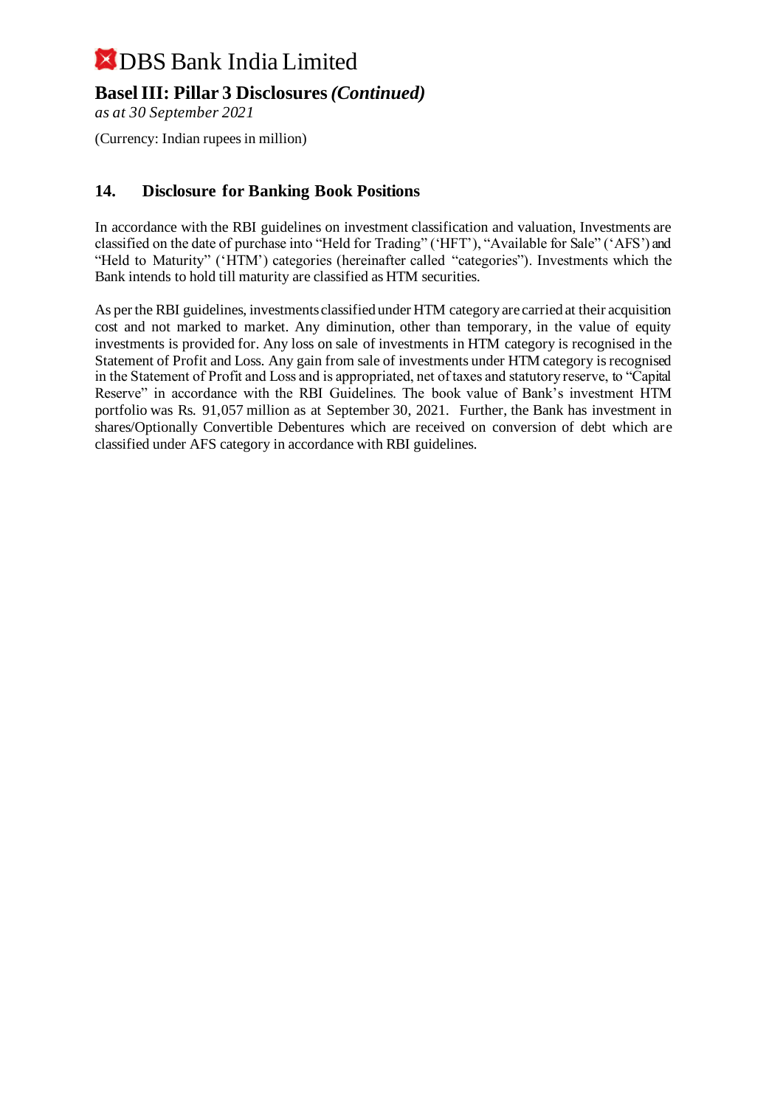### **Basel III: Pillar 3 Disclosures** *(Continued)*

*as at 30 September 2021*

(Currency: Indian rupees in million)

### **14. Disclosure for Banking Book Positions**

In accordance with the RBI guidelines on investment classification and valuation, Investments are classified on the date of purchase into "Held for Trading" ('HFT'), "Available for Sale" ('AFS') and "Held to Maturity" ('HTM') categories (hereinafter called "categories"). Investments which the Bank intends to hold till maturity are classified as HTM securities.

As per the RBI guidelines, investments classified under HTM category are carried at their acquisition cost and not marked to market. Any diminution, other than temporary, in the value of equity investments is provided for. Any loss on sale of investments in HTM category is recognised in the Statement of Profit and Loss. Any gain from sale of investments under HTM category is recognised in the Statement of Profit and Loss and is appropriated, net of taxes and statutory reserve, to "Capital Reserve" in accordance with the RBI Guidelines. The book value of Bank's investment HTM portfolio was Rs. 91,057 million as at September 30, 2021. Further, the Bank has investment in shares/Optionally Convertible Debentures which are received on conversion of debt which are classified under AFS category in accordance with RBI guidelines.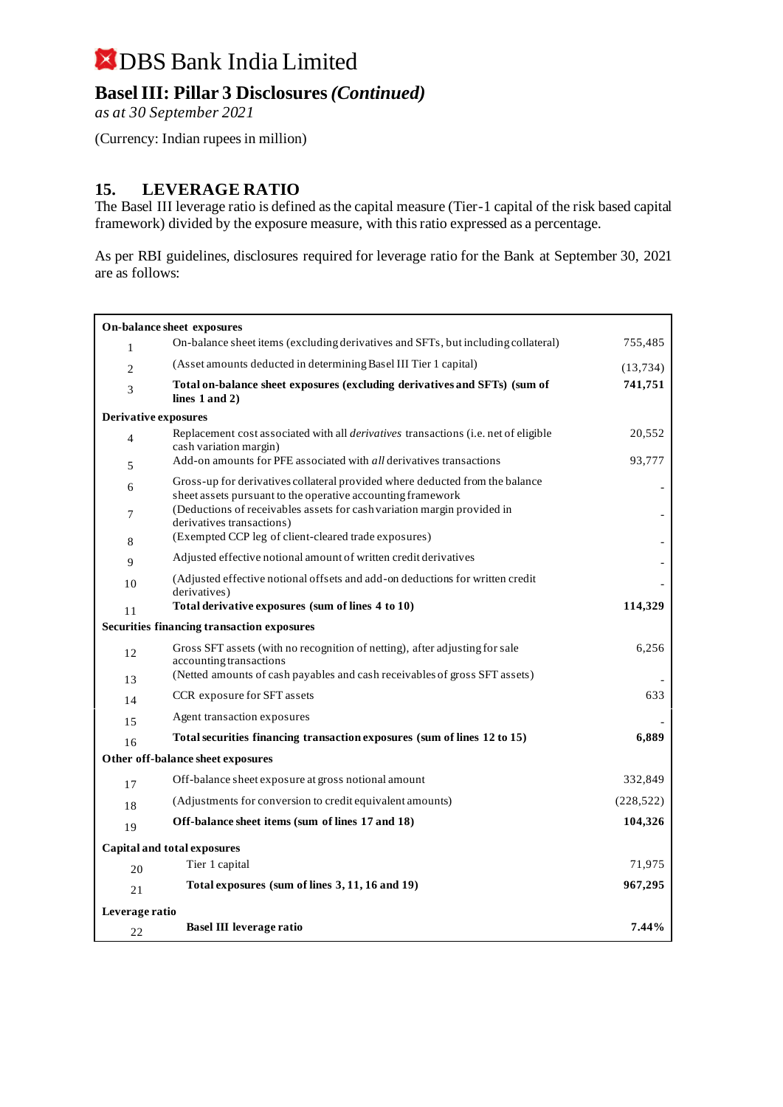### **Basel III: Pillar 3 Disclosures** *(Continued)*

*as at 30 September 2021*

(Currency: Indian rupees in million)

#### **15. LEVERAGE RATIO**

The Basel III leverage ratio is defined as the capital measure (Tier-1 capital of the risk based capital framework) divided by the exposure measure, with this ratio expressed as a percentage.

As per RBI guidelines, disclosures required for leverage ratio for the Bank at September 30, 2021 are as follows:

|                             | On-balance sheet exposures                                                                                                                  |            |  |  |
|-----------------------------|---------------------------------------------------------------------------------------------------------------------------------------------|------------|--|--|
| $\mathbf{1}$                | On-balance sheet items (excluding derivatives and SFTs, but including collateral)                                                           | 755,485    |  |  |
| 2                           | (Asset amounts deducted in determining Basel III Tier 1 capital)                                                                            | (13, 734)  |  |  |
| 3                           | Total on-balance sheet exposures (excluding derivatives and SFTs) (sum of<br>lines $1$ and $2)$                                             | 741,751    |  |  |
| <b>Derivative exposures</b> |                                                                                                                                             |            |  |  |
| $\overline{4}$              | Replacement cost associated with all <i>derivatives</i> transactions (i.e. net of eligible<br>cash variation margin)                        | 20,552     |  |  |
| 5                           | Add-on amounts for PFE associated with <i>all</i> derivatives transactions                                                                  | 93,777     |  |  |
| 6                           | Gross-up for derivatives collateral provided where deducted from the balance<br>sheet assets pursuant to the operative accounting framework |            |  |  |
| 7                           | (Deductions of receivables assets for cash variation margin provided in<br>derivatives transactions)                                        |            |  |  |
| 8                           | (Exempted CCP leg of client-cleared trade exposures)                                                                                        |            |  |  |
| 9                           | Adjusted effective notional amount of written credit derivatives                                                                            |            |  |  |
| 10                          | (Adjusted effective notional offsets and add-on deductions for written credit<br>derivatives)                                               |            |  |  |
| 11                          | Total derivative exposures (sum of lines 4 to 10)                                                                                           | 114,329    |  |  |
|                             | <b>Securities financing transaction exposures</b>                                                                                           |            |  |  |
| 12                          | Gross SFT assets (with no recognition of netting), after adjusting for sale<br>accounting transactions                                      | 6,256      |  |  |
| 13                          | (Netted amounts of cash payables and cash receivables of gross SFT assets)                                                                  |            |  |  |
| 14                          | CCR exposure for SFT assets                                                                                                                 | 633        |  |  |
| 15                          | Agent transaction exposures                                                                                                                 |            |  |  |
| 16                          | Total securities financing transaction exposures (sum of lines 12 to 15)                                                                    | 6,889      |  |  |
|                             | Other off-balance sheet exposures                                                                                                           |            |  |  |
| 17                          | Off-balance sheet exposure at gross notional amount                                                                                         | 332,849    |  |  |
| 18                          | (Adjustments for conversion to credit equivalent amounts)                                                                                   | (228, 522) |  |  |
| 19                          | Off-balance sheet items (sum of lines 17 and 18)                                                                                            | 104,326    |  |  |
|                             | Capital and total exposures                                                                                                                 |            |  |  |
| 20                          | Tier 1 capital                                                                                                                              | 71,975     |  |  |
| 21                          | Total exposures (sum of lines 3, 11, 16 and 19)                                                                                             | 967,295    |  |  |
| Leverage ratio              |                                                                                                                                             |            |  |  |
| 22                          | Basel III leverage ratio                                                                                                                    | 7.44%      |  |  |